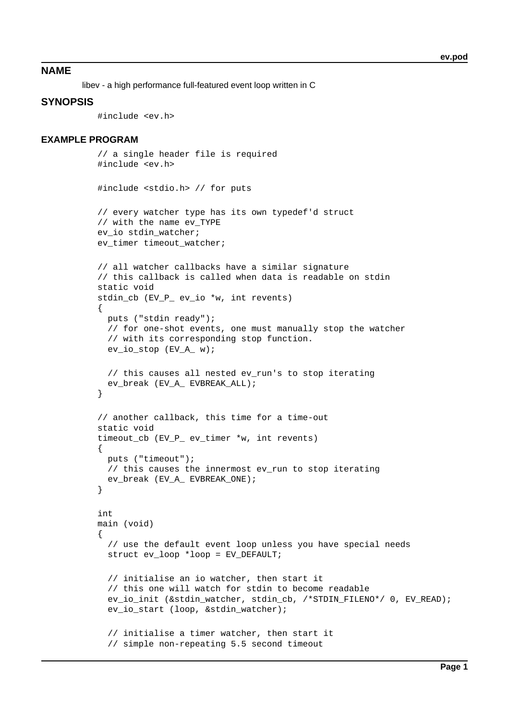# **NAME**

libev - a high performance full-featured event loop written in C

# **SYNOPSIS**

#include <ev.h>

## **EXAMPLE PROGRAM**

```
 // a single header file is required
 #include <ev.h>
 #include <stdio.h> // for puts
 // every watcher type has its own typedef'd struct
 // with the name ev_TYPE
ev io stdin watcher;
 ev_timer timeout_watcher;
 // all watcher callbacks have a similar signature
 // this callback is called when data is readable on stdin
 static void
 stdin_cb (EV_P_ ev_io *w, int revents)
\left\{ \right. puts ("stdin ready");
   // for one-shot events, one must manually stop the watcher
   // with its corresponding stop function.
   ev_io_stop (EV_A_ w);
   // this causes all nested ev_run's to stop iterating
   ev_break (EV_A_ EVBREAK_ALL);
 }
 // another callback, this time for a time-out
 static void
 timeout_cb (EV_P_ ev_timer *w, int revents)
 {
  puts ("timeout");
   // this causes the innermost ev_run to stop iterating
   ev_break (EV_A_ EVBREAK_ONE);
 }
 int
 main (void)
\left\{ \right. // use the default event loop unless you have special needs
  struct ev loop *loop = EV DEFAULT;
   // initialise an io watcher, then start it
   // this one will watch for stdin to become readable
   ev_io_init (&stdin_watcher, stdin_cb, /*STDIN_FILENO*/ 0, EV_READ);
   ev_io_start (loop, &stdin_watcher);
   // initialise a timer watcher, then start it
   // simple non-repeating 5.5 second timeout
```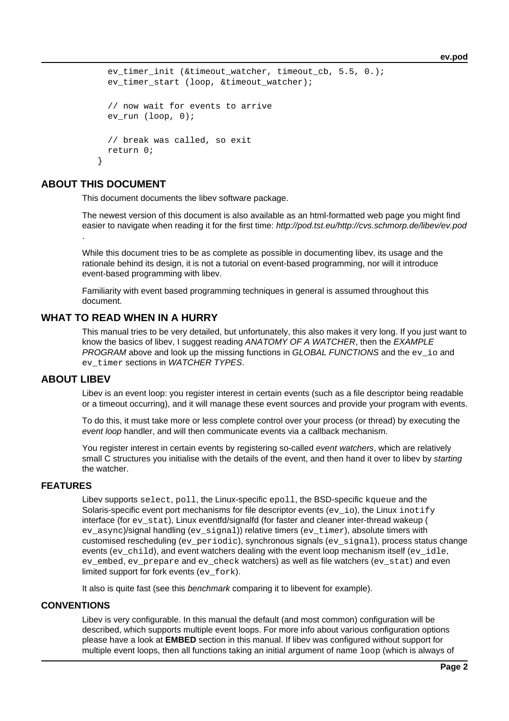**ev.pod**

```
ev timer init (&timeout watcher, timeout cb, 5.5, 0.);
 ev timer start (loop, &timeout watcher);
   // now wait for events to arrive
 ev run (loop, 0);
  // break was called, so exit
  return 0;
 }
```
# **ABOUT THIS DOCUMENT**

This document documents the libev software package.

The newest version of this document is also available as an html-formatted web page you might find easier to navigate when reading it for the first time: http://pod.tst.eu/http://cvs.schmorp.de/libev/ev.pod .

While this document tries to be as complete as possible in documenting libev, its usage and the rationale behind its design, it is not a tutorial on event-based programming, nor will it introduce event-based programming with libev.

Familiarity with event based programming techniques in general is assumed throughout this document.

# **WHAT TO READ WHEN IN A HURRY**

This manual tries to be very detailed, but unfortunately, this also makes it very long. If you just want to know the basics of libev, I suggest reading ANATOMY OF A WATCHER, then the EXAMPLE PROGRAM above and look up the missing functions in GLOBAL FUNCTIONS and the ey io and ev timer sections in WATCHER TYPES.

## **ABOUT LIBEV**

Libev is an event loop: you register interest in certain events (such as a file descriptor being readable or a timeout occurring), and it will manage these event sources and provide your program with events.

To do this, it must take more or less complete control over your process (or thread) by executing the event loop handler, and will then communicate events via a callback mechanism.

You register interest in certain events by registering so-called event watchers, which are relatively small C structures you initialise with the details of the event, and then hand it over to libev by starting the watcher.

## **FEATURES**

Libev supports select, poll, the Linux-specific epoll, the BSD-specific kqueue and the Solaris-specific event port mechanisms for file descriptor events  $(ev_io)$ , the Linux inotify interface (for ev\_stat), Linux eventfd/signalfd (for faster and cleaner inter-thread wakeup ( ev\_async)/signal handling (ev\_signal)) relative timers (ev\_timer), absolute timers with customised rescheduling (ev\_periodic), synchronous signals (ev\_signal), process status change events (ev $\chi$ child), and event watchers dealing with the event loop mechanism itself (ev  $\chi$ idle, ev\_embed, ev\_prepare and ev\_check watchers) as well as file watchers (ev\_stat) and even limited support for fork events (ev\_fork).

It also is quite fast (see this *benchmark* comparing it to libevent for example).

## **CONVENTIONS**

Libev is very configurable. In this manual the default (and most common) configuration will be described, which supports multiple event loops. For more info about various configuration options please have a look at **EMBED** section in this manual. If libev was configured without support for multiple event loops, then all functions taking an initial argument of name  $loop$  (which is always of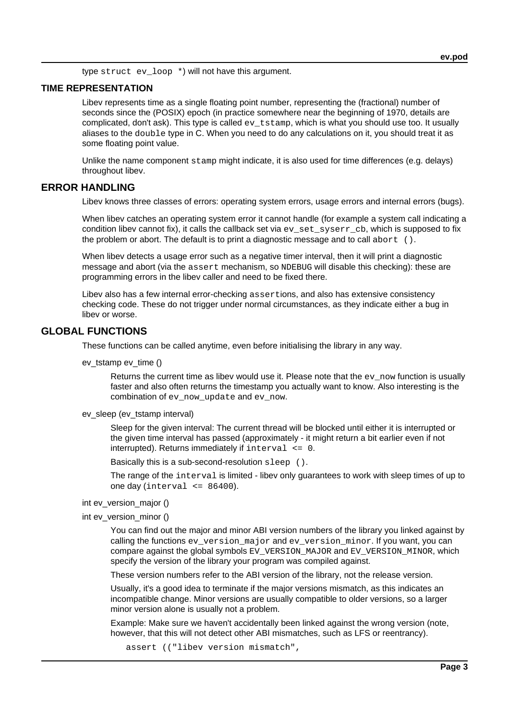type struct ev loop \*) will not have this argument.

## **TIME REPRESENTATION**

Libev represents time as a single floating point number, representing the (fractional) number of seconds since the (POSIX) epoch (in practice somewhere near the beginning of 1970, details are complicated, don't ask). This type is called ev\_tstamp, which is what you should use too. It usually aliases to the double type in C. When you need to do any calculations on it, you should treat it as some floating point value.

Unlike the name component stamp might indicate, it is also used for time differences (e.g. delays) throughout libev.

# **ERROR HANDLING**

Libev knows three classes of errors: operating system errors, usage errors and internal errors (bugs).

When libev catches an operating system error it cannot handle (for example a system call indicating a condition libev cannot fix), it calls the callback set via ev\_set\_syserr\_cb, which is supposed to fix the problem or abort. The default is to print a diagnostic message and to call abort ().

When libev detects a usage error such as a negative timer interval, then it will print a diagnostic message and abort (via the assert mechanism, so NDEBUG will disable this checking): these are programming errors in the libev caller and need to be fixed there.

Libev also has a few internal error-checking assertions, and also has extensive consistency checking code. These do not trigger under normal circumstances, as they indicate either a bug in libev or worse.

# **GLOBAL FUNCTIONS**

These functions can be called anytime, even before initialising the library in any way.

ev\_tstamp ev\_time ()

Returns the current time as libev would use it. Please note that the ev\_now function is usually faster and also often returns the timestamp you actually want to know. Also interesting is the combination of ev\_now\_update and ev\_now.

ev\_sleep (ev\_tstamp interval)

Sleep for the given interval: The current thread will be blocked until either it is interrupted or the given time interval has passed (approximately - it might return a bit earlier even if not interrupted). Returns immediately if  $interval \leq 0$ .

Basically this is a sub-second-resolution sleep ().

The range of the interval is limited - libev only guarantees to work with sleep times of up to one day (interval  $\leq$  86400).

## int ev\_version\_major ()

int ev\_version\_minor ()

You can find out the major and minor ABI version numbers of the library you linked against by calling the functions ev\_version\_major and ev\_version\_minor. If you want, you can compare against the global symbols EV\_VERSION\_MAJOR and EV\_VERSION\_MINOR, which specify the version of the library your program was compiled against.

These version numbers refer to the ABI version of the library, not the release version.

Usually, it's a good idea to terminate if the major versions mismatch, as this indicates an incompatible change. Minor versions are usually compatible to older versions, so a larger minor version alone is usually not a problem.

Example: Make sure we haven't accidentally been linked against the wrong version (note, however, that this will not detect other ABI mismatches, such as LFS or reentrancy).

assert (("libev version mismatch",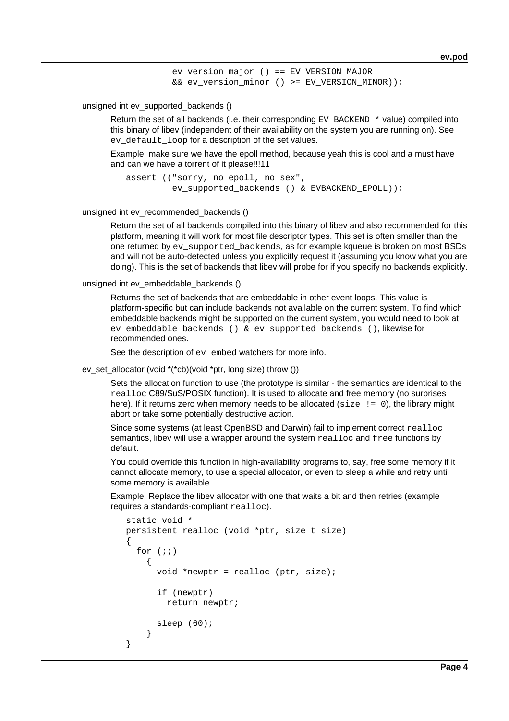ev version major () == EV VERSION MAJOR && ev\_version\_minor () >= EV\_VERSION\_MINOR));

unsigned int ev\_supported\_backends ()

Return the set of all backends (i.e. their corresponding  $EV$  BACKEND  $*$  value) compiled into this binary of libev (independent of their availability on the system you are running on). See ev default loop for a description of the set values.

Example: make sure we have the epoll method, because yeah this is cool and a must have and can we have a torrent of it please!!!11

```
 assert (("sorry, no epoll, no sex",
         ev supported backends () & EVBACKEND EPOLL));
```
unsigned int ev\_recommended\_backends ()

Return the set of all backends compiled into this binary of libev and also recommended for this platform, meaning it will work for most file descriptor types. This set is often smaller than the one returned by ev\_supported\_backends, as for example kqueue is broken on most BSDs and will not be auto-detected unless you explicitly request it (assuming you know what you are doing). This is the set of backends that libev will probe for if you specify no backends explicitly.

unsigned int ev\_embeddable\_backends ()

Returns the set of backends that are embeddable in other event loops. This value is platform-specific but can include backends not available on the current system. To find which embeddable backends might be supported on the current system, you would need to look at ev\_embeddable\_backends () & ev\_supported\_backends (), likewise for recommended ones.

See the description of ev embed watchers for more info.

ev\_set\_allocator (void \*(\*cb)(void \*ptr, long size) throw ())

Sets the allocation function to use (the prototype is similar - the semantics are identical to the realloc C89/SuS/POSIX function). It is used to allocate and free memory (no surprises here). If it returns zero when memory needs to be allocated ( $size$   $!=$   $=$  0), the library might abort or take some potentially destructive action.

Since some systems (at least OpenBSD and Darwin) fail to implement correct realloc semantics, libev will use a wrapper around the system realloc and free functions by default.

You could override this function in high-availability programs to, say, free some memory if it cannot allocate memory, to use a special allocator, or even to sleep a while and retry until some memory is available.

Example: Replace the libev allocator with one that waits a bit and then retries (example requires a standards-compliant realloc).

```
 static void *
persistent realloc (void *ptr, size t size)
 {
  for (i; j) {
       void *newptr = realloc (ptr, size);
       if (newptr)
          return newptr;
       sleep (60);
     }
 }
```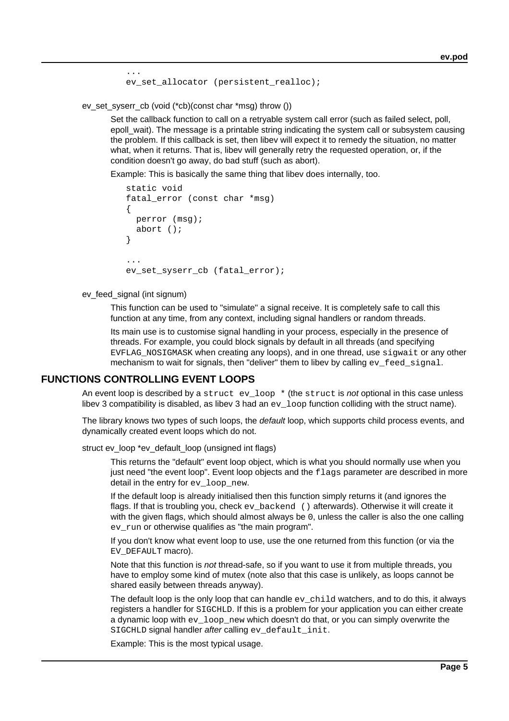ev set allocator (persistent realloc);

ev\_set\_syserr\_cb (void (\*cb)(const char \*msg) throw ())

Set the callback function to call on a retryable system call error (such as failed select, poll, epoll wait). The message is a printable string indicating the system call or subsystem causing the problem. If this callback is set, then libev will expect it to remedy the situation, no matter what, when it returns. That is, libev will generally retry the requested operation, or, if the condition doesn't go away, do bad stuff (such as abort).

Example: This is basically the same thing that libev does internally, too.

```
 static void
   fatal error (const char *msg)
    {
     perror (msg);
      abort ();
    }
 ...
   ev set syserr cb (fatal error);
```
ev\_feed\_signal (int signum)

...

This function can be used to "simulate" a signal receive. It is completely safe to call this function at any time, from any context, including signal handlers or random threads.

Its main use is to customise signal handling in your process, especially in the presence of threads. For example, you could block signals by default in all threads (and specifying EVFLAG NOSIGMASK when creating any loops), and in one thread, use sigwait or any other mechanism to wait for signals, then "deliver" them to libev by calling  $ev$  feed  $signal$ .

## **FUNCTIONS CONTROLLING EVENT LOOPS**

An event loop is described by a struct  $ev\_{loop} *$  (the struct is not optional in this case unless libev 3 compatibility is disabled, as libev 3 had an  $ev\_{loop}$  function colliding with the struct name).

The library knows two types of such loops, the *default* loop, which supports child process events, and dynamically created event loops which do not.

struct ev\_loop \*ev\_default\_loop (unsigned int flags)

This returns the "default" event loop object, which is what you should normally use when you just need "the event loop". Event loop objects and the flags parameter are described in more detail in the entry for ev\_loop\_new.

If the default loop is already initialised then this function simply returns it (and ignores the flags. If that is troubling you, check  $ev$  backend () afterwards). Otherwise it will create it with the given flags, which should almost always be 0, unless the caller is also the one calling ev\_run or otherwise qualifies as "the main program".

If you don't know what event loop to use, use the one returned from this function (or via the EV DEFAULT macro).

Note that this function is not thread-safe, so if you want to use it from multiple threads, you have to employ some kind of mutex (note also that this case is unlikely, as loops cannot be shared easily between threads anyway).

The default loop is the only loop that can handle  $ev\_{child}$  watchers, and to do this, it always registers a handler for SIGCHLD. If this is a problem for your application you can either create a dynamic loop with  $ev\text{ loop new which doesn't do that, or you can simply overwrite the }$ SIGCHLD signal handler after calling ev\_default\_init.

Example: This is the most typical usage.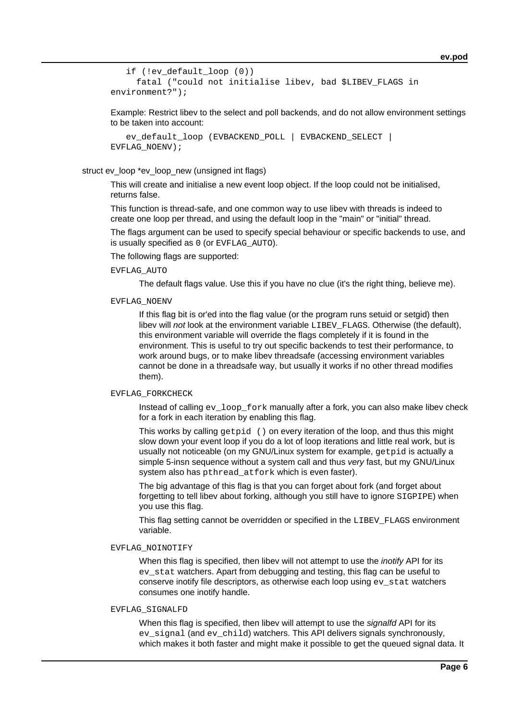```
 if (!ev_default_loop (0))
      fatal ("could not initialise libev, bad $LIBEV_FLAGS in
environment?");
```
Example: Restrict libev to the select and poll backends, and do not allow environment settings to be taken into account:

```
ev default loop (EVBACKEND POLL | EVBACKEND SELECT |
EVFLAG_NOENV);
```
### struct ev\_loop \*ev\_loop\_new (unsigned int flags)

This will create and initialise a new event loop object. If the loop could not be initialised, returns false.

This function is thread-safe, and one common way to use libev with threads is indeed to create one loop per thread, and using the default loop in the "main" or "initial" thread.

The flags argument can be used to specify special behaviour or specific backends to use, and is usually specified as 0 (or EVFLAG\_AUTO).

The following flags are supported:

## EVFLAG\_AUTO

The default flags value. Use this if you have no clue (it's the right thing, believe me).

#### EVFLAG\_NOENV

If this flag bit is or'ed into the flag value (or the program runs setuid or setgid) then libey will not look at the environment variable  $LIBEV$   $FLAGS$ . Otherwise (the default), this environment variable will override the flags completely if it is found in the environment. This is useful to try out specific backends to test their performance, to work around bugs, or to make libev threadsafe (accessing environment variables cannot be done in a threadsafe way, but usually it works if no other thread modifies them).

#### EVFLAG\_FORKCHECK

Instead of calling ev\_loop\_fork manually after a fork, you can also make libev check for a fork in each iteration by enabling this flag.

This works by calling getpid () on every iteration of the loop, and thus this might slow down your event loop if you do a lot of loop iterations and little real work, but is usually not noticeable (on my GNU/Linux system for example, getpid is actually a simple 5-insn sequence without a system call and thus very fast, but my GNU/Linux system also has pthread\_atfork which is even faster).

The big advantage of this flag is that you can forget about fork (and forget about forgetting to tell libev about forking, although you still have to ignore SIGPIPE) when you use this flag.

This flag setting cannot be overridden or specified in the LIBEV FLAGS environment variable.

### EVFLAG\_NOINOTIFY

When this flag is specified, then libev will not attempt to use the *inotify* API for its ev\_stat watchers. Apart from debugging and testing, this flag can be useful to conserve inotify file descriptors, as otherwise each loop using ev\_stat watchers consumes one inotify handle.

#### EVFLAG\_SIGNALFD

When this flag is specified, then libev will attempt to use the signalfd API for its ev signal (and ev child) watchers. This API delivers signals synchronously, which makes it both faster and might make it possible to get the queued signal data. It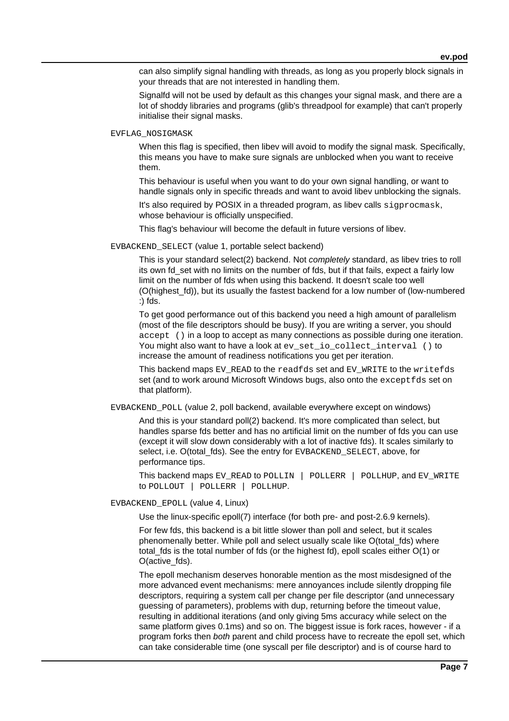can also simplify signal handling with threads, as long as you properly block signals in your threads that are not interested in handling them.

Signalfd will not be used by default as this changes your signal mask, and there are a lot of shoddy libraries and programs (glib's threadpool for example) that can't properly initialise their signal masks.

#### EVFLAG\_NOSIGMASK

When this flag is specified, then libey will avoid to modify the signal mask. Specifically, this means you have to make sure signals are unblocked when you want to receive them.

This behaviour is useful when you want to do your own signal handling, or want to handle signals only in specific threads and want to avoid libev unblocking the signals.

It's also required by POSIX in a threaded program, as libev calls sigprocmask, whose behaviour is officially unspecified.

This flag's behaviour will become the default in future versions of libev.

#### EVBACKEND\_SELECT (value 1, portable select backend)

This is your standard select(2) backend. Not completely standard, as libev tries to roll its own fd set with no limits on the number of fds, but if that fails, expect a fairly low limit on the number of fds when using this backend. It doesn't scale too well (O(highest\_fd)), but its usually the fastest backend for a low number of (low-numbered :) fds.

To get good performance out of this backend you need a high amount of parallelism (most of the file descriptors should be busy). If you are writing a server, you should accept () in a loop to accept as many connections as possible during one iteration. You might also want to have a look at ev\_set\_io\_collect\_interval () to increase the amount of readiness notifications you get per iteration.

This backend maps EV\_READ to the readfds set and EV\_WRITE to the writefds set (and to work around Microsoft Windows bugs, also onto the exceptfds set on that platform).

EVBACKEND\_POLL (value 2, poll backend, available everywhere except on windows)

And this is your standard poll(2) backend. It's more complicated than select, but handles sparse fds better and has no artificial limit on the number of fds you can use (except it will slow down considerably with a lot of inactive fds). It scales similarly to select, i.e. O(total fds). See the entry for EVBACKEND SELECT, above, for performance tips.

This backend maps EV\_READ to POLLIN | POLLERR | POLLHUP, and EV\_WRITE to POLLOUT | POLLERR | POLLHUP.

### EVBACKEND\_EPOLL (value 4, Linux)

Use the linux-specific epoll(7) interface (for both pre- and post-2.6.9 kernels).

For few fds, this backend is a bit little slower than poll and select, but it scales phenomenally better. While poll and select usually scale like O(total\_fds) where total\_fds is the total number of fds (or the highest fd), epoll scales either O(1) or O(active\_fds).

The epoll mechanism deserves honorable mention as the most misdesigned of the more advanced event mechanisms: mere annoyances include silently dropping file descriptors, requiring a system call per change per file descriptor (and unnecessary guessing of parameters), problems with dup, returning before the timeout value, resulting in additional iterations (and only giving 5ms accuracy while select on the same platform gives 0.1ms) and so on. The biggest issue is fork races, however - if a program forks then both parent and child process have to recreate the epoll set, which can take considerable time (one syscall per file descriptor) and is of course hard to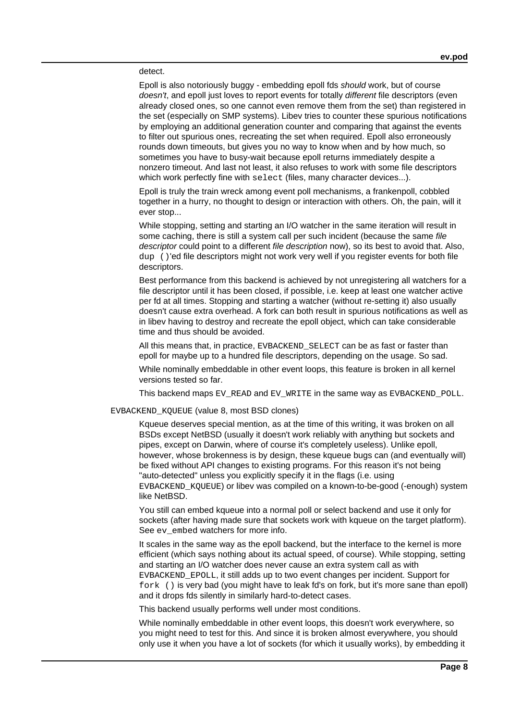#### detect.

Epoll is also notoriously buggy - embedding epoll fds should work, but of course doesn't, and epoll just loves to report events for totally *different* file descriptors (even already closed ones, so one cannot even remove them from the set) than registered in the set (especially on SMP systems). Libev tries to counter these spurious notifications by employing an additional generation counter and comparing that against the events to filter out spurious ones, recreating the set when required. Epoll also erroneously rounds down timeouts, but gives you no way to know when and by how much, so sometimes you have to busy-wait because epoll returns immediately despite a nonzero timeout. And last not least, it also refuses to work with some file descriptors which work perfectly fine with select (files, many character devices...).

Epoll is truly the train wreck among event poll mechanisms, a frankenpoll, cobbled together in a hurry, no thought to design or interaction with others. Oh, the pain, will it ever stop...

While stopping, setting and starting an I/O watcher in the same iteration will result in some caching, there is still a system call per such incident (because the same file descriptor could point to a different file description now), so its best to avoid that. Also, dup ()'ed file descriptors might not work very well if you register events for both file descriptors.

Best performance from this backend is achieved by not unregistering all watchers for a file descriptor until it has been closed, if possible, i.e. keep at least one watcher active per fd at all times. Stopping and starting a watcher (without re-setting it) also usually doesn't cause extra overhead. A fork can both result in spurious notifications as well as in libev having to destroy and recreate the epoll object, which can take considerable time and thus should be avoided.

All this means that, in practice, EVBACKEND\_SELECT can be as fast or faster than epoll for maybe up to a hundred file descriptors, depending on the usage. So sad.

While nominally embeddable in other event loops, this feature is broken in all kernel versions tested so far.

This backend maps EV\_READ and EV\_WRITE in the same way as EVBACKEND\_POLL.

#### EVBACKEND\_KQUEUE (value 8, most BSD clones)

Kqueue deserves special mention, as at the time of this writing, it was broken on all BSDs except NetBSD (usually it doesn't work reliably with anything but sockets and pipes, except on Darwin, where of course it's completely useless). Unlike epoll, however, whose brokenness is by design, these kqueue bugs can (and eventually will) be fixed without API changes to existing programs. For this reason it's not being "auto-detected" unless you explicitly specify it in the flags (i.e. using EVBACKEND\_KQUEUE) or libev was compiled on a known-to-be-good (-enough) system like NetBSD.

You still can embed kqueue into a normal poll or select backend and use it only for sockets (after having made sure that sockets work with kqueue on the target platform). See ey embed watchers for more info.

It scales in the same way as the epoll backend, but the interface to the kernel is more efficient (which says nothing about its actual speed, of course). While stopping, setting and starting an I/O watcher does never cause an extra system call as with EVBACKEND\_EPOLL, it still adds up to two event changes per incident. Support for fork () is very bad (you might have to leak fd's on fork, but it's more sane than epoll) and it drops fds silently in similarly hard-to-detect cases.

This backend usually performs well under most conditions.

While nominally embeddable in other event loops, this doesn't work everywhere, so you might need to test for this. And since it is broken almost everywhere, you should only use it when you have a lot of sockets (for which it usually works), by embedding it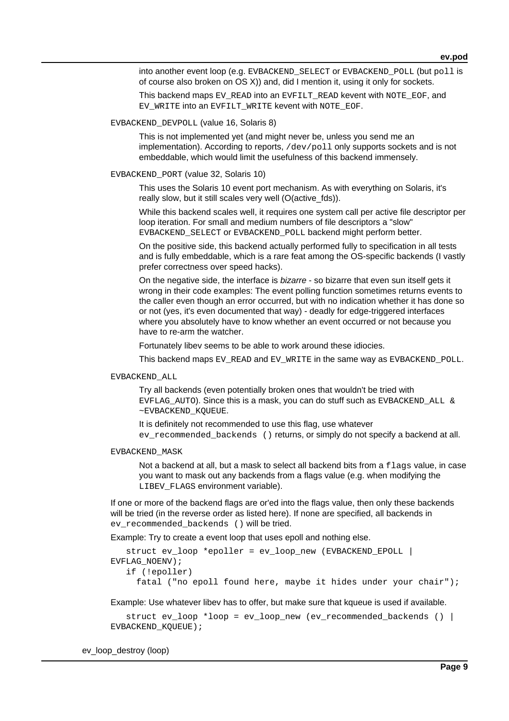into another event loop (e.g. EVBACKEND\_SELECT or EVBACKEND\_POLL (but poll is of course also broken on OS X)) and, did I mention it, using it only for sockets.

This backend maps EV\_READ into an EVFILT\_READ kevent with NOTE\_EOF, and EV\_WRITE into an EVFILT\_WRITE kevent with NOTE\_EOF.

### EVBACKEND\_DEVPOLL (value 16, Solaris 8)

This is not implemented yet (and might never be, unless you send me an implementation). According to reports, /dev/poll only supports sockets and is not embeddable, which would limit the usefulness of this backend immensely.

### EVBACKEND\_PORT (value 32, Solaris 10)

This uses the Solaris 10 event port mechanism. As with everything on Solaris, it's really slow, but it still scales very well (O(active fds)).

While this backend scales well, it requires one system call per active file descriptor per loop iteration. For small and medium numbers of file descriptors a "slow" EVBACKEND\_SELECT or EVBACKEND\_POLL backend might perform better.

On the positive side, this backend actually performed fully to specification in all tests and is fully embeddable, which is a rare feat among the OS-specific backends (I vastly prefer correctness over speed hacks).

On the negative side, the interface is bizarre - so bizarre that even sun itself gets it wrong in their code examples: The event polling function sometimes returns events to the caller even though an error occurred, but with no indication whether it has done so or not (yes, it's even documented that way) - deadly for edge-triggered interfaces where you absolutely have to know whether an event occurred or not because you have to re-arm the watcher.

Fortunately libev seems to be able to work around these idiocies.

This backend maps EV\_READ and EV\_WRITE in the same way as EVBACKEND\_POLL.

EVBACKEND\_ALL

Try all backends (even potentially broken ones that wouldn't be tried with EVFLAG AUTO). Since this is a mask, you can do stuff such as EVBACKEND ALL  $\&$ ~EVBACKEND\_KQUEUE.

It is definitely not recommended to use this flag, use whatever ev\_recommended\_backends () returns, or simply do not specify a backend at all.

#### EVBACKEND\_MASK

Not a backend at all, but a mask to select all backend bits from a  $flags$  value, in case you want to mask out any backends from a flags value (e.g. when modifying the LIBEV\_FLAGS environment variable).

If one or more of the backend flags are or'ed into the flags value, then only these backends will be tried (in the reverse order as listed here). If none are specified, all backends in ev recommended backends () will be tried.

Example: Try to create a event loop that uses epoll and nothing else.

```
 struct ev_loop *epoller = ev_loop_new (EVBACKEND_EPOLL |
EVFLAG_NOENV);
    if (!epoller)
      fatal ("no epoll found here, maybe it hides under your chair");
```
Example: Use whatever libev has to offer, but make sure that kqueue is used if available.

```
struct ev loop *loop = ev loop new (ev recommended backends () |
EVBACKEND_KQUEUE);
```
ev\_loop\_destroy (loop)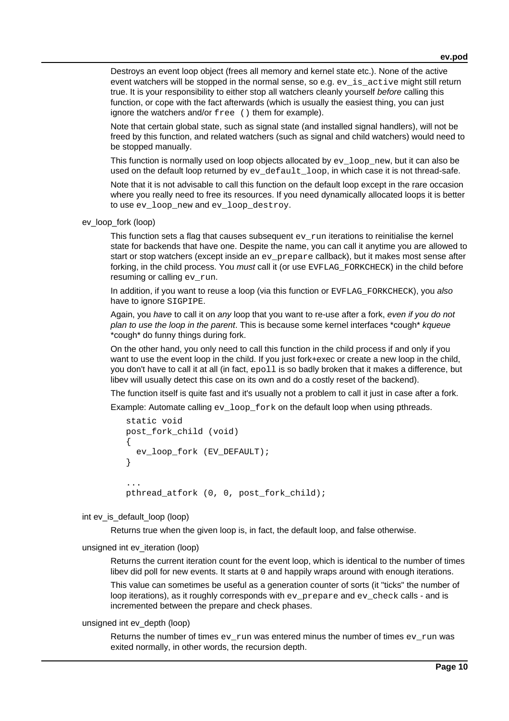Destroys an event loop object (frees all memory and kernel state etc.). None of the active event watchers will be stopped in the normal sense, so e.g.  $ev$  is active might still return true. It is your responsibility to either stop all watchers cleanly yourself before calling this function, or cope with the fact afterwards (which is usually the easiest thing, you can just ignore the watchers and/or free () them for example).

Note that certain global state, such as signal state (and installed signal handlers), will not be freed by this function, and related watchers (such as signal and child watchers) would need to be stopped manually.

This function is normally used on loop objects allocated by  $ev\log_{10} m$  new, but it can also be used on the default loop returned by  $ev\_default\_loop$ , in which case it is not thread-safe.

Note that it is not advisable to call this function on the default loop except in the rare occasion where you really need to free its resources. If you need dynamically allocated loops it is better to use ev\_loop\_new and ev\_loop\_destroy.

ev\_loop\_fork (loop)

This function sets a flag that causes subsequent  $ev\_run$  iterations to reinitialise the kernel state for backends that have one. Despite the name, you can call it anytime you are allowed to start or stop watchers (except inside an ev\_prepare callback), but it makes most sense after forking, in the child process. You must call it (or use EVFLAG\_FORKCHECK) in the child before resuming or calling ev\_run.

In addition, if you want to reuse a loop (via this function or EVFLAG FORKCHECK), you also have to ignore SIGPIPE.

Again, you have to call it on any loop that you want to re-use after a fork, even if you do not plan to use the loop in the parent. This is because some kernel interfaces \*cough\* kqueue \*cough\* do funny things during fork.

On the other hand, you only need to call this function in the child process if and only if you want to use the event loop in the child. If you just fork+exec or create a new loop in the child, you don't have to call it at all (in fact, epoll is so badly broken that it makes a difference, but libev will usually detect this case on its own and do a costly reset of the backend).

The function itself is quite fast and it's usually not a problem to call it just in case after a fork.

Example: Automate calling ev\_loop\_fork on the default loop when using pthreads.

```
 static void
   post_fork_child (void)
    {
      ev_loop_fork (EV_DEFAULT);
    }
 ...
   pthread_atfork (0, 0, post_fork_child);
```
### int ev\_is\_default\_loop (loop)

Returns true when the given loop is, in fact, the default loop, and false otherwise.

### unsigned int ev\_iteration (loop)

Returns the current iteration count for the event loop, which is identical to the number of times libev did poll for new events. It starts at 0 and happily wraps around with enough iterations.

This value can sometimes be useful as a generation counter of sorts (it "ticks" the number of loop iterations), as it roughly corresponds with ev\_prepare and ev\_check calls - and is incremented between the prepare and check phases.

## unsigned int ev\_depth (loop)

Returns the number of times  $ev_{run}$  was entered minus the number of times  $ev_{run}$  was exited normally, in other words, the recursion depth.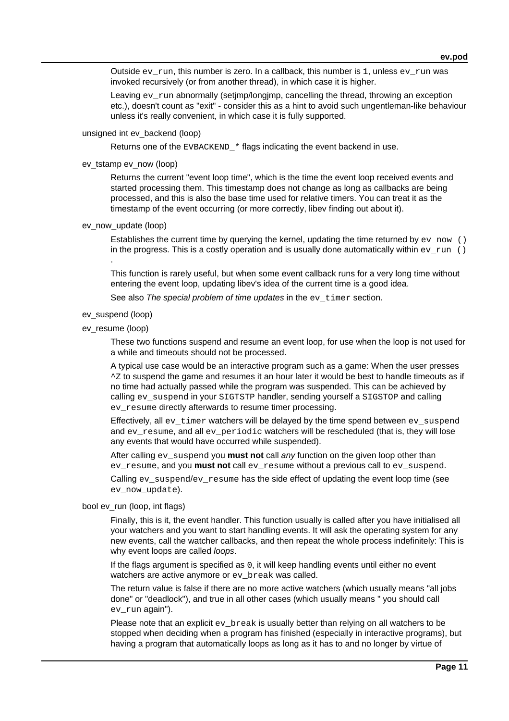Outside  $ev_{run}$ , this number is zero. In a callback, this number is 1, unless  $ev_{run}$  was invoked recursively (or from another thread), in which case it is higher.

Leaving ev\_run abnormally (setjmp/longjmp, cancelling the thread, throwing an exception etc.), doesn't count as "exit" - consider this as a hint to avoid such ungentleman-like behaviour unless it's really convenient, in which case it is fully supported.

### unsigned int ev\_backend (loop)

Returns one of the EVBACKEND\_\* flags indicating the event backend in use.

## ev\_tstamp ev\_now (loop)

Returns the current "event loop time", which is the time the event loop received events and started processing them. This timestamp does not change as long as callbacks are being processed, and this is also the base time used for relative timers. You can treat it as the timestamp of the event occurring (or more correctly, libev finding out about it).

### ev\_now\_update (loop)

Establishes the current time by querying the kernel, updating the time returned by  $ev_{\text{now}}$  () in the progress. This is a costly operation and is usually done automatically within  $ev_{r}run$  () .

This function is rarely useful, but when some event callback runs for a very long time without entering the event loop, updating libev's idea of the current time is a good idea.

See also The special problem of time updates in the ev timer section.

### ev\_suspend (loop)

### ev\_resume (loop)

These two functions suspend and resume an event loop, for use when the loop is not used for a while and timeouts should not be processed.

A typical use case would be an interactive program such as a game: When the user presses  $\textdegree$ z to suspend the game and resumes it an hour later it would be best to handle timeouts as if no time had actually passed while the program was suspended. This can be achieved by calling ev\_suspend in your SIGTSTP handler, sending yourself a SIGSTOP and calling ev\_resume directly afterwards to resume timer processing.

Effectively, all  $ev_t$  timer watchers will be delayed by the time spend between  $ev_t$  suspend and ev\_resume, and all ev\_periodic watchers will be rescheduled (that is, they will lose any events that would have occurred while suspended).

After calling ev suspend you **must not** call any function on the given loop other than ev\_resume, and you **must not** call ev\_resume without a previous call to ev\_suspend.

Calling ev\_suspend/ev\_resume has the side effect of updating the event loop time (see ev\_now\_update).

### bool ev\_run (loop, int flags)

Finally, this is it, the event handler. This function usually is called after you have initialised all your watchers and you want to start handling events. It will ask the operating system for any new events, call the watcher callbacks, and then repeat the whole process indefinitely: This is why event loops are called *loops*.

If the flags argument is specified as 0, it will keep handling events until either no event watchers are active anymore or ev break was called.

The return value is false if there are no more active watchers (which usually means "all jobs done" or "deadlock"), and true in all other cases (which usually means " you should call ev\_run again").

Please note that an explicit ev\_break is usually better than relying on all watchers to be stopped when deciding when a program has finished (especially in interactive programs), but having a program that automatically loops as long as it has to and no longer by virtue of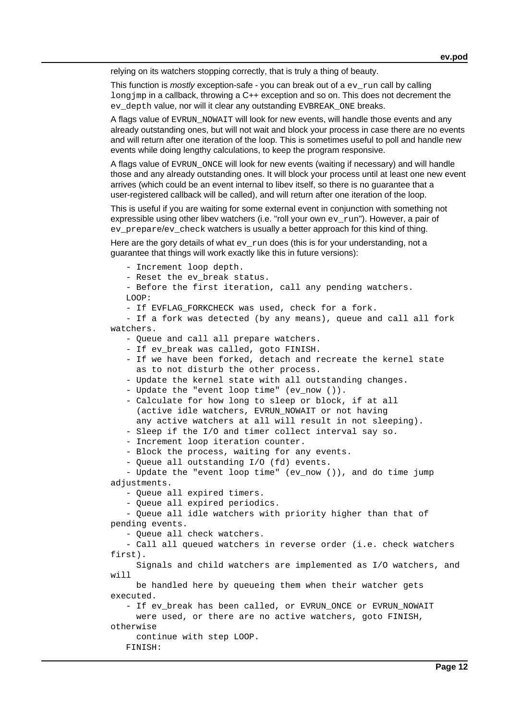relying on its watchers stopping correctly, that is truly a thing of beauty.

This function is *mostly* exception-safe - you can break out of a  $ev_{run}$  call by calling long jmp in a callback, throwing a C++ exception and so on. This does not decrement the ey depth value, nor will it clear any outstanding EVBREAK ONE breaks.

A flags value of EVRUN\_NOWAIT will look for new events, will handle those events and any already outstanding ones, but will not wait and block your process in case there are no events and will return after one iteration of the loop. This is sometimes useful to poll and handle new events while doing lengthy calculations, to keep the program responsive.

A flags value of EVRUN\_ONCE will look for new events (waiting if necessary) and will handle those and any already outstanding ones. It will block your process until at least one new event arrives (which could be an event internal to libev itself, so there is no guarantee that a user-registered callback will be called), and will return after one iteration of the loop.

This is useful if you are waiting for some external event in conjunction with something not expressible using other libev watchers (i.e. "roll your own  $ev\ run$ "). However, a pair of ev\_prepare/ev\_check watchers is usually a better approach for this kind of thing.

Here are the gory details of what  $ev_{run}$  does (this is for your understanding, not a guarantee that things will work exactly like this in future versions):

 - Increment loop depth. - Reset the ev\_break status.

 - Before the first iteration, call any pending watchers. LOOP:

- If EVFLAG\_FORKCHECK was used, check for a fork.

 - If a fork was detected (by any means), queue and call all fork watchers.

- Queue and call all prepare watchers.

- If ev\_break was called, goto FINISH.

 - If we have been forked, detach and recreate the kernel state as to not disturb the other process.

- Update the kernel state with all outstanding changes.

- Update the "event loop time" (ev\_now ()).

 - Calculate for how long to sleep or block, if at all (active idle watchers, EVRUN\_NOWAIT or not having any active watchers at all will result in not sleeping).

- Sleep if the I/O and timer collect interval say so.

- Increment loop iteration counter.

- Block the process, waiting for any events.

- Queue all outstanding I/O (fd) events.

 - Update the "event loop time" (ev\_now ()), and do time jump adjustments.

- Queue all expired timers.

- Queue all expired periodics.

 - Queue all idle watchers with priority higher than that of pending events.

- Queue all check watchers.

 - Call all queued watchers in reverse order (i.e. check watchers first).

 Signals and child watchers are implemented as I/O watchers, and will

 be handled here by queueing them when their watcher gets executed.

- If ev break has been called, or EVRUN ONCE or EVRUN NOWAIT were used, or there are no active watchers, goto FINISH,

otherwise

continue with step LOOP.

FINISH: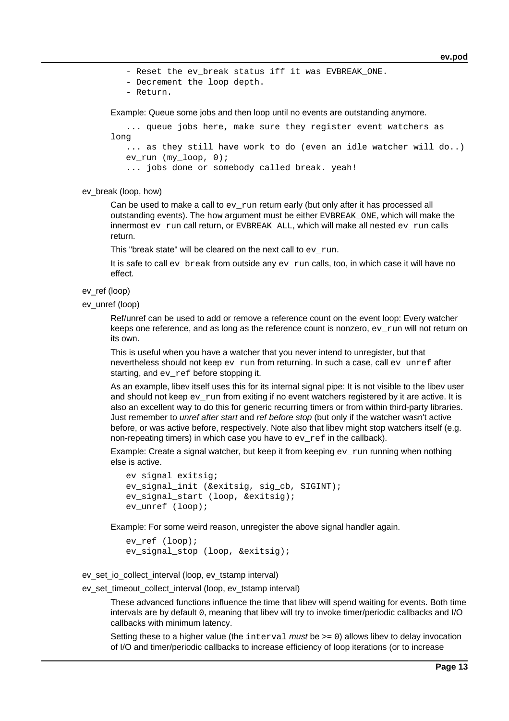- Reset the ev break status iff it was EVBREAK ONE.

- Decrement the loop depth.
- Return.

Example: Queue some jobs and then loop until no events are outstanding anymore.

```
 ... queue jobs here, make sure they register event watchers as
long
   ... as they still have work to do (even an idle watcher will do..)
```
ev run (my loop,  $0$ );

... jobs done or somebody called break. yeah!

ev\_break (loop, how)

Can be used to make a call to  $ev\_run$  return early (but only after it has processed all outstanding events). The  $how$  argument must be either  $EVBEREAK$  ONE, which will make the innermost  $ev_{run}$  call return, or EVBREAK\_ALL, which will make all nested  $ev_{run}$  calls return.

This "break state" will be cleared on the next call to  $ev_{run}$ .

It is safe to call  $ev\_break$  from outside any  $ev\_run$  calls, too, in which case it will have no effect.

ev\_ref (loop)

ev\_unref (loop)

Ref/unref can be used to add or remove a reference count on the event loop: Every watcher keeps one reference, and as long as the reference count is nonzero,  $ev\_run$  will not return on its own.

This is useful when you have a watcher that you never intend to unregister, but that nevertheless should not keep  $ev_{run}$  from returning. In such a case, call  $ev_{unref}$  after starting, and ev\_ref before stopping it.

As an example, libev itself uses this for its internal signal pipe: It is not visible to the libev user and should not keep  $ev\_run$  from exiting if no event watchers registered by it are active. It is also an excellent way to do this for generic recurring timers or from within third-party libraries. Just remember to *unref after start* and *ref before stop* (but only if the watcher wasn't active before, or was active before, respectively. Note also that libev might stop watchers itself (e.g. non-repeating timers) in which case you have to ev\_ref in the callback).

Example: Create a signal watcher, but keep it from keeping  $ev\_run$  running when nothing else is active.

```
 ev_signal exitsig;
 ev_signal_init (&exitsig, sig_cb, SIGINT);
 ev_signal_start (loop, &exitsig);
ev unref (loop);
```
Example: For some weird reason, unregister the above signal handler again.

```
 ev_ref (loop);
 ev_signal_stop (loop, &exitsig);
```
ev\_set\_io\_collect\_interval (loop, ev\_tstamp interval)

ev\_set\_timeout\_collect\_interval (loop, ev\_tstamp interval)

These advanced functions influence the time that libev will spend waiting for events. Both time intervals are by default 0, meaning that libev will try to invoke timer/periodic callbacks and I/O callbacks with minimum latency.

Setting these to a higher value (the  $interval$  must be  $>= 0$ ) allows libev to delay invocation of I/O and timer/periodic callbacks to increase efficiency of loop iterations (or to increase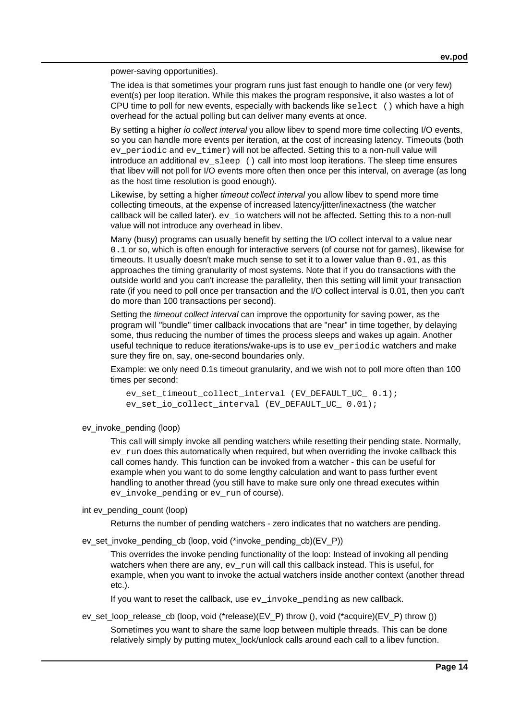power-saving opportunities).

The idea is that sometimes your program runs just fast enough to handle one (or very few) event(s) per loop iteration. While this makes the program responsive, it also wastes a lot of CPU time to poll for new events, especially with backends like select () which have a high overhead for the actual polling but can deliver many events at once.

By setting a higher *io collect interval* you allow libev to spend more time collecting I/O events, so you can handle more events per iteration, at the cost of increasing latency. Timeouts (both ev\_periodic and ev\_timer) will not be affected. Setting this to a non-null value will introduce an additional  $ev\_sleep$  () call into most loop iterations. The sleep time ensures that libev will not poll for I/O events more often then once per this interval, on average (as long as the host time resolution is good enough).

Likewise, by setting a higher *timeout collect interval* you allow libey to spend more time collecting timeouts, at the expense of increased latency/jitter/inexactness (the watcher callback will be called later). ev\_io watchers will not be affected. Setting this to a non-null value will not introduce any overhead in libev.

Many (busy) programs can usually benefit by setting the I/O collect interval to a value near 0.1 or so, which is often enough for interactive servers (of course not for games), likewise for timeouts. It usually doesn't make much sense to set it to a lower value than 0.01, as this approaches the timing granularity of most systems. Note that if you do transactions with the outside world and you can't increase the parallelity, then this setting will limit your transaction rate (if you need to poll once per transaction and the I/O collect interval is 0.01, then you can't do more than 100 transactions per second).

Setting the *timeout collect interval* can improve the opportunity for saving power, as the program will "bundle" timer callback invocations that are "near" in time together, by delaying some, thus reducing the number of times the process sleeps and wakes up again. Another useful technique to reduce iterations/wake-ups is to use  $ev$  periodic watchers and make sure they fire on, say, one-second boundaries only.

Example: we only need 0.1s timeout granularity, and we wish not to poll more often than 100 times per second:

 ev\_set\_timeout\_collect\_interval (EV\_DEFAULT\_UC\_ 0.1); ev\_set\_io\_collect\_interval (EV\_DEFAULT\_UC\_ 0.01);

ev\_invoke\_pending (loop)

This call will simply invoke all pending watchers while resetting their pending state. Normally, ev\_run does this automatically when required, but when overriding the invoke callback this call comes handy. This function can be invoked from a watcher - this can be useful for example when you want to do some lengthy calculation and want to pass further event handling to another thread (you still have to make sure only one thread executes within ev invoke pending or ev run of course).

int ev\_pending\_count (loop)

Returns the number of pending watchers - zero indicates that no watchers are pending.

ev\_set\_invoke\_pending\_cb (loop, void (\*invoke\_pending\_cb)(EV\_P))

This overrides the invoke pending functionality of the loop: Instead of invoking all pending watchers when there are any,  $ev_{run}$  will call this callback instead. This is useful, for example, when you want to invoke the actual watchers inside another context (another thread etc.).

If you want to reset the callback, use ev\_invoke\_pending as new callback.

ev\_set\_loop\_release\_cb (loop, void (\*release)(EV\_P) throw (), void (\*acquire)(EV\_P) throw ())

Sometimes you want to share the same loop between multiple threads. This can be done relatively simply by putting mutex\_lock/unlock calls around each call to a libev function.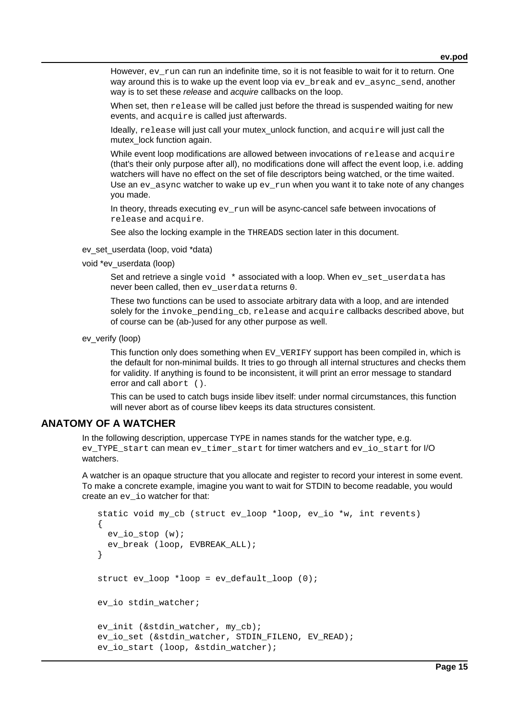However, ev\_run can run an indefinite time, so it is not feasible to wait for it to return. One way around this is to wake up the event loop via ev break and ev async send, another way is to set these release and acquire callbacks on the loop.

When set, then release will be called just before the thread is suspended waiting for new events, and acquire is called just afterwards.

Ideally, release will just call your mutex unlock function, and acquire will just call the mutex lock function again.

While event loop modifications are allowed between invocations of release and acquire (that's their only purpose after all), no modifications done will affect the event loop, i.e. adding watchers will have no effect on the set of file descriptors being watched, or the time waited. Use an  $ev$  async watcher to wake up  $ev_{run}$  when you want it to take note of any changes you made.

In theory, threads executing  $ev\ run$  will be async-cancel safe between invocations of release and acquire.

See also the locking example in the THREADS section later in this document.

- ev\_set\_userdata (loop, void \*data)
- void \*ev\_userdata (loop)

Set and retrieve a single  $\text{void}$   $*$  associated with a loop. When  $\text{ev}\,$  set userdata has never been called, then ev userdata returns 0.

These two functions can be used to associate arbitrary data with a loop, and are intended solely for the invoke pending cb, release and acquire callbacks described above, but of course can be (ab-)used for any other purpose as well.

ev\_verify (loop)

This function only does something when EV\_VERIFY support has been compiled in, which is the default for non-minimal builds. It tries to go through all internal structures and checks them for validity. If anything is found to be inconsistent, it will print an error message to standard error and call abort ().

This can be used to catch bugs inside libev itself: under normal circumstances, this function will never abort as of course libev keeps its data structures consistent.

# **ANATOMY OF A WATCHER**

In the following description, uppercase TYPE in names stands for the watcher type, e.g. ev\_TYPE\_start can mean ev\_timer\_start for timer watchers and ev\_io\_start for I/O watchers.

A watcher is an opaque structure that you allocate and register to record your interest in some event. To make a concrete example, imagine you want to wait for STDIN to become readable, you would create an ev\_io watcher for that:

```
 static void my_cb (struct ev_loop *loop, ev_io *w, int revents)
 {
   ev_io_stop (w);
  ev break (loop, EVBREAK ALL);
 }
struct ev loop *loop = ev default loop (0); ev_io stdin_watcher;
ev init (&stdin watcher, my cb);
ev io set (&stdin_watcher, STDIN_FILENO, EV_READ);
 ev_io_start (loop, &stdin_watcher);
```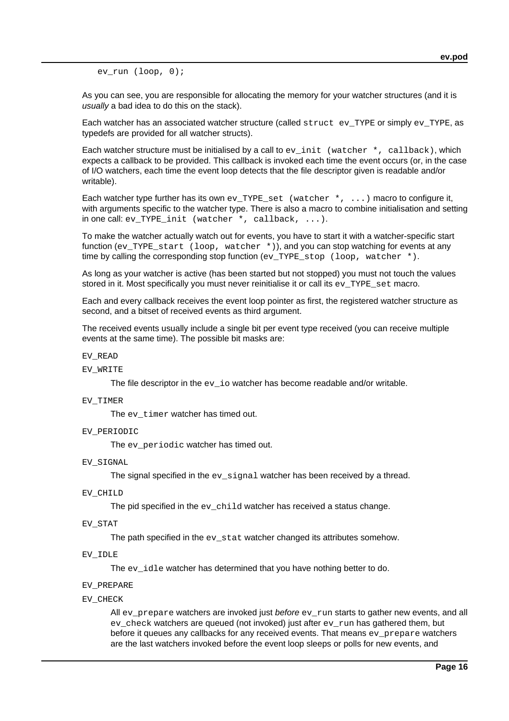ev run (loop, 0);

As you can see, you are responsible for allocating the memory for your watcher structures (and it is usually a bad idea to do this on the stack).

Each watcher has an associated watcher structure (called struct ev\_TYPE or simply ev\_TYPE, as typedefs are provided for all watcher structs).

Each watcher structure must be initialised by a call to  $ev\_init$  (watcher  $\star$ , callback), which expects a callback to be provided. This callback is invoked each time the event occurs (or, in the case of I/O watchers, each time the event loop detects that the file descriptor given is readable and/or writable).

Each watcher type further has its own ev\_TYPE\_set (watcher  $\star$ , ...) macro to configure it, with arguments specific to the watcher type. There is also a macro to combine initialisation and setting in one call: ev\_TYPE\_init (watcher \*, callback,  $\dots$ ).

To make the watcher actually watch out for events, you have to start it with a watcher-specific start function (ev\_TYPE\_start (loop, watcher \*)), and you can stop watching for events at any time by calling the corresponding stop function (ev\_TYPE\_stop (loop, watcher \*).

As long as your watcher is active (has been started but not stopped) you must not touch the values stored in it. Most specifically you must never reinitialise it or call its ev\_TYPE\_set macro.

Each and every callback receives the event loop pointer as first, the registered watcher structure as second, and a bitset of received events as third argument.

The received events usually include a single bit per event type received (you can receive multiple events at the same time). The possible bit masks are:

#### EV\_READ

#### EV\_WRITE

The file descriptor in the ev\_io watcher has become readable and/or writable.

### EV\_TIMER

The ev\_timer watcher has timed out.

EV\_PERIODIC

The ev\_periodic watcher has timed out.

EV\_SIGNAL

The signal specified in the  $ev\_signal$  watcher has been received by a thread.

EV\_CHILD

The pid specified in the  $ev$  child watcher has received a status change.

EV\_STAT

The path specified in the ev\_stat watcher changed its attributes somehow.

EV\_IDLE

The  $ev$  idle watcher has determined that you have nothing better to do.

### EV\_PREPARE

EV\_CHECK

All ev\_prepare watchers are invoked just before  $ev\_run$  starts to gather new events, and all ev\_check watchers are queued (not invoked) just after ev\_run has gathered them, but before it queues any callbacks for any received events. That means ev\_prepare watchers are the last watchers invoked before the event loop sleeps or polls for new events, and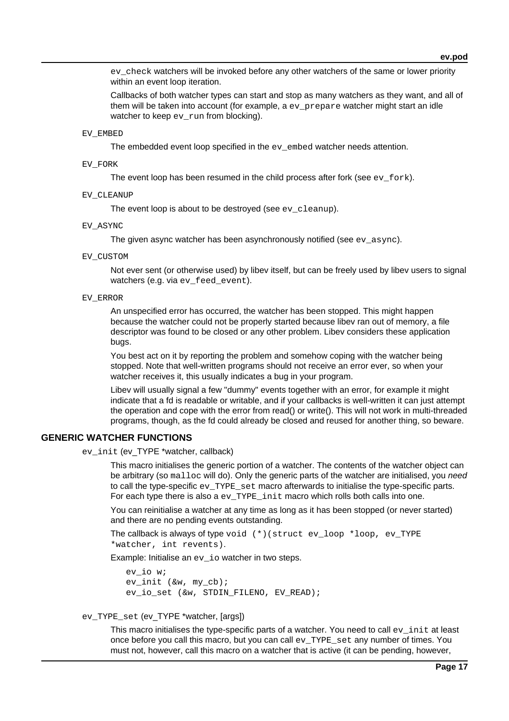ev check watchers will be invoked before any other watchers of the same or lower priority within an event loop iteration.

Callbacks of both watcher types can start and stop as many watchers as they want, and all of them will be taken into account (for example, a ev\_prepare watcher might start an idle watcher to keep  $ev$  run from blocking).

### EV\_EMBED

The embedded event loop specified in the ev embed watcher needs attention.

### EV\_FORK

The event loop has been resumed in the child process after fork (see  $ev_{\text{fork}}$ ).

EV\_CLEANUP

The event loop is about to be destroyed (see ev cleanup).

### EV\_ASYNC

The given async watcher has been asynchronously notified (see  $ev$  async).

### EV\_CUSTOM

Not ever sent (or otherwise used) by libev itself, but can be freely used by libev users to signal watchers (e.g. via ev feed event).

#### EV\_ERROR

An unspecified error has occurred, the watcher has been stopped. This might happen because the watcher could not be properly started because libev ran out of memory, a file descriptor was found to be closed or any other problem. Libev considers these application bugs.

You best act on it by reporting the problem and somehow coping with the watcher being stopped. Note that well-written programs should not receive an error ever, so when your watcher receives it, this usually indicates a bug in your program.

Libev will usually signal a few "dummy" events together with an error, for example it might indicate that a fd is readable or writable, and if your callbacks is well-written it can just attempt the operation and cope with the error from read() or write(). This will not work in multi-threaded programs, though, as the fd could already be closed and reused for another thing, so beware.

## **GENERIC WATCHER FUNCTIONS**

ev\_init (ev\_TYPE \*watcher, callback)

This macro initialises the generic portion of a watcher. The contents of the watcher object can be arbitrary (so malloc will do). Only the generic parts of the watcher are initialised, you need to call the type-specific ev\_TYPE\_set macro afterwards to initialise the type-specific parts. For each type there is also a ev\_TYPE\_init macro which rolls both calls into one.

You can reinitialise a watcher at any time as long as it has been stopped (or never started) and there are no pending events outstanding.

```
The callback is always of type void (*)(struct ev_loop *loop, ev_TYPE
*watcher, int revents).
```
Example: Initialise an ev\_io watcher in two steps.

```
 ev_io w;
 ev_init (&w, my_cb);
 ev_io_set (&w, STDIN_FILENO, EV_READ);
```
ev\_TYPE\_set (ev\_TYPE \*watcher, [args])

This macro initialises the type-specific parts of a watcher. You need to call ev\_init at least once before you call this macro, but you can call ev\_TYPE\_set any number of times. You must not, however, call this macro on a watcher that is active (it can be pending, however,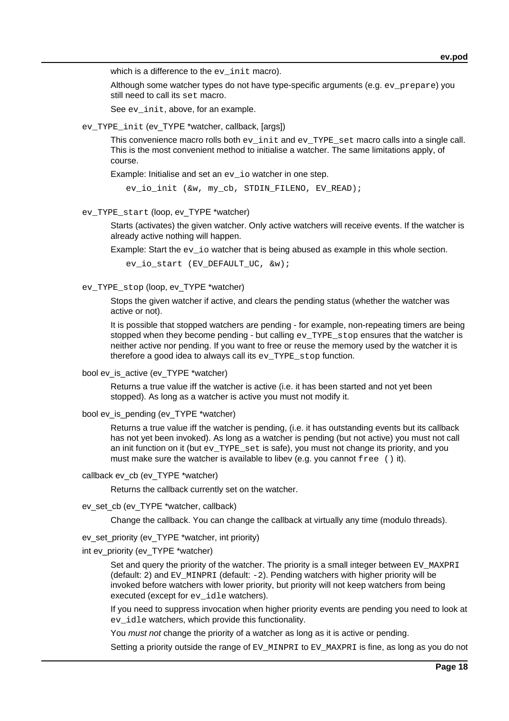which is a difference to the ev init macro).

Although some watcher types do not have type-specific arguments (e.g. ev\_prepare) you still need to call its set macro.

See ev init, above, for an example.

ev\_TYPE\_init (ev\_TYPE \*watcher, callback, [args])

This convenience macro rolls both ev\_init and ev\_TYPE\_set macro calls into a single call. This is the most convenient method to initialise a watcher. The same limitations apply, of course.

Example: Initialise and set an ev io watcher in one step.

ev io init (&w, my cb, STDIN FILENO, EV READ);

ev\_TYPE\_start (loop, ev\_TYPE \*watcher)

Starts (activates) the given watcher. Only active watchers will receive events. If the watcher is already active nothing will happen.

Example: Start the ev io watcher that is being abused as example in this whole section.

ev\_io\_start (EV\_DEFAULT\_UC, &w);

ev\_TYPE\_stop (loop, ev\_TYPE \*watcher)

Stops the given watcher if active, and clears the pending status (whether the watcher was active or not).

It is possible that stopped watchers are pending - for example, non-repeating timers are being stopped when they become pending - but calling  $ev$  TYPE stop ensures that the watcher is neither active nor pending. If you want to free or reuse the memory used by the watcher it is therefore a good idea to always call its ev\_TYPE\_stop function.

bool ev\_is\_active (ev\_TYPE \*watcher)

Returns a true value iff the watcher is active (i.e. it has been started and not yet been stopped). As long as a watcher is active you must not modify it.

bool ev\_is\_pending (ev\_TYPE \*watcher)

Returns a true value iff the watcher is pending, (i.e. it has outstanding events but its callback has not yet been invoked). As long as a watcher is pending (but not active) you must not call an init function on it (but ev\_TYPE\_set is safe), you must not change its priority, and you must make sure the watcher is available to libev (e.g. you cannot  $free$  () it).

callback ev\_cb (ev\_TYPE \*watcher)

Returns the callback currently set on the watcher.

ev\_set\_cb (ev\_TYPE \*watcher, callback)

Change the callback. You can change the callback at virtually any time (modulo threads).

ev\_set\_priority (ev\_TYPE \*watcher, int priority)

int ev\_priority (ev\_TYPE \*watcher)

Set and query the priority of the watcher. The priority is a small integer between EV MAXPRI (default: 2) and EV\_MINPRI (default:  $-2$ ). Pending watchers with higher priority will be invoked before watchers with lower priority, but priority will not keep watchers from being executed (except for ev\_idle watchers).

If you need to suppress invocation when higher priority events are pending you need to look at ev idle watchers, which provide this functionality.

You *must not* change the priority of a watcher as long as it is active or pending.

Setting a priority outside the range of EV\_MINPRI to EV\_MAXPRI is fine, as long as you do not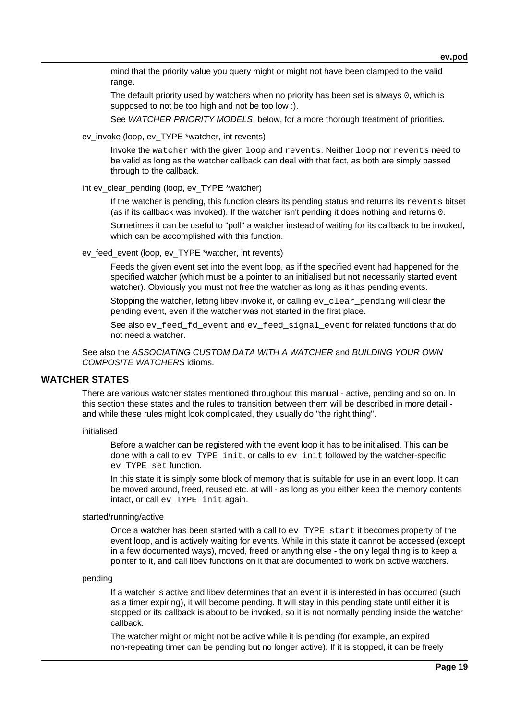mind that the priority value you query might or might not have been clamped to the valid range.

The default priority used by watchers when no priority has been set is always 0, which is supposed to not be too high and not be too low :).

See WATCHER PRIORITY MODELS, below, for a more thorough treatment of priorities.

ev\_invoke (loop, ev\_TYPE \*watcher, int revents)

Invoke the watcher with the given loop and revents. Neither loop nor revents need to be valid as long as the watcher callback can deal with that fact, as both are simply passed through to the callback.

int ev\_clear\_pending (loop, ev\_TYPE \*watcher)

If the watcher is pending, this function clears its pending status and returns its revents bitset (as if its callback was invoked). If the watcher isn't pending it does nothing and returns 0.

Sometimes it can be useful to "poll" a watcher instead of waiting for its callback to be invoked, which can be accomplished with this function.

ev\_feed\_event (loop, ev\_TYPE \*watcher, int revents)

Feeds the given event set into the event loop, as if the specified event had happened for the specified watcher (which must be a pointer to an initialised but not necessarily started event watcher). Obviously you must not free the watcher as long as it has pending events.

Stopping the watcher, letting libey invoke it, or calling ey clear pending will clear the pending event, even if the watcher was not started in the first place.

See also  $ev\_feed\_fd\_event$  and  $ev\_feed\_signal\_event$  for related functions that do not need a watcher.

See also the ASSOCIATING CUSTOM DATA WITH A WATCHER and BUILDING YOUR OWN COMPOSITE WATCHERS idioms.

# **WATCHER STATES**

There are various watcher states mentioned throughout this manual - active, pending and so on. In this section these states and the rules to transition between them will be described in more detail and while these rules might look complicated, they usually do "the right thing".

initialised

Before a watcher can be registered with the event loop it has to be initialised. This can be done with a call to  $ev$  TYPE init, or calls to  $ev$  init followed by the watcher-specific ev\_TYPE\_set function.

In this state it is simply some block of memory that is suitable for use in an event loop. It can be moved around, freed, reused etc. at will - as long as you either keep the memory contents intact, or call ev\_TYPE\_init again.

## started/running/active

Once a watcher has been started with a call to ev\_TYPE\_start it becomes property of the event loop, and is actively waiting for events. While in this state it cannot be accessed (except in a few documented ways), moved, freed or anything else - the only legal thing is to keep a pointer to it, and call libev functions on it that are documented to work on active watchers.

## pending

If a watcher is active and libev determines that an event it is interested in has occurred (such as a timer expiring), it will become pending. It will stay in this pending state until either it is stopped or its callback is about to be invoked, so it is not normally pending inside the watcher callback.

The watcher might or might not be active while it is pending (for example, an expired non-repeating timer can be pending but no longer active). If it is stopped, it can be freely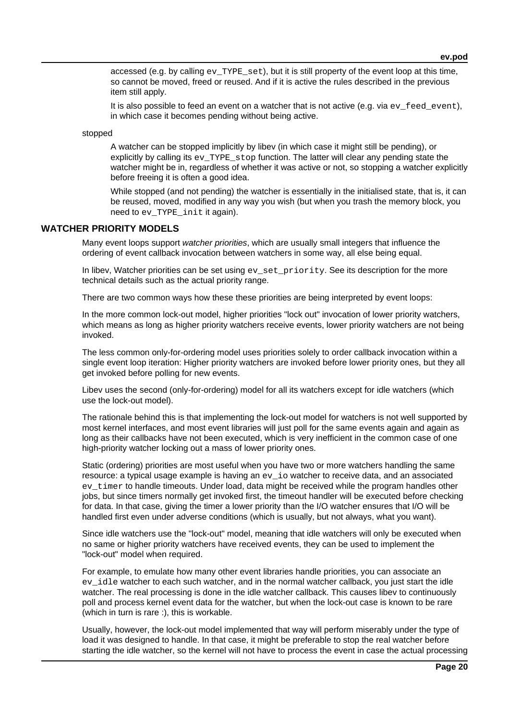accessed (e.g. by calling  $ev$  TYPE set), but it is still property of the event loop at this time, so cannot be moved, freed or reused. And if it is active the rules described in the previous item still apply.

It is also possible to feed an event on a watcher that is not active (e.g. via  $ev$  feed event), in which case it becomes pending without being active.

stopped

A watcher can be stopped implicitly by libev (in which case it might still be pending), or explicitly by calling its ev\_TYPE\_stop function. The latter will clear any pending state the watcher might be in, regardless of whether it was active or not, so stopping a watcher explicitly before freeing it is often a good idea.

While stopped (and not pending) the watcher is essentially in the initialised state, that is, it can be reused, moved, modified in any way you wish (but when you trash the memory block, you need to ev\_TYPE\_init it again).

## **WATCHER PRIORITY MODELS**

Many event loops support watcher priorities, which are usually small integers that influence the ordering of event callback invocation between watchers in some way, all else being equal.

In libev, Watcher priorities can be set using  $ev$  set priority. See its description for the more technical details such as the actual priority range.

There are two common ways how these these priorities are being interpreted by event loops:

In the more common lock-out model, higher priorities "lock out" invocation of lower priority watchers, which means as long as higher priority watchers receive events, lower priority watchers are not being invoked.

The less common only-for-ordering model uses priorities solely to order callback invocation within a single event loop iteration: Higher priority watchers are invoked before lower priority ones, but they all get invoked before polling for new events.

Libev uses the second (only-for-ordering) model for all its watchers except for idle watchers (which use the lock-out model).

The rationale behind this is that implementing the lock-out model for watchers is not well supported by most kernel interfaces, and most event libraries will just poll for the same events again and again as long as their callbacks have not been executed, which is very inefficient in the common case of one high-priority watcher locking out a mass of lower priority ones.

Static (ordering) priorities are most useful when you have two or more watchers handling the same resource: a typical usage example is having an ev\_io watcher to receive data, and an associated ev\_timer to handle timeouts. Under load, data might be received while the program handles other jobs, but since timers normally get invoked first, the timeout handler will be executed before checking for data. In that case, giving the timer a lower priority than the I/O watcher ensures that I/O will be handled first even under adverse conditions (which is usually, but not always, what you want).

Since idle watchers use the "lock-out" model, meaning that idle watchers will only be executed when no same or higher priority watchers have received events, they can be used to implement the "lock-out" model when required.

For example, to emulate how many other event libraries handle priorities, you can associate an ev idle watcher to each such watcher, and in the normal watcher callback, you just start the idle watcher. The real processing is done in the idle watcher callback. This causes libev to continuously poll and process kernel event data for the watcher, but when the lock-out case is known to be rare (which in turn is rare :), this is workable.

Usually, however, the lock-out model implemented that way will perform miserably under the type of load it was designed to handle. In that case, it might be preferable to stop the real watcher before starting the idle watcher, so the kernel will not have to process the event in case the actual processing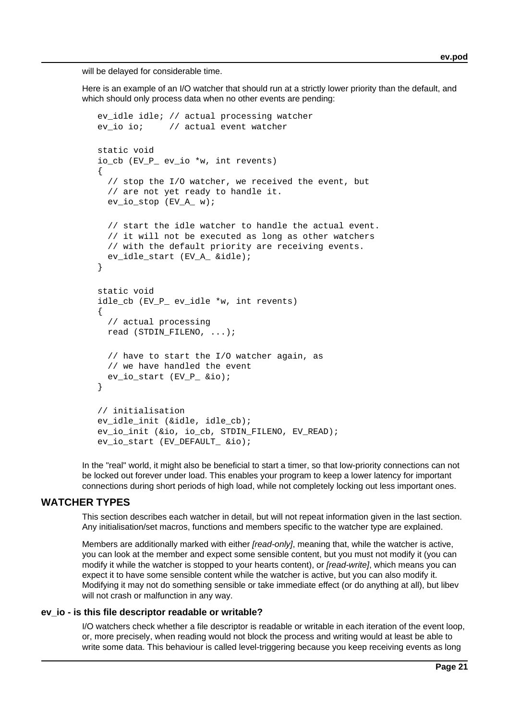will be delayed for considerable time.

Here is an example of an I/O watcher that should run at a strictly lower priority than the default, and which should only process data when no other events are pending:

```
 ev_idle idle; // actual processing watcher
   ev io io; // actual event watcher
    static void
    io_cb (EV_P_ ev_io *w, int revents)
    {
       // stop the I/O watcher, we received the event, but
       // are not yet ready to handle it.
      ev io stop (EV A w);
       // start the idle watcher to handle the actual event.
       // it will not be executed as long as other watchers
       // with the default priority are receiving events.
       ev_idle_start (EV_A_ &idle);
    }
    static void
    idle_cb (EV_P_ ev_idle *w, int revents)
\{ \cdot \cdot \cdot \cdot \cdot \cdot \cdot \cdot \cdot \cdot \cdot \cdot \cdot \cdot \cdot \cdot \cdot \cdot \cdot \cdot \cdot \cdot \cdot \cdot \cdot \cdot \cdot \cdot \cdot \cdot \cdot \cdot \cdot \cdot \cdot \cdot 
       // actual processing
      read (STDIN FILENO, ...);
       // have to start the I/O watcher again, as
       // we have handled the event
       ev_io_start (EV_P_ &io);
    }
    // initialisation
    ev_idle_init (&idle, idle_cb);
    ev_io_init (&io, io_cb, STDIN_FILENO, EV_READ);
    ev_io_start (EV_DEFAULT_ &io);
```
In the "real" world, it might also be beneficial to start a timer, so that low-priority connections can not be locked out forever under load. This enables your program to keep a lower latency for important connections during short periods of high load, while not completely locking out less important ones.

## **WATCHER TYPES**

This section describes each watcher in detail, but will not repeat information given in the last section. Any initialisation/set macros, functions and members specific to the watcher type are explained.

Members are additionally marked with either *[read-only]*, meaning that, while the watcher is active, you can look at the member and expect some sensible content, but you must not modify it (you can modify it while the watcher is stopped to your hearts content), or *fread-writel*, which means you can expect it to have some sensible content while the watcher is active, but you can also modify it. Modifying it may not do something sensible or take immediate effect (or do anything at all), but libev will not crash or malfunction in any way.

## **ev\_io - is this file descriptor readable or writable?**

I/O watchers check whether a file descriptor is readable or writable in each iteration of the event loop, or, more precisely, when reading would not block the process and writing would at least be able to write some data. This behaviour is called level-triggering because you keep receiving events as long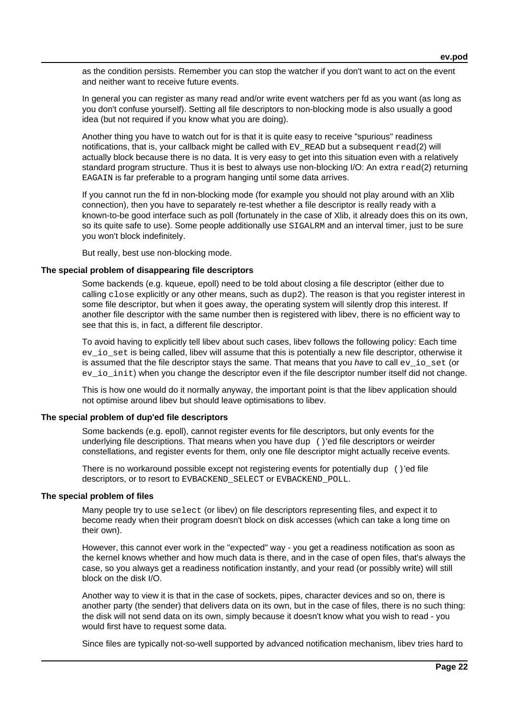as the condition persists. Remember you can stop the watcher if you don't want to act on the event and neither want to receive future events.

In general you can register as many read and/or write event watchers per fd as you want (as long as you don't confuse yourself). Setting all file descriptors to non-blocking mode is also usually a good idea (but not required if you know what you are doing).

Another thing you have to watch out for is that it is quite easy to receive "spurious" readiness notifications, that is, your callback might be called with EV. READ but a subsequent read(2) will actually block because there is no data. It is very easy to get into this situation even with a relatively standard program structure. Thus it is best to always use non-blocking I/O: An extra read(2) returning EAGAIN is far preferable to a program hanging until some data arrives.

If you cannot run the fd in non-blocking mode (for example you should not play around with an Xlib connection), then you have to separately re-test whether a file descriptor is really ready with a known-to-be good interface such as poll (fortunately in the case of Xlib, it already does this on its own, so its quite safe to use). Some people additionally use SIGALRM and an interval timer, just to be sure you won't block indefinitely.

But really, best use non-blocking mode.

## **The special problem of disappearing file descriptors**

Some backends (e.g. kqueue, epoll) need to be told about closing a file descriptor (either due to calling close explicitly or any other means, such as dup2). The reason is that you register interest in some file descriptor, but when it goes away, the operating system will silently drop this interest. If another file descriptor with the same number then is registered with libev, there is no efficient way to see that this is, in fact, a different file descriptor.

To avoid having to explicitly tell libev about such cases, libev follows the following policy: Each time ev\_io\_set is being called, libev will assume that this is potentially a new file descriptor, otherwise it is assumed that the file descriptor stays the same. That means that you have to call  $ev$  io set (or ev\_io\_init) when you change the descriptor even if the file descriptor number itself did not change.

This is how one would do it normally anyway, the important point is that the libev application should not optimise around libev but should leave optimisations to libev.

### **The special problem of dup'ed file descriptors**

Some backends (e.g. epoll), cannot register events for file descriptors, but only events for the underlying file descriptions. That means when you have dup ()'ed file descriptors or weirder constellations, and register events for them, only one file descriptor might actually receive events.

There is no workaround possible except not registering events for potentially dup ()'ed file descriptors, or to resort to EVBACKEND\_SELECT or EVBACKEND\_POLL.

### **The special problem of files**

Many people try to use select (or libev) on file descriptors representing files, and expect it to become ready when their program doesn't block on disk accesses (which can take a long time on their own).

However, this cannot ever work in the "expected" way - you get a readiness notification as soon as the kernel knows whether and how much data is there, and in the case of open files, that's always the case, so you always get a readiness notification instantly, and your read (or possibly write) will still block on the disk I/O.

Another way to view it is that in the case of sockets, pipes, character devices and so on, there is another party (the sender) that delivers data on its own, but in the case of files, there is no such thing: the disk will not send data on its own, simply because it doesn't know what you wish to read - you would first have to request some data.

Since files are typically not-so-well supported by advanced notification mechanism, libev tries hard to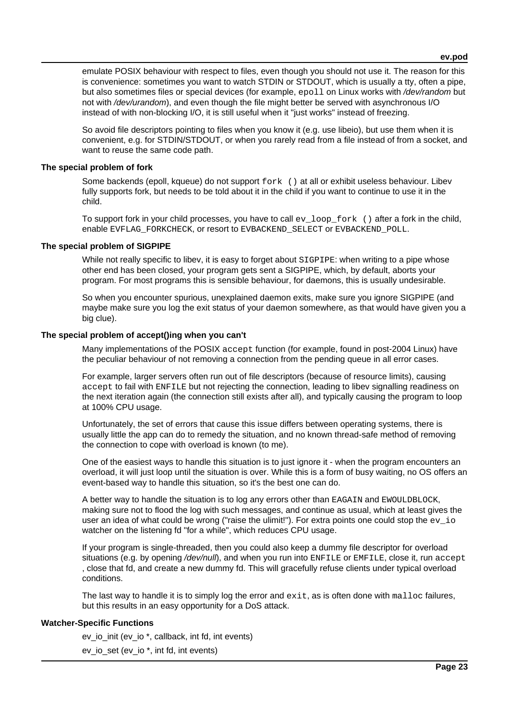emulate POSIX behaviour with respect to files, even though you should not use it. The reason for this is convenience: sometimes you want to watch STDIN or STDOUT, which is usually a tty, often a pipe, but also sometimes files or special devices (for example, epoll on Linux works with /dev/random but not with /dev/urandom), and even though the file might better be served with asynchronous I/O instead of with non-blocking I/O, it is still useful when it "just works" instead of freezing.

So avoid file descriptors pointing to files when you know it (e.g. use libeio), but use them when it is convenient, e.g. for STDIN/STDOUT, or when you rarely read from a file instead of from a socket, and want to reuse the same code path.

### **The special problem of fork**

Some backends (epoll, kqueue) do not support  $fork$  () at all or exhibit useless behaviour. Libev fully supports fork, but needs to be told about it in the child if you want to continue to use it in the child.

To support fork in your child processes, you have to call  $ev\$ loop  $f(x)$  after a fork in the child, enable EVFLAG\_FORKCHECK, or resort to EVBACKEND\_SELECT or EVBACKEND\_POLL.

## **The special problem of SIGPIPE**

While not really specific to libey, it is easy to forget about SIGPIPE: when writing to a pipe whose other end has been closed, your program gets sent a SIGPIPE, which, by default, aborts your program. For most programs this is sensible behaviour, for daemons, this is usually undesirable.

So when you encounter spurious, unexplained daemon exits, make sure you ignore SIGPIPE (and maybe make sure you log the exit status of your daemon somewhere, as that would have given you a big clue).

## **The special problem of accept()ing when you can't**

Many implementations of the POSIX accept function (for example, found in post-2004 Linux) have the peculiar behaviour of not removing a connection from the pending queue in all error cases.

For example, larger servers often run out of file descriptors (because of resource limits), causing accept to fail with ENFILE but not rejecting the connection, leading to libev signalling readiness on the next iteration again (the connection still exists after all), and typically causing the program to loop at 100% CPU usage.

Unfortunately, the set of errors that cause this issue differs between operating systems, there is usually little the app can do to remedy the situation, and no known thread-safe method of removing the connection to cope with overload is known (to me).

One of the easiest ways to handle this situation is to just ignore it - when the program encounters an overload, it will just loop until the situation is over. While this is a form of busy waiting, no OS offers an event-based way to handle this situation, so it's the best one can do.

A better way to handle the situation is to log any errors other than EAGAIN and EWOULDBLOCK, making sure not to flood the log with such messages, and continue as usual, which at least gives the user an idea of what could be wrong ("raise the ulimit!"). For extra points one could stop the  $ev$  io watcher on the listening fd "for a while", which reduces CPU usage.

If your program is single-threaded, then you could also keep a dummy file descriptor for overload situations (e.g. by opening /dev/null), and when you run into ENFILE or EMFILE, close it, run accept , close that fd, and create a new dummy fd. This will gracefully refuse clients under typical overload conditions.

The last way to handle it is to simply log the error and  $ext{exit}$ , as is often done with malloc failures, but this results in an easy opportunity for a DoS attack.

## **Watcher-Specific Functions**

ev io init (ev io \*, callback, int fd, int events)

ev\_io\_set (ev\_io \*, int fd, int events)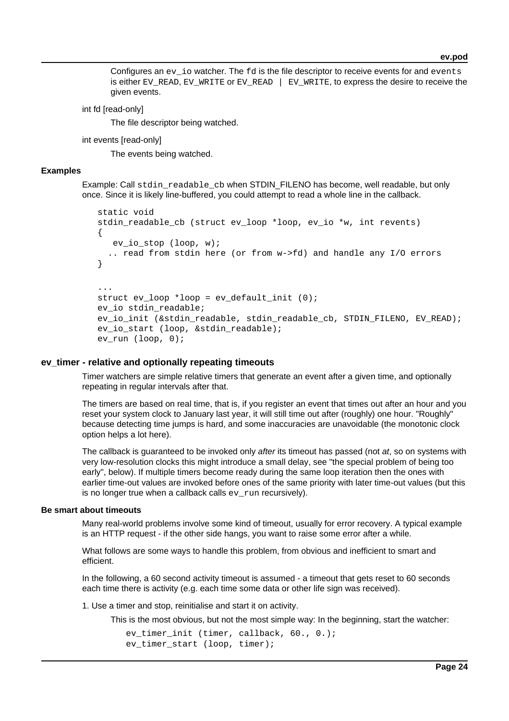Configures an  $ev$  io watcher. The  $fd$  is the file descriptor to receive events for and events is either EV\_READ, EV\_WRITE or EV\_READ  $|$  EV\_WRITE, to express the desire to receive the given events.

int fd [read-only]

The file descriptor being watched.

int events [read-only]

The events being watched.

### **Examples**

Example: Call stdin readable cb when STDIN FILENO has become, well readable, but only once. Since it is likely line-buffered, you could attempt to read a whole line in the callback.

```
 static void
   stdin_readable_cb (struct ev_loop *loop, ev_io *w, int revents)
    {
      ev_io_stop (loop, w);
      .. read from stdin here (or from w->fd) and handle any I/O errors
    }
 ...
  struct ev loop *loop = ev default init (0); ev_io stdin_readable;
   ev_io_init (&stdin_readable, stdin_readable_cb, STDIN_FILENO, EV_READ);
   ev_io_start (loop, &stdin_readable);
   ev_run (loop, 0);
```
### **ev\_timer - relative and optionally repeating timeouts**

Timer watchers are simple relative timers that generate an event after a given time, and optionally repeating in regular intervals after that.

The timers are based on real time, that is, if you register an event that times out after an hour and you reset your system clock to January last year, it will still time out after (roughly) one hour. "Roughly" because detecting time jumps is hard, and some inaccuracies are unavoidable (the monotonic clock option helps a lot here).

The callback is guaranteed to be invoked only after its timeout has passed (not at, so on systems with very low-resolution clocks this might introduce a small delay, see "the special problem of being too early", below). If multiple timers become ready during the same loop iteration then the ones with earlier time-out values are invoked before ones of the same priority with later time-out values (but this is no longer true when a callback calls  $ev\ run$  recursively).

### **Be smart about timeouts**

Many real-world problems involve some kind of timeout, usually for error recovery. A typical example is an HTTP request - if the other side hangs, you want to raise some error after a while.

What follows are some ways to handle this problem, from obvious and inefficient to smart and efficient.

In the following, a 60 second activity timeout is assumed - a timeout that gets reset to 60 seconds each time there is activity (e.g. each time some data or other life sign was received).

1. Use a timer and stop, reinitialise and start it on activity.

This is the most obvious, but not the most simple way: In the beginning, start the watcher:

```
 ev_timer_init (timer, callback, 60., 0.);
ev timer start (loop, timer);
```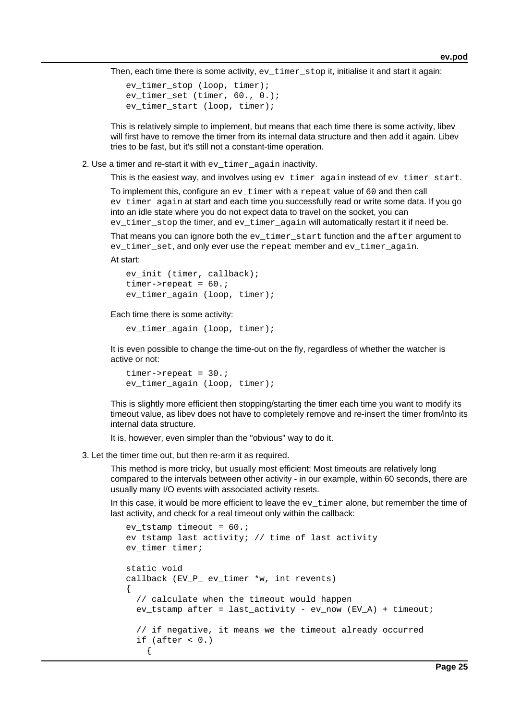Then, each time there is some activity,  $ev_{\text{timer}}$  stop it, initialise it and start it again:

```
ev timer stop (loop, timer);
 ev_timer_set (timer, 60., 0.);
 ev_timer_start (loop, timer);
```
This is relatively simple to implement, but means that each time there is some activity, libev will first have to remove the timer from its internal data structure and then add it again. Libev tries to be fast, but it's still not a constant-time operation.

2. Use a timer and re-start it with ev\_timer\_again inactivity.

This is the easiest way, and involves using  $ev_t$  timer again instead of  $ev_t$  timer start.

To implement this, configure an ev\_timer with a repeat value of 60 and then call ev timer again at start and each time you successfully read or write some data. If you go into an idle state where you do not expect data to travel on the socket, you can ev\_timer\_stop the timer, and ev\_timer\_again will automatically restart it if need be.

That means you can ignore both the  $ev\_timer\_start$  function and the  $after$  argument to ev\_timer\_set, and only ever use the repeat member and ev\_timer\_again.

At start:

```
 ev_init (timer, callback);
timer->repeat = 60.;
 ev_timer_again (loop, timer);
```
Each time there is some activity:

```
 ev_timer_again (loop, timer);
```
It is even possible to change the time-out on the fly, regardless of whether the watcher is active or not:

```
timer->repeat = 30.;
 ev_timer_again (loop, timer);
```
This is slightly more efficient then stopping/starting the timer each time you want to modify its timeout value, as libev does not have to completely remove and re-insert the timer from/into its internal data structure.

It is, however, even simpler than the "obvious" way to do it.

3. Let the timer time out, but then re-arm it as required.

This method is more tricky, but usually most efficient: Most timeouts are relatively long compared to the intervals between other activity - in our example, within 60 seconds, there are usually many I/O events with associated activity resets.

In this case, it would be more efficient to leave the  $ev$ \_ $t$  imex alone, but remember the time of last activity, and check for a real timeout only within the callback:

```
ev_tstamp timeout = 60.;
     ev_tstamp last_activity; // time of last activity
     ev_timer timer;
     static void
     callback (EV_P_ ev_timer *w, int revents)
\{ \cdot \cdot \cdot \cdot \cdot \cdot \cdot \cdot \cdot \cdot \cdot \cdot \cdot \cdot \cdot \cdot \cdot \cdot \cdot \cdot \cdot \cdot \cdot \cdot \cdot \cdot \cdot \cdot \cdot \cdot \cdot \cdot \cdot \cdot \cdot \cdot 
         // calculate when the timeout would happen
        ev_tstamp after = last_activity - ev_now (EV_A) + timeout;
         // if negative, it means we the timeout already occurred
        if (after < 0.) {
```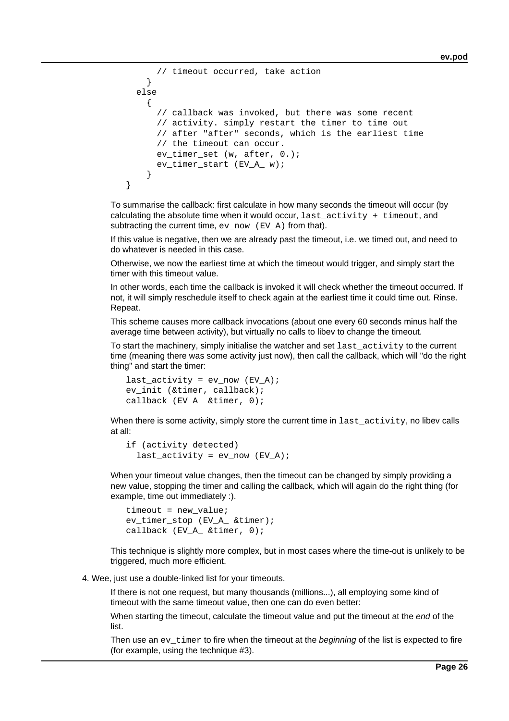```
 // timeout occurred, take action
 }
      else
        {
          // callback was invoked, but there was some recent
          // activity. simply restart the timer to time out
          // after "after" seconds, which is the earliest time
          // the timeout can occur.
         ev timer set (w, after, 0.);
          ev_timer_start (EV_A_ w);
        }
   }
```
To summarise the callback: first calculate in how many seconds the timeout will occur (by calculating the absolute time when it would occur,  $last\_activity + timeout$ , and subtracting the current time,  $ev\_now$  ( $EV_A$ ) from that).

If this value is negative, then we are already past the timeout, i.e. we timed out, and need to do whatever is needed in this case.

Otherwise, we now the earliest time at which the timeout would trigger, and simply start the timer with this timeout value.

In other words, each time the callback is invoked it will check whether the timeout occurred. If not, it will simply reschedule itself to check again at the earliest time it could time out. Rinse. Repeat.

This scheme causes more callback invocations (about one every 60 seconds minus half the average time between activity), but virtually no calls to libev to change the timeout.

To start the machinery, simply initialise the watcher and set last\_activity to the current time (meaning there was some activity just now), then call the callback, which will "do the right thing" and start the timer:

```
last\_activity = ev\_now (EV_A); ev_init (&timer, callback);
 callback (EV_A_ &timer, 0);
```
When there is some activity, simply store the current time in  $last\_activity$ , no libev calls at all:

```
 if (activity detected)
  last\_activity = ev\_now (EV_A);
```
When your timeout value changes, then the timeout can be changed by simply providing a new value, stopping the timer and calling the callback, which will again do the right thing (for example, time out immediately :).

```
 timeout = new_value;
 ev_timer_stop (EV_A_ &timer);
callback (EV A &timer, 0);
```
This technique is slightly more complex, but in most cases where the time-out is unlikely to be triggered, much more efficient.

4. Wee, just use a double-linked list for your timeouts.

If there is not one request, but many thousands (millions...), all employing some kind of timeout with the same timeout value, then one can do even better:

When starting the timeout, calculate the timeout value and put the timeout at the *end* of the list.

Then use an  $ev$ \_timer to fire when the timeout at the beginning of the list is expected to fire (for example, using the technique #3).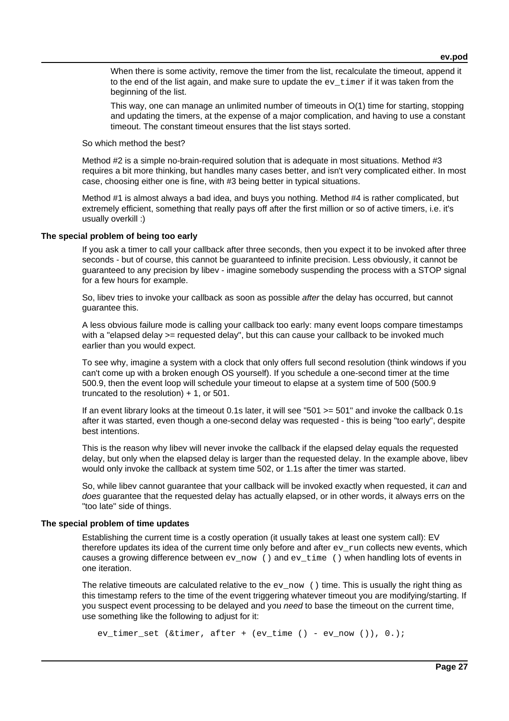When there is some activity, remove the timer from the list, recalculate the timeout, append it to the end of the list again, and make sure to update the  $ev$   $\tt$  imer if it was taken from the beginning of the list.

This way, one can manage an unlimited number of timeouts in O(1) time for starting, stopping and updating the timers, at the expense of a major complication, and having to use a constant timeout. The constant timeout ensures that the list stays sorted.

So which method the best?

Method #2 is a simple no-brain-required solution that is adequate in most situations. Method #3 requires a bit more thinking, but handles many cases better, and isn't very complicated either. In most case, choosing either one is fine, with #3 being better in typical situations.

Method #1 is almost always a bad idea, and buys you nothing. Method #4 is rather complicated, but extremely efficient, something that really pays off after the first million or so of active timers, i.e. it's usually overkill :)

## **The special problem of being too early**

If you ask a timer to call your callback after three seconds, then you expect it to be invoked after three seconds - but of course, this cannot be guaranteed to infinite precision. Less obviously, it cannot be guaranteed to any precision by libev - imagine somebody suspending the process with a STOP signal for a few hours for example.

So, libev tries to invoke your callback as soon as possible after the delay has occurred, but cannot guarantee this.

A less obvious failure mode is calling your callback too early: many event loops compare timestamps with a "elapsed delay >= requested delay", but this can cause your callback to be invoked much earlier than you would expect.

To see why, imagine a system with a clock that only offers full second resolution (think windows if you can't come up with a broken enough OS yourself). If you schedule a one-second timer at the time 500.9, then the event loop will schedule your timeout to elapse at a system time of 500 (500.9 truncated to the resolution) + 1, or 501.

If an event library looks at the timeout 0.1s later, it will see "501 >= 501" and invoke the callback 0.1s after it was started, even though a one-second delay was requested - this is being "too early", despite best intentions.

This is the reason why libev will never invoke the callback if the elapsed delay equals the requested delay, but only when the elapsed delay is larger than the requested delay. In the example above, libev would only invoke the callback at system time 502, or 1.1s after the timer was started.

So, while libev cannot guarantee that your callback will be invoked exactly when requested, it can and does guarantee that the requested delay has actually elapsed, or in other words, it always errs on the "too late" side of things.

### **The special problem of time updates**

Establishing the current time is a costly operation (it usually takes at least one system call): EV therefore updates its idea of the current time only before and after ev\_run collects new events, which causes a growing difference between  $ev_{\text{now}}$  () and  $ev_{\text{time}}$  () when handling lots of events in one iteration.

The relative timeouts are calculated relative to the  $ev_{\text{now}}$  () time. This is usually the right thing as this timestamp refers to the time of the event triggering whatever timeout you are modifying/starting. If you suspect event processing to be delayed and you *need* to base the timeout on the current time. use something like the following to adjust for it:

```
ev_timer_set (&timer, after + (ev_time () - ev_now ()), 0.);
```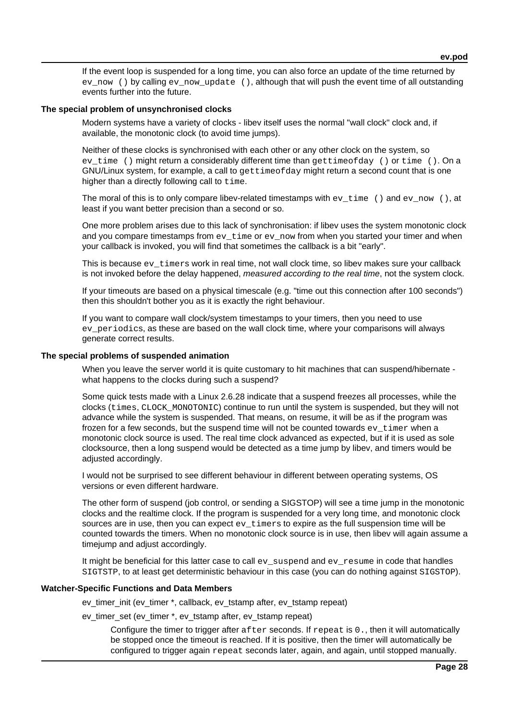If the event loop is suspended for a long time, you can also force an update of the time returned by ev\_now () by calling ev\_now\_update (), although that will push the event time of all outstanding events further into the future.

### **The special problem of unsynchronised clocks**

Modern systems have a variety of clocks - libev itself uses the normal "wall clock" clock and, if available, the monotonic clock (to avoid time jumps).

Neither of these clocks is synchronised with each other or any other clock on the system, so ev time () might return a considerably different time than gettimeofday () or time (). On a GNU/Linux system, for example, a call to gettimeofday might return a second count that is one higher than a directly following call to time.

The moral of this is to only compare libev-related timestamps with  $ev\_time$  () and  $ev\_now$  (), at least if you want better precision than a second or so.

One more problem arises due to this lack of synchronisation: if libev uses the system monotonic clock and you compare timestamps from  $ev$  time or  $ev$  now from when you started your timer and when your callback is invoked, you will find that sometimes the callback is a bit "early".

This is because ev\_timers work in real time, not wall clock time, so libev makes sure your callback is not invoked before the delay happened, measured according to the real time, not the system clock.

If your timeouts are based on a physical timescale (e.g. "time out this connection after 100 seconds") then this shouldn't bother you as it is exactly the right behaviour.

If you want to compare wall clock/system timestamps to your timers, then you need to use ev\_periodics, as these are based on the wall clock time, where your comparisons will always generate correct results.

### **The special problems of suspended animation**

When you leave the server world it is quite customary to hit machines that can suspend/hibernate what happens to the clocks during such a suspend?

Some quick tests made with a Linux 2.6.28 indicate that a suspend freezes all processes, while the clocks (times, CLOCK\_MONOTONIC) continue to run until the system is suspended, but they will not advance while the system is suspended. That means, on resume, it will be as if the program was frozen for a few seconds, but the suspend time will not be counted towards  $ev_{\text{time}}$  when a monotonic clock source is used. The real time clock advanced as expected, but if it is used as sole clocksource, then a long suspend would be detected as a time jump by libev, and timers would be adjusted accordingly.

I would not be surprised to see different behaviour in different between operating systems, OS versions or even different hardware.

The other form of suspend (job control, or sending a SIGSTOP) will see a time jump in the monotonic clocks and the realtime clock. If the program is suspended for a very long time, and monotonic clock sources are in use, then you can expect ev timers to expire as the full suspension time will be counted towards the timers. When no monotonic clock source is in use, then libev will again assume a timejump and adjust accordingly.

It might be beneficial for this latter case to call ev\_suspend and ev\_resume in code that handles SIGTSTP, to at least get deterministic behaviour in this case (you can do nothing against SIGSTOP).

### **Watcher-Specific Functions and Data Members**

ev\_timer\_init (ev\_timer \*, callback, ev\_tstamp after, ev\_tstamp repeat)

ev\_timer\_set (ev\_timer \*, ev\_tstamp after, ev\_tstamp repeat)

Configure the timer to trigger after after seconds. If repeat is 0., then it will automatically be stopped once the timeout is reached. If it is positive, then the timer will automatically be configured to trigger again repeat seconds later, again, and again, until stopped manually.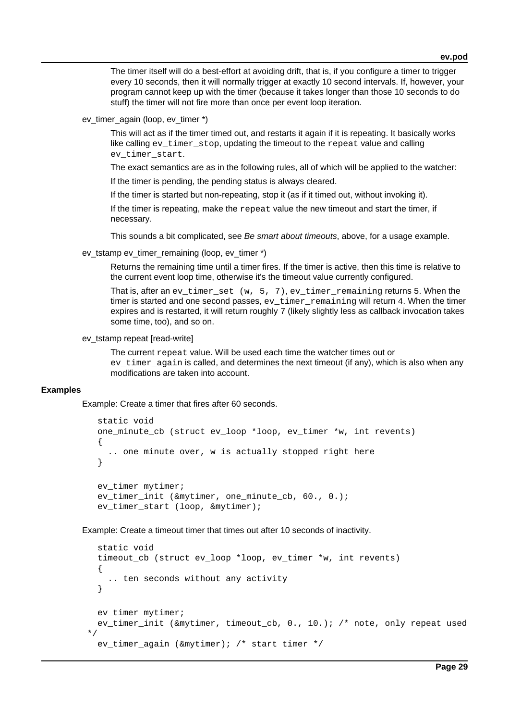The timer itself will do a best-effort at avoiding drift, that is, if you configure a timer to trigger every 10 seconds, then it will normally trigger at exactly 10 second intervals. If, however, your program cannot keep up with the timer (because it takes longer than those 10 seconds to do stuff) the timer will not fire more than once per event loop iteration.

ev timer again (loop, ev timer \*)

This will act as if the timer timed out, and restarts it again if it is repeating. It basically works like calling ev\_timer\_stop, updating the timeout to the repeat value and calling ev\_timer\_start.

The exact semantics are as in the following rules, all of which will be applied to the watcher:

If the timer is pending, the pending status is always cleared.

If the timer is started but non-repeating, stop it (as if it timed out, without invoking it).

If the timer is repeating, make the  $r$ epeat value the new timeout and start the timer, if necessary.

This sounds a bit complicated, see Be smart about timeouts, above, for a usage example.

ev\_tstamp ev\_timer\_remaining (loop, ev\_timer \*)

Returns the remaining time until a timer fires. If the timer is active, then this time is relative to the current event loop time, otherwise it's the timeout value currently configured.

That is, after an ev\_timer\_set (w, 5, 7), ev\_timer\_remaining returns 5. When the timer is started and one second passes,  $ev$  timer remaining will return 4. When the timer expires and is restarted, it will return roughly 7 (likely slightly less as callback invocation takes some time, too), and so on.

## ev\_tstamp repeat [read-write]

The current repeat value. Will be used each time the watcher times out or ev timer again is called, and determines the next timeout (if any), which is also when any modifications are taken into account.

## **Examples**

Example: Create a timer that fires after 60 seconds.

```
 static void
 one_minute_cb (struct ev_loop *loop, ev_timer *w, int revents)
 {
   .. one minute over, w is actually stopped right here
 }
 ev_timer mytimer;
 ev_timer_init (&mytimer, one_minute_cb, 60., 0.);
 ev_timer_start (loop, &mytimer);
```
Example: Create a timeout timer that times out after 10 seconds of inactivity.

```
 static void
  timeout_cb (struct ev_loop *loop, ev_timer *w, int revents)
  \{ .. ten seconds without any activity
   }
 ev timer mytimer;
  ev_timer_init (&mytimer, timeout_cb, 0., 10.); /* note, only repeat used
*/
 ev timer again (&mytimer); /* start timer */
```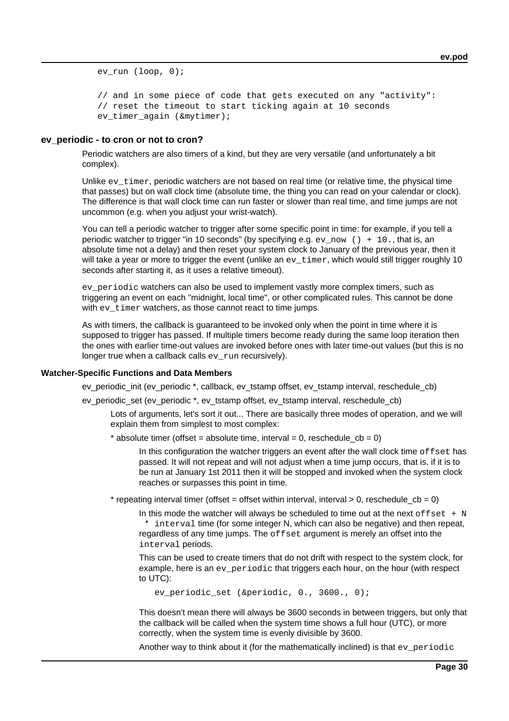ev run (loop, 0);

 // and in some piece of code that gets executed on any "activity": // reset the timeout to start ticking again at 10 seconds ev timer again (&mytimer);

### **ev\_periodic - to cron or not to cron?**

Periodic watchers are also timers of a kind, but they are very versatile (and unfortunately a bit complex).

Unlike  $ev_t$ timer, periodic watchers are not based on real time (or relative time, the physical time that passes) but on wall clock time (absolute time, the thing you can read on your calendar or clock). The difference is that wall clock time can run faster or slower than real time, and time jumps are not uncommon (e.g. when you adjust your wrist-watch).

You can tell a periodic watcher to trigger after some specific point in time: for example, if you tell a periodic watcher to trigger "in 10 seconds" (by specifying e.g. ev\_now () + 10., that is, an absolute time not a delay) and then reset your system clock to January of the previous year, then it will take a year or more to trigger the event (unlike an  $ev_{\text{time}}$ , which would still trigger roughly 10 seconds after starting it, as it uses a relative timeout).

ev periodic watchers can also be used to implement vastly more complex timers, such as triggering an event on each "midnight, local time", or other complicated rules. This cannot be done with ev timer watchers, as those cannot react to time jumps.

As with timers, the callback is guaranteed to be invoked only when the point in time where it is supposed to trigger has passed. If multiple timers become ready during the same loop iteration then the ones with earlier time-out values are invoked before ones with later time-out values (but this is no longer true when a callback calls  $ev_{run}$  recursively).

### **Watcher-Specific Functions and Data Members**

ev\_periodic\_init (ev\_periodic \*, callback, ev\_tstamp offset, ev\_tstamp interval, reschedule\_cb)

ev\_periodic\_set (ev\_periodic \*, ev\_tstamp offset, ev\_tstamp interval, reschedule\_cb)

Lots of arguments, let's sort it out... There are basically three modes of operation, and we will explain them from simplest to most complex:

\* absolute timer (offset = absolute time, interval = 0, reschedule  $cb = 0$ )

In this configuration the watcher triggers an event after the wall clock time  $\sigma$ ffset has passed. It will not repeat and will not adjust when a time jump occurs, that is, if it is to be run at January 1st 2011 then it will be stopped and invoked when the system clock reaches or surpasses this point in time.

\* repeating interval timer (offset = offset within interval, interval > 0, reschedule\_cb = 0)

In this mode the watcher will always be scheduled to time out at the next of  $fset + N$ \* interval time (for some integer N, which can also be negative) and then repeat, regardless of any time jumps. The offset argument is merely an offset into the interval periods.

This can be used to create timers that do not drift with respect to the system clock, for example, here is an ev\_periodic that triggers each hour, on the hour (with respect to UTC):

ev\_periodic\_set (&periodic, 0., 3600., 0);

This doesn't mean there will always be 3600 seconds in between triggers, but only that the callback will be called when the system time shows a full hour (UTC), or more correctly, when the system time is evenly divisible by 3600.

Another way to think about it (for the mathematically inclined) is that  $ev\_periodic$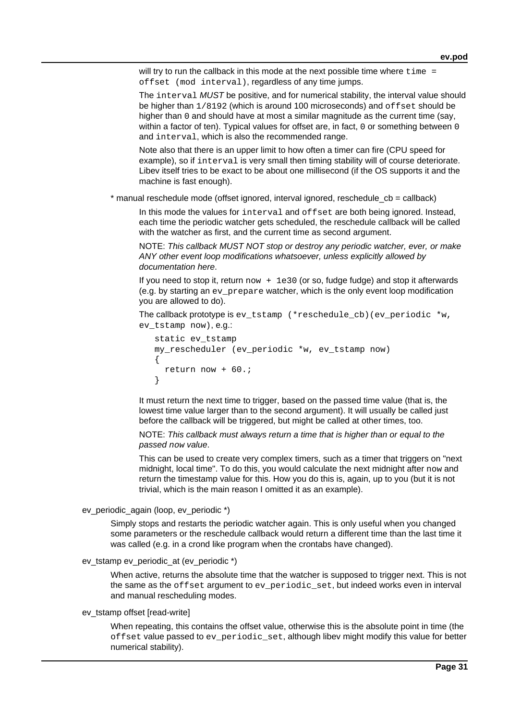will try to run the callback in this mode at the next possible time where  $time =$ offset (mod interval), regardless of any time jumps.

The interval MUST be positive, and for numerical stability, the interval value should be higher than  $1/8192$  (which is around 100 microseconds) and  $\sigma$ ffset should be higher than 0 and should have at most a similar magnitude as the current time (say, within a factor of ten). Typical values for offset are, in fact, 0 or something between 0 and interval, which is also the recommended range.

Note also that there is an upper limit to how often a timer can fire (CPU speed for example), so if interval is very small then timing stability will of course deteriorate. Libev itself tries to be exact to be about one millisecond (if the OS supports it and the machine is fast enough).

 $*$  manual reschedule mode (offset ignored, interval ignored, reschedule cb = callback)

In this mode the values for interval and offset are both being ignored. Instead, each time the periodic watcher gets scheduled, the reschedule callback will be called with the watcher as first, and the current time as second argument.

NOTE: This callback MUST NOT stop or destroy any periodic watcher, ever, or make ANY other event loop modifications whatsoever, unless explicitly allowed by documentation here.

If you need to stop it, return  $now + 1e30$  (or so, fudge fudge) and stop it afterwards  $(e.a. by$  starting an evace prepare watcher, which is the only event loop modification you are allowed to do).

```
The callback prototype is ev_tstamp (*reschedule_cb)(ev_periodic *w,
ev_tstamp now), e.g.:
```

```
 static ev_tstamp
   my_rescheduler (ev_periodic *w, ev_tstamp now)
    {
      return now + 60.;
 }
```
It must return the next time to trigger, based on the passed time value (that is, the lowest time value larger than to the second argument). It will usually be called just before the callback will be triggered, but might be called at other times, too.

NOTE: This callback must always return a time that is higher than or equal to the passed now value.

This can be used to create very complex timers, such as a timer that triggers on "next midnight, local time". To do this, you would calculate the next midnight after now and return the timestamp value for this. How you do this is, again, up to you (but it is not trivial, which is the main reason I omitted it as an example).

ev\_periodic\_again (loop, ev\_periodic \*)

Simply stops and restarts the periodic watcher again. This is only useful when you changed some parameters or the reschedule callback would return a different time than the last time it was called (e.g. in a crond like program when the crontabs have changed).

```
ev_tstamp ev_periodic_at (ev_periodic *)
```
When active, returns the absolute time that the watcher is supposed to trigger next. This is not the same as the offset argument to ev\_periodic\_set, but indeed works even in interval and manual rescheduling modes.

### ev\_tstamp offset [read-write]

When repeating, this contains the offset value, otherwise this is the absolute point in time (the offset value passed to ev\_periodic\_set, although libev might modify this value for better numerical stability).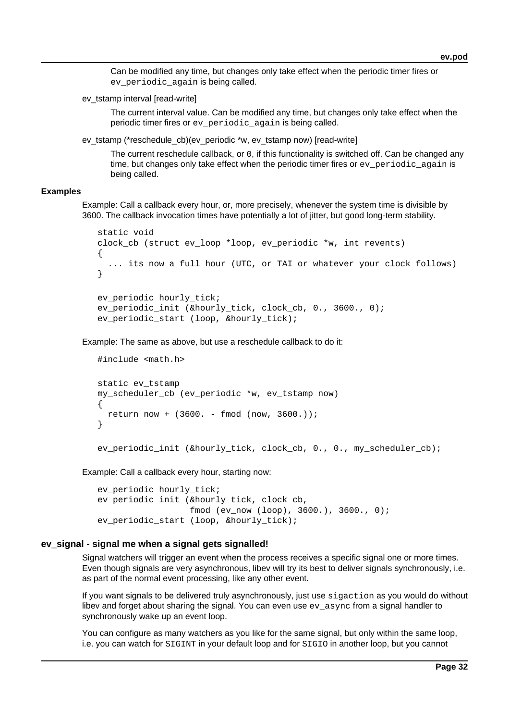Can be modified any time, but changes only take effect when the periodic timer fires or ev periodic again is being called.

ev tstamp interval [read-write]

The current interval value. Can be modified any time, but changes only take effect when the periodic timer fires or ev\_periodic\_again is being called.

ev\_tstamp (\*reschedule\_cb)(ev\_periodic \*w, ev\_tstamp now) [read-write]

The current reschedule callback, or 0, if this functionality is switched off. Can be changed any time, but changes only take effect when the periodic timer fires or ev\_periodic\_again is being called.

### **Examples**

Example: Call a callback every hour, or, more precisely, whenever the system time is divisible by 3600. The callback invocation times have potentially a lot of jitter, but good long-term stability.

```
 static void
 clock_cb (struct ev_loop *loop, ev_periodic *w, int revents)
 {
   ... its now a full hour (UTC, or TAI or whatever your clock follows)
 }
ev periodic hourly tick;
 ev_periodic_init (&hourly_tick, clock_cb, 0., 3600., 0);
 ev_periodic_start (loop, &hourly_tick);
```
Example: The same as above, but use a reschedule callback to do it:

```
 #include <math.h>
 static ev_tstamp
 my_scheduler_cb (ev_periodic *w, ev_tstamp now)
 {
   return now + (3600. - fmod (now, 3600.));
 }
```
ev\_periodic\_init (&hourly\_tick, clock\_cb, 0., 0., my\_scheduler\_cb);

Example: Call a callback every hour, starting now:

```
 ev_periodic hourly_tick;
 ev_periodic_init (&hourly_tick, clock_cb,
                   fmod (ev_now (loop), 3600.), 3600., 0);
ev periodic_start (loop, &hourly_tick);
```
## **ev\_signal - signal me when a signal gets signalled!**

Signal watchers will trigger an event when the process receives a specific signal one or more times. Even though signals are very asynchronous, libev will try its best to deliver signals synchronously, i.e. as part of the normal event processing, like any other event.

If you want signals to be delivered truly asynchronously, just use sigaction as you would do without libey and forget about sharing the signal. You can even use  $ev$  async from a signal handler to synchronously wake up an event loop.

You can configure as many watchers as you like for the same signal, but only within the same loop, i.e. you can watch for SIGINT in your default loop and for SIGIO in another loop, but you cannot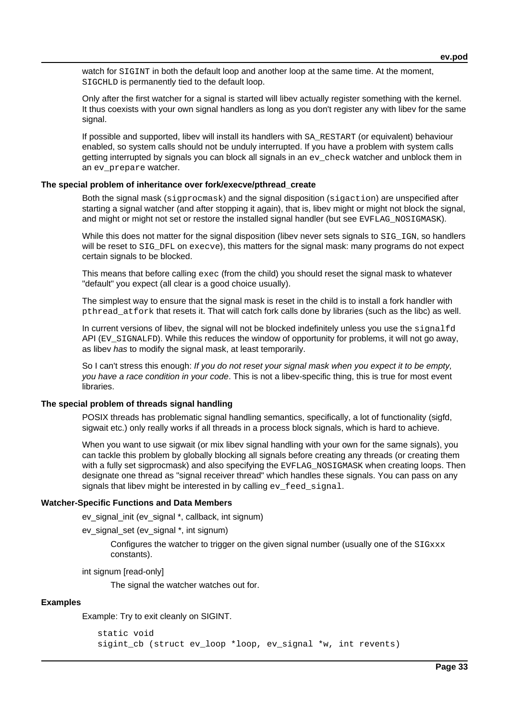watch for SIGINT in both the default loop and another loop at the same time. At the moment, SIGCHLD is permanently tied to the default loop.

Only after the first watcher for a signal is started will libev actually register something with the kernel. It thus coexists with your own signal handlers as long as you don't register any with libev for the same signal.

If possible and supported, libev will install its handlers with SA\_RESTART (or equivalent) behaviour enabled, so system calls should not be unduly interrupted. If you have a problem with system calls getting interrupted by signals you can block all signals in an ev\_check watcher and unblock them in an ev\_prepare watcher.

## **The special problem of inheritance over fork/execve/pthread\_create**

Both the signal mask (sigprocmask) and the signal disposition (sigaction) are unspecified after starting a signal watcher (and after stopping it again), that is, libev might or might not block the signal, and might or might not set or restore the installed signal handler (but see EVFLAG NOSIGMASK).

While this does not matter for the signal disposition (libev never sets signals to SIG\_IGN, so handlers will be reset to SIG\_DFL on execve), this matters for the signal mask: many programs do not expect certain signals to be blocked.

This means that before calling exec (from the child) you should reset the signal mask to whatever "default" you expect (all clear is a good choice usually).

The simplest way to ensure that the signal mask is reset in the child is to install a fork handler with pthread\_atfork that resets it. That will catch fork calls done by libraries (such as the libc) as well.

In current versions of libev, the signal will not be blocked indefinitely unless you use the signalfd API (EV SIGNALFD). While this reduces the window of opportunity for problems, it will not go away, as libev has to modify the signal mask, at least temporarily.

So I can't stress this enough: If you do not reset your signal mask when you expect it to be empty, you have a race condition in your code. This is not a libev-specific thing, this is true for most event libraries.

# **The special problem of threads signal handling**

POSIX threads has problematic signal handling semantics, specifically, a lot of functionality (sigfd, sigwait etc.) only really works if all threads in a process block signals, which is hard to achieve.

When you want to use sigwait (or mix libev signal handling with your own for the same signals), you can tackle this problem by globally blocking all signals before creating any threads (or creating them with a fully set sigprocmask) and also specifying the EVFLAG NOSIGMASK when creating loops. Then designate one thread as "signal receiver thread" which handles these signals. You can pass on any signals that libev might be interested in by calling ev\_feed\_signal.

## **Watcher-Specific Functions and Data Members**

ev\_signal\_init (ev\_signal \*, callback, int signum)

ev\_signal\_set (ev\_signal \*, int signum)

Configures the watcher to trigger on the given signal number (usually one of the  $SIGxxx$ constants).

int signum [read-only]

The signal the watcher watches out for.

### **Examples**

Example: Try to exit cleanly on SIGINT.

```
 static void
 sigint_cb (struct ev_loop *loop, ev_signal *w, int revents)
```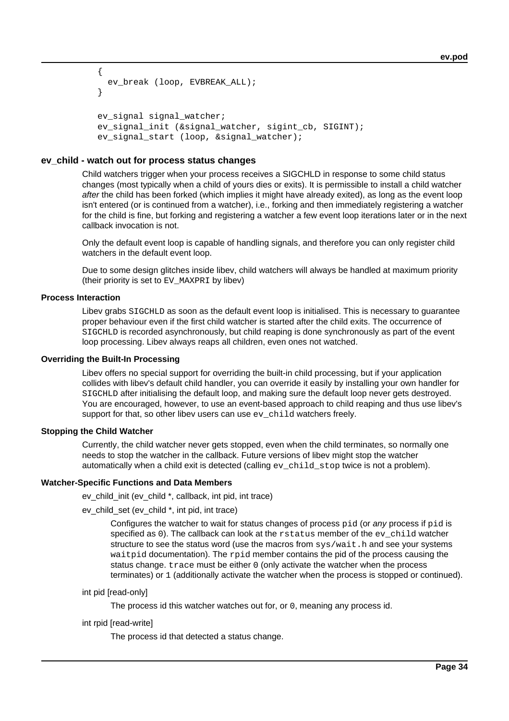```
 {
  ev break (loop, EVBREAK ALL);
 }
 ev_signal signal_watcher;
ev signal init (&signal watcher, sigint cb, SIGINT);
ev signal start (loop, &signal watcher);
```
## **ev\_child - watch out for process status changes**

Child watchers trigger when your process receives a SIGCHLD in response to some child status changes (most typically when a child of yours dies or exits). It is permissible to install a child watcher after the child has been forked (which implies it might have already exited), as long as the event loop isn't entered (or is continued from a watcher), i.e., forking and then immediately registering a watcher for the child is fine, but forking and registering a watcher a few event loop iterations later or in the next callback invocation is not.

Only the default event loop is capable of handling signals, and therefore you can only register child watchers in the default event loop.

Due to some design glitches inside libev, child watchers will always be handled at maximum priority (their priority is set to EV\_MAXPRI by libev)

### **Process Interaction**

Libev grabs SIGCHLD as soon as the default event loop is initialised. This is necessary to guarantee proper behaviour even if the first child watcher is started after the child exits. The occurrence of SIGCHLD is recorded asynchronously, but child reaping is done synchronously as part of the event loop processing. Libev always reaps all children, even ones not watched.

### **Overriding the Built-In Processing**

Libev offers no special support for overriding the built-in child processing, but if your application collides with libev's default child handler, you can override it easily by installing your own handler for SIGCHLD after initialising the default loop, and making sure the default loop never gets destroyed. You are encouraged, however, to use an event-based approach to child reaping and thus use libev's support for that, so other libev users can use ev\_child watchers freely.

### **Stopping the Child Watcher**

Currently, the child watcher never gets stopped, even when the child terminates, so normally one needs to stop the watcher in the callback. Future versions of libev might stop the watcher automatically when a child exit is detected (calling  $ev$  child stop twice is not a problem).

### **Watcher-Specific Functions and Data Members**

ev\_child\_init (ev\_child \*, callback, int pid, int trace)

ev\_child\_set (ev\_child \*, int pid, int trace)

Configures the watcher to wait for status changes of process pid (or any process if pid is specified as  $0$ ). The callback can look at the  $r$ status member of the  $ev$  child watcher structure to see the status word (use the macros from sys/wait.h and see your systems waitpid documentation). The rpid member contains the pid of the process causing the status change. trace must be either 0 (only activate the watcher when the process terminates) or 1 (additionally activate the watcher when the process is stopped or continued).

```
int pid [read-only]
```
The process id this watcher watches out for, or 0, meaning any process id.

#### int rpid [read-write]

The process id that detected a status change.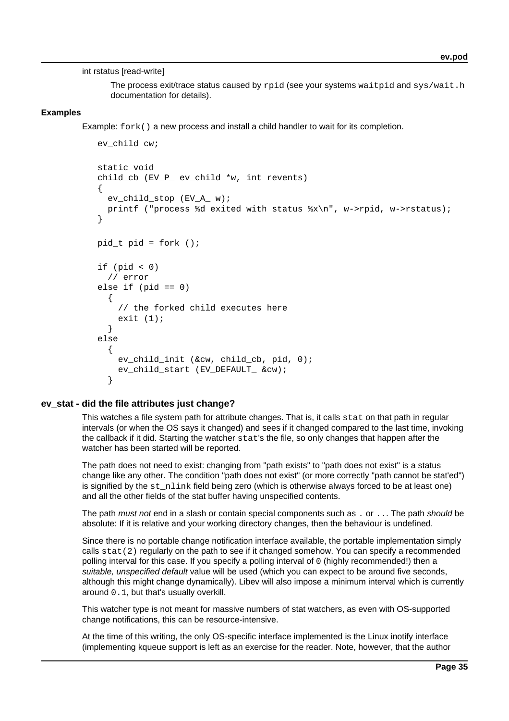int rstatus [read-write]

The process exit/trace status caused by rpid (see your systems waitpid and sys/wait.h documentation for details).

## **Examples**

Example:  $f \circ rk$  () a new process and install a child handler to wait for its completion.

```
 ev_child cw;
 static void
child cb (EV P ev child *w, int revents)
\left\{ \right.ev child stop (EV A w);
   printf ("process %d exited with status %x\n", w->rpid, w->rstatus);
 }
 pid_t pid = fork ();
if (pid < 0) // error
else if (pid == 0) {
     // the forked child executes here
    exit (1);
   }
 else
   {
     ev_child_init (&cw, child_cb, pid, 0);
     ev_child_start (EV_DEFAULT_ &cw);
   }
```
## **ev\_stat - did the file attributes just change?**

This watches a file system path for attribute changes. That is, it calls stat on that path in regular intervals (or when the OS says it changed) and sees if it changed compared to the last time, invoking the callback if it did. Starting the watcher stat's the file, so only changes that happen after the watcher has been started will be reported.

The path does not need to exist: changing from "path exists" to "path does not exist" is a status change like any other. The condition "path does not exist" (or more correctly "path cannot be stat'ed") is signified by the st\_nlink field being zero (which is otherwise always forced to be at least one) and all the other fields of the stat buffer having unspecified contents.

The path must not end in a slash or contain special components such as . or . . . The path should be absolute: If it is relative and your working directory changes, then the behaviour is undefined.

Since there is no portable change notification interface available, the portable implementation simply calls stat(2) regularly on the path to see if it changed somehow. You can specify a recommended polling interval for this case. If you specify a polling interval of 0 (highly recommended!) then a suitable, unspecified default value will be used (which you can expect to be around five seconds, although this might change dynamically). Libev will also impose a minimum interval which is currently around 0.1, but that's usually overkill.

This watcher type is not meant for massive numbers of stat watchers, as even with OS-supported change notifications, this can be resource-intensive.

At the time of this writing, the only OS-specific interface implemented is the Linux inotify interface (implementing kqueue support is left as an exercise for the reader. Note, however, that the author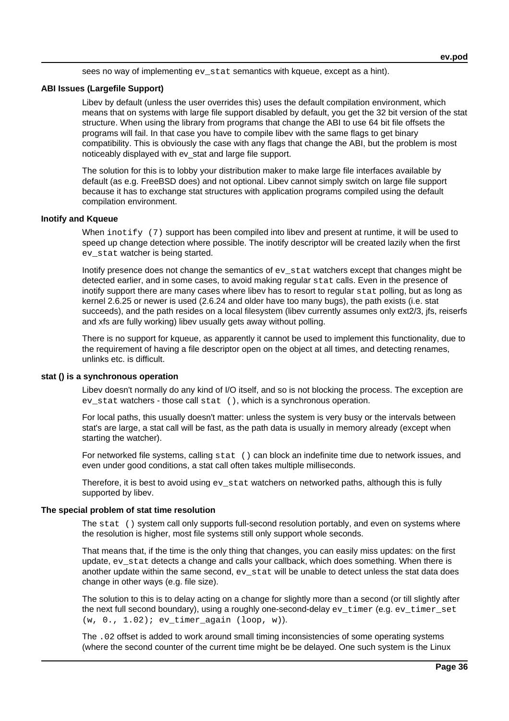sees no way of implementing  $ev$  stat semantics with kqueue, except as a hint).

## **ABI Issues (Largefile Support)**

Libev by default (unless the user overrides this) uses the default compilation environment, which means that on systems with large file support disabled by default, you get the 32 bit version of the stat structure. When using the library from programs that change the ABI to use 64 bit file offsets the programs will fail. In that case you have to compile libev with the same flags to get binary compatibility. This is obviously the case with any flags that change the ABI, but the problem is most noticeably displayed with ev\_stat and large file support.

The solution for this is to lobby your distribution maker to make large file interfaces available by default (as e.g. FreeBSD does) and not optional. Libev cannot simply switch on large file support because it has to exchange stat structures with application programs compiled using the default compilation environment.

### **Inotify and Kqueue**

When inotify (7) support has been compiled into libev and present at runtime, it will be used to speed up change detection where possible. The inotify descriptor will be created lazily when the first ev\_stat watcher is being started.

Inotify presence does not change the semantics of evactor state watchers except that changes might be detected earlier, and in some cases, to avoid making regular stat calls. Even in the presence of inotify support there are many cases where libev has to resort to regular stat polling, but as long as kernel 2.6.25 or newer is used (2.6.24 and older have too many bugs), the path exists (i.e. stat succeeds), and the path resides on a local filesystem (libev currently assumes only ext2/3, jfs, reiserfs and xfs are fully working) libev usually gets away without polling.

There is no support for kqueue, as apparently it cannot be used to implement this functionality, due to the requirement of having a file descriptor open on the object at all times, and detecting renames, unlinks etc. is difficult.

#### **stat () is a synchronous operation**

Libev doesn't normally do any kind of I/O itself, and so is not blocking the process. The exception are ev stat watchers - those call stat (), which is a synchronous operation.

For local paths, this usually doesn't matter: unless the system is very busy or the intervals between stat's are large, a stat call will be fast, as the path data is usually in memory already (except when starting the watcher).

For networked file systems, calling stat () can block an indefinite time due to network issues, and even under good conditions, a stat call often takes multiple milliseconds.

Therefore, it is best to avoid using  $ev$ \_stat watchers on networked paths, although this is fully supported by libev.

### **The special problem of stat time resolution**

The stat () system call only supports full-second resolution portably, and even on systems where the resolution is higher, most file systems still only support whole seconds.

That means that, if the time is the only thing that changes, you can easily miss updates: on the first update, ev stat detects a change and calls your callback, which does something. When there is another update within the same second,  $ev$  stat will be unable to detect unless the stat data does change in other ways (e.g. file size).

The solution to this is to delay acting on a change for slightly more than a second (or till slightly after the next full second boundary), using a roughly one-second-delay ev\_timer (e.g. ev\_timer\_set (w, 0., 1.02); ev\_timer\_again (loop, w)).

The .02 offset is added to work around small timing inconsistencies of some operating systems (where the second counter of the current time might be be delayed. One such system is the Linux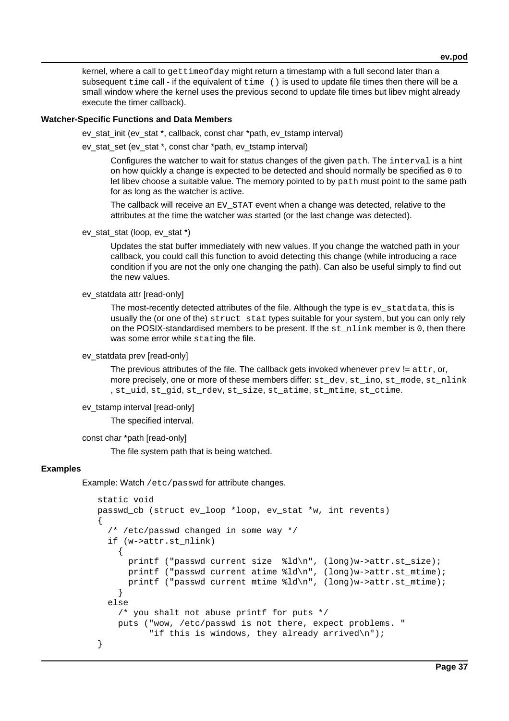kernel, where a call to gettimeofday might return a timestamp with a full second later than a subsequent  $time$  call - if the equivalent of  $time$  () is used to update file times then there will be a small window where the kernel uses the previous second to update file times but libev might already execute the timer callback).

### **Watcher-Specific Functions and Data Members**

ev\_stat\_init (ev\_stat \*, callback, const char \*path, ev\_tstamp interval)

ev\_stat\_set (ev\_stat \*, const char \*path, ev\_tstamp interval)

Configures the watcher to wait for status changes of the given path. The interval is a hint on how quickly a change is expected to be detected and should normally be specified as 0 to let libev choose a suitable value. The memory pointed to by path must point to the same path for as long as the watcher is active.

The callback will receive an EV\_STAT event when a change was detected, relative to the attributes at the time the watcher was started (or the last change was detected).

ev\_stat\_stat (loop, ev\_stat \*)

Updates the stat buffer immediately with new values. If you change the watched path in your callback, you could call this function to avoid detecting this change (while introducing a race condition if you are not the only one changing the path). Can also be useful simply to find out the new values.

#### ev\_statdata attr [read-only]

The most-recently detected attributes of the file. Although the type is  $ev$  statdata, this is usually the (or one of the) struct stat types suitable for your system, but you can only rely on the POSIX-standardised members to be present. If the st\_nlink member is 0, then there was some error while stating the file.

#### ev\_statdata prev [read-only]

The previous attributes of the file. The callback gets invoked whenever  $prev = attr, or$ , more precisely, one or more of these members differ: st\_dev, st\_ino, st\_mode, st\_nlink , st\_uid, st\_gid, st\_rdev, st\_size, st\_atime, st\_mtime, st\_ctime.

#### ev\_tstamp interval [read-only]

The specified interval.

```
const char *path [read-only]
```
The file system path that is being watched.

#### **Examples**

Example: Watch /etc/passwd for attribute changes.

```
 static void
   passwd_cb (struct ev_loop *loop, ev_stat *w, int revents)
    {
     /* /etc/passwd changed in some way */
     if (w->attr.st_nlink)
\{ printf ("passwd current size %ld\n", (long)w->attr.st_size);
         printf ("passwd current atime %ld\n", (long)w->attr.st_mtime);
        printf ("passwd current mtime %ld\n", (long)w->attr.st_mtime);
 }
     else
       /* you shalt not abuse printf for puts */
       puts ("wow, /etc/passwd is not there, expect problems. "
             "if this is windows, they already arrived\n");
    }
```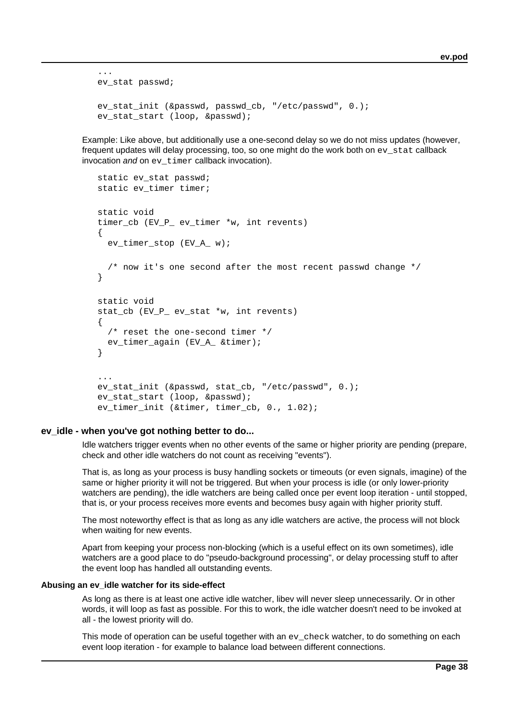```
 ev_stat passwd;
 ev_stat_init (&passwd, passwd_cb, "/etc/passwd", 0.);
ev stat start (loop, &passwd);
```
Example: Like above, but additionally use a one-second delay so we do not miss updates (however, frequent updates will delay processing, too, so one might do the work both on ev\_stat callback invocation and on  $ev$  timer callback invocation).

```
static ev stat passwd;
  static ev timer timer;
   static void
   timer_cb (EV_P_ ev_timer *w, int revents)
    {
     ev_timer_stop (EV_A_ w);
     /* now it's one second after the most recent passwd change */
    }
   static void
  stat cb (EV P ev stat *w, int revents)
   \{ /* reset the one-second timer */
     ev_timer_again (EV_A_ &timer);
    }
 ...
   ev_stat_init (&passwd, stat_cb, "/etc/passwd", 0.);
   ev_stat_start (loop, &passwd);
   ev_timer_init (&timer, timer_cb, 0., 1.02);
```
#### **ev\_idle - when you've got nothing better to do...**

...

Idle watchers trigger events when no other events of the same or higher priority are pending (prepare, check and other idle watchers do not count as receiving "events").

That is, as long as your process is busy handling sockets or timeouts (or even signals, imagine) of the same or higher priority it will not be triggered. But when your process is idle (or only lower-priority watchers are pending), the idle watchers are being called once per event loop iteration - until stopped, that is, or your process receives more events and becomes busy again with higher priority stuff.

The most noteworthy effect is that as long as any idle watchers are active, the process will not block when waiting for new events.

Apart from keeping your process non-blocking (which is a useful effect on its own sometimes), idle watchers are a good place to do "pseudo-background processing", or delay processing stuff to after the event loop has handled all outstanding events.

#### **Abusing an ev\_idle watcher for its side-effect**

As long as there is at least one active idle watcher, libev will never sleep unnecessarily. Or in other words, it will loop as fast as possible. For this to work, the idle watcher doesn't need to be invoked at all - the lowest priority will do.

This mode of operation can be useful together with an  $ev$  check watcher, to do something on each event loop iteration - for example to balance load between different connections.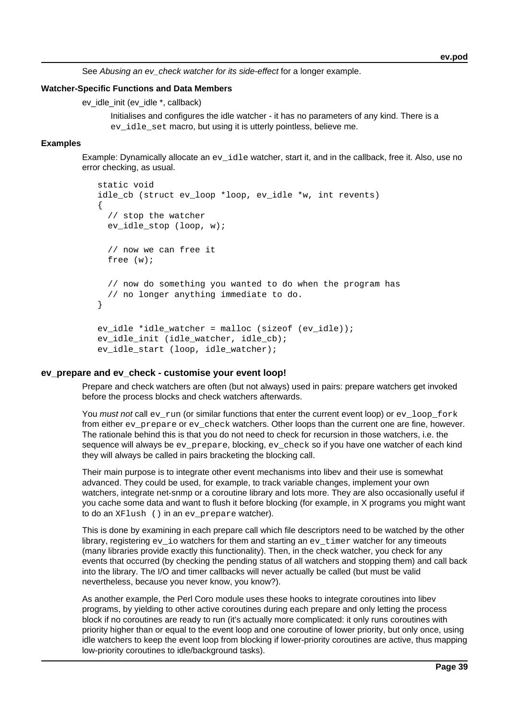See Abusing an ev check watcher for its side-effect for a longer example.

#### **Watcher-Specific Functions and Data Members**

ev\_idle\_init (ev\_idle \*, callback)

Initialises and configures the idle watcher - it has no parameters of any kind. There is a ev idle set macro, but using it is utterly pointless, believe me.

### **Examples**

Example: Dynamically allocate an ev\_idle watcher, start it, and in the callback, free it. Also, use no error checking, as usual.

```
 static void
     idle_cb (struct ev_loop *loop, ev_idle *w, int revents)
\{ \cdot \cdot \cdot \cdot \cdot \cdot \cdot \cdot \cdot \cdot \cdot \cdot \cdot \cdot \cdot \cdot \cdot \cdot \cdot \cdot \cdot \cdot \cdot \cdot \cdot \cdot \cdot \cdot \cdot \cdot \cdot \cdot \cdot \cdot \cdot \cdot 
         // stop the watcher
       ev idle stop (loop, w);
         // now we can free it
        free (w);
         // now do something you wanted to do when the program has
        // no longer anything immediate to do.
     }
     ev_idle *idle_watcher = malloc (sizeof (ev_idle));
    ev idle init (idle watcher, idle cb);
     ev_idle_start (loop, idle_watcher);
```
### **ev\_prepare and ev\_check - customise your event loop!**

Prepare and check watchers are often (but not always) used in pairs: prepare watchers get invoked before the process blocks and check watchers afterwards.

You must not call ev\_run (or similar functions that enter the current event loop) or ev\_loop\_fork from either ev\_prepare or ev\_check watchers. Other loops than the current one are fine, however. The rationale behind this is that you do not need to check for recursion in those watchers, i.e. the sequence will always be ev\_prepare, blocking, ev\_check so if you have one watcher of each kind they will always be called in pairs bracketing the blocking call.

Their main purpose is to integrate other event mechanisms into libev and their use is somewhat advanced. They could be used, for example, to track variable changes, implement your own watchers, integrate net-snmp or a coroutine library and lots more. They are also occasionally useful if you cache some data and want to flush it before blocking (for example, in X programs you might want to do an XFlush () in an ev\_prepare watcher).

This is done by examining in each prepare call which file descriptors need to be watched by the other library, registering  $ev$  io watchers for them and starting an  $ev$  timer watcher for any timeouts (many libraries provide exactly this functionality). Then, in the check watcher, you check for any events that occurred (by checking the pending status of all watchers and stopping them) and call back into the library. The I/O and timer callbacks will never actually be called (but must be valid nevertheless, because you never know, you know?).

As another example, the Perl Coro module uses these hooks to integrate coroutines into libev programs, by yielding to other active coroutines during each prepare and only letting the process block if no coroutines are ready to run (it's actually more complicated: it only runs coroutines with priority higher than or equal to the event loop and one coroutine of lower priority, but only once, using idle watchers to keep the event loop from blocking if lower-priority coroutines are active, thus mapping low-priority coroutines to idle/background tasks).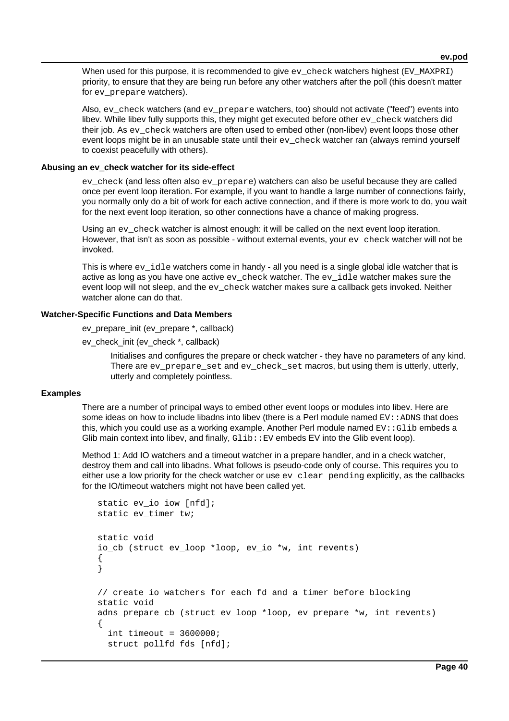When used for this purpose, it is recommended to give  $ev$  check watchers highest (EV MAXPRI) priority, to ensure that they are being run before any other watchers after the poll (this doesn't matter for ev\_prepare watchers).

Also, ev\_check watchers (and ev\_prepare watchers, too) should not activate ("feed") events into libev. While libev fully supports this, they might get executed before other ev\_check watchers did their job. As ev check watchers are often used to embed other (non-libev) event loops those other event loops might be in an unusable state until their ev\_check watcher ran (always remind yourself to coexist peacefully with others).

#### **Abusing an ev\_check watcher for its side-effect**

ev\_check (and less often also ev\_prepare) watchers can also be useful because they are called once per event loop iteration. For example, if you want to handle a large number of connections fairly, you normally only do a bit of work for each active connection, and if there is more work to do, you wait for the next event loop iteration, so other connections have a chance of making progress.

Using an ev\_check watcher is almost enough: it will be called on the next event loop iteration. However, that isn't as soon as possible - without external events, your  $ev$  check watcher will not be invoked.

This is where  $ev\_idle$  watchers come in handy - all you need is a single global idle watcher that is active as long as you have one active  $ev$  check watcher. The  $ev$  idle watcher makes sure the event loop will not sleep, and the  $ev$  check watcher makes sure a callback gets invoked. Neither watcher alone can do that.

### **Watcher-Specific Functions and Data Members**

ev\_prepare\_init (ev\_prepare \*, callback)

ev\_check\_init (ev\_check \*, callback)

Initialises and configures the prepare or check watcher - they have no parameters of any kind. There are ev\_prepare\_set and ev\_check\_set macros, but using them is utterly, utterly, utterly and completely pointless.

#### **Examples**

There are a number of principal ways to embed other event loops or modules into libev. Here are some ideas on how to include libadns into libev (there is a Perl module named  $EV: :$  ADNS that does this, which you could use as a working example. Another Perl module named  $EV:Glib$  embeds a Glib main context into libev, and finally,  $Glib::EV$  embeds EV into the Glib event loop).

Method 1: Add IO watchers and a timeout watcher in a prepare handler, and in a check watcher, destroy them and call into libadns. What follows is pseudo-code only of course. This requires you to either use a low priority for the check watcher or use  $ev$ <sub>clear</sub> pending explicitly, as the callbacks for the IO/timeout watchers might not have been called yet.

```
 static ev_io iow [nfd];
 static ev_timer tw;
 static void
 io_cb (struct ev_loop *loop, ev_io *w, int revents)
 {
 }
 // create io watchers for each fd and a timer before blocking
 static void
 adns_prepare_cb (struct ev_loop *loop, ev_prepare *w, int revents)
 {
  int timeout = 3600000;
   struct pollfd fds [nfd];
```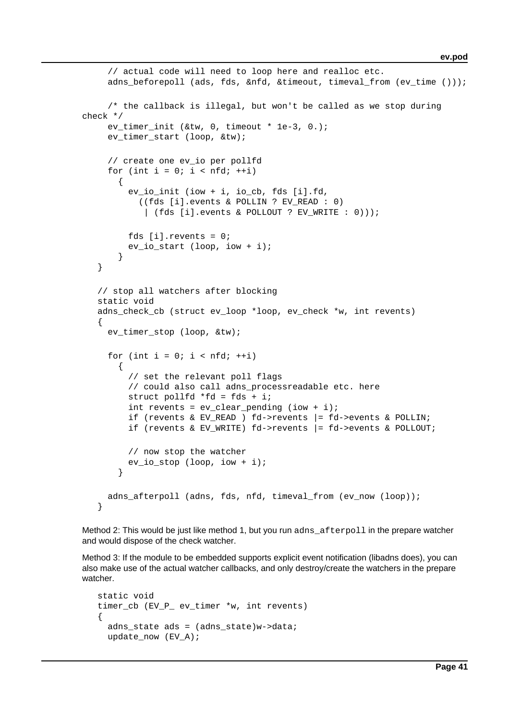```
 // actual code will need to loop here and realloc etc.
      adns_beforepoll (ads, fds, &nfd, &timeout, timeval_from (ev_time ()));
      /* the callback is illegal, but won't be called as we stop during
check */
     ev timer init (&tw, 0, timeout * 1e-3, 0.);
     ev timer start (loop, &tw);
      // create one ev_io per pollfd
     for (int i = 0; i < nfd; ++i)
\{ ev_io_init (iow + i, io_cb, fds [i].fd,
            ((fds [i].events & POLLIN ? EV_READ : 0)
             | (fds [i].events & POLLOUT ? EV_WRITE : 0)));
          fds [i].revents = 0;
          ev_io_start (loop, iow + i);
        }
    }
    // stop all watchers after blocking
    static void
   adns check cb (struct ev loop *loop, ev check *w, int revents)
    {
     ev timer stop (loop, &tw);
     for (int i = 0; i < nfd; ++i)
\{ // set the relevant poll flags
          // could also call adns_processreadable etc. here
          struct pollfd *fd = fds + i;
         int revents = ev_{\text{clear\_pending}} (iow + i);if (revents & EV READ ) fd->revents |= fd->events & POLLIN;
          if (revents & EV_WRITE) fd->revents |= fd->events & POLLOUT;
          // now stop the watcher
          ev_io_stop (loop, iow + i);
        }
      adns_afterpoll (adns, fds, nfd, timeval_from (ev_now (loop));
    }
```
Method 2: This would be just like method 1, but you run adns afterpoll in the prepare watcher and would dispose of the check watcher.

Method 3: If the module to be embedded supports explicit event notification (libadns does), you can also make use of the actual watcher callbacks, and only destroy/create the watchers in the prepare watcher.

```
 static void
timer cb (EV P ev timer *w, int revents)
 {
  adns state ads = (adns state)w->data;
  update now (EV_A);
```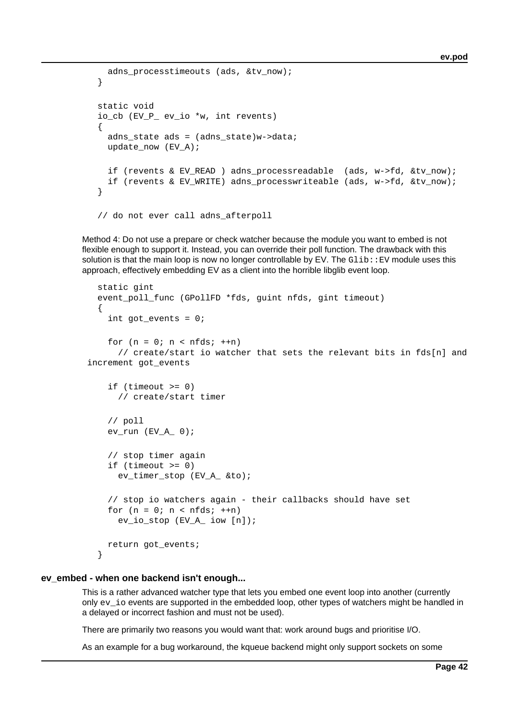```
adns processtimeouts (ads, &tv now);
 }
 static void
 io_cb (EV_P_ ev_io *w, int revents)
 {
 adns state ads = (adns state)w->data;
  update now (EV_A); if (revents & EV_READ ) adns_processreadable (ads, w->fd, &tv_now);
   if (revents & EV_WRITE) adns_processwriteable (ads, w->fd, &tv_now);
 }
 // do not ever call adns_afterpoll
```
Method 4: Do not use a prepare or check watcher because the module you want to embed is not flexible enough to support it. Instead, you can override their poll function. The drawback with this solution is that the main loop is now no longer controllable by  $E$ V. The  $G$ lib:: $E$ V module uses this approach, effectively embedding EV as a client into the horrible libglib event loop.

```
 static gint
   event_poll_func (GPollFD *fds, guint nfds, gint timeout)
   {
     int got_events = 0;
    for (n = 0; n < n fds; +n)
       // create/start io watcher that sets the relevant bits in fds[n] and
increment got_events
     if (timeout >= 0)
       // create/start timer
     // poll
    ev\_run (EVA_0);
     // stop timer again
    if (t \text{ime} \gt) = 0 ev_timer_stop (EV_A_ &to);
     // stop io watchers again - their callbacks should have set
    for (n = 0; n < nfds; +n) ev_io_stop (EV_A_ iow [n]);
     return got_events;
   }
```
#### **ev\_embed - when one backend isn't enough...**

This is a rather advanced watcher type that lets you embed one event loop into another (currently only ev\_io events are supported in the embedded loop, other types of watchers might be handled in a delayed or incorrect fashion and must not be used).

There are primarily two reasons you would want that: work around bugs and prioritise I/O.

As an example for a bug workaround, the kqueue backend might only support sockets on some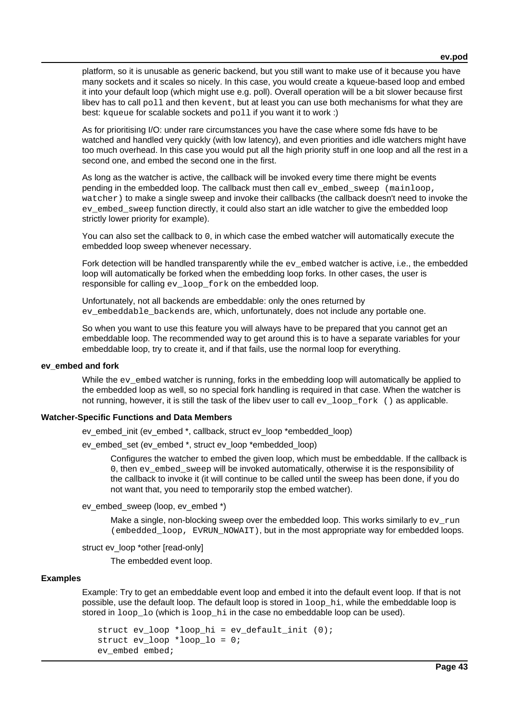platform, so it is unusable as generic backend, but you still want to make use of it because you have many sockets and it scales so nicely. In this case, you would create a kqueue-based loop and embed it into your default loop (which might use e.g. poll). Overall operation will be a bit slower because first libev has to call poll and then kevent, but at least you can use both mechanisms for what they are best: kqueue for scalable sockets and poll if you want it to work :)

As for prioritising I/O: under rare circumstances you have the case where some fds have to be watched and handled very quickly (with low latency), and even priorities and idle watchers might have too much overhead. In this case you would put all the high priority stuff in one loop and all the rest in a second one, and embed the second one in the first.

As long as the watcher is active, the callback will be invoked every time there might be events pending in the embedded loop. The callback must then call ev\_embed\_sweep (mainloop, watcher) to make a single sweep and invoke their callbacks (the callback doesn't need to invoke the ev embed sweep function directly, it could also start an idle watcher to give the embedded loop strictly lower priority for example).

You can also set the callback to 0, in which case the embed watcher will automatically execute the embedded loop sweep whenever necessary.

Fork detection will be handled transparently while the ev\_embed watcher is active, i.e., the embedded loop will automatically be forked when the embedding loop forks. In other cases, the user is responsible for calling ev\_loop\_fork on the embedded loop.

Unfortunately, not all backends are embeddable: only the ones returned by ev\_embeddable\_backends are, which, unfortunately, does not include any portable one.

So when you want to use this feature you will always have to be prepared that you cannot get an embeddable loop. The recommended way to get around this is to have a separate variables for your embeddable loop, try to create it, and if that fails, use the normal loop for everything.

#### **ev\_embed and fork**

While the ev embed watcher is running, forks in the embedding loop will automatically be applied to the embedded loop as well, so no special fork handling is required in that case. When the watcher is not running, however, it is still the task of the libev user to call ev\_loop\_fork () as applicable.

#### **Watcher-Specific Functions and Data Members**

ev\_embed\_init (ev\_embed \*, callback, struct ev\_loop \*embedded\_loop)

ev\_embed\_set (ev\_embed \*, struct ev\_loop \*embedded\_loop)

Configures the watcher to embed the given loop, which must be embeddable. If the callback is 0, then ev\_embed\_sweep will be invoked automatically, otherwise it is the responsibility of the callback to invoke it (it will continue to be called until the sweep has been done, if you do not want that, you need to temporarily stop the embed watcher).

ev\_embed\_sweep (loop, ev\_embed \*)

Make a single, non-blocking sweep over the embedded loop. This works similarly to  $ev_{run}$ (embedded\_loop, EVRUN\_NOWAIT), but in the most appropriate way for embedded loops.

struct ev\_loop \*other [read-only]

The embedded event loop.

#### **Examples**

Example: Try to get an embeddable event loop and embed it into the default event loop. If that is not possible, use the default loop. The default loop is stored in loop\_hi, while the embeddable loop is stored in  $loop\_lo$  (which is  $loop\_hi$  in the case no embeddable loop can be used).

```
 struct ev_loop *loop_hi = ev_default_init (0);
 struct ev_loop *loop_lo = 0;
 ev_embed embed;
```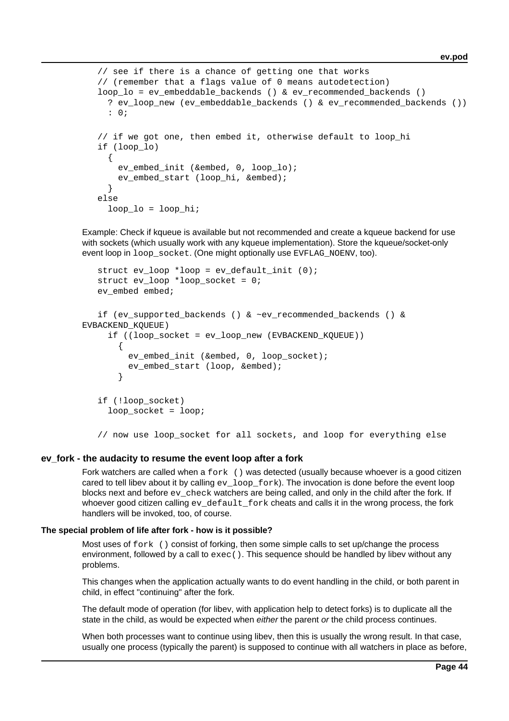```
 // see if there is a chance of getting one that works
   // (remember that a flags value of 0 means autodetection)
   loop_lo = ev_embeddable_backends () & ev_recommended_backends ()
      ? ev_loop_new (ev_embeddable_backends () & ev_recommended_backends ())
      : 0;
  // if we got one, then embed it, otherwise default to loop hi
   if (loop_lo)
\{ ev_embed_init (&embed, 0, loop_lo);
      ev embed start (loop hi, &embed);
      }
   else
    loop lo = loop hi;
```
Example: Check if kqueue is available but not recommended and create a kqueue backend for use with sockets (which usually work with any kqueue implementation). Store the kqueue/socket-only event loop in  $loop\_socket$ . (One might optionally use EVFLAG\_NOENV, too).

```
struct ev loop *loop = ev default init (0);
   struct ev loop *loop socket = 0;
   ev embed embed;
   if (ev supported backends () & ~ev recommended backends () &
EVBACKEND_KQUEUE)
      if ((loop_socket = ev_loop_new (EVBACKEND_KQUEUE))
        {
          ev_embed_init (&embed, 0, loop_socket);
          ev_embed_start (loop, &embed);
        }
    if (!loop_socket)
     loop socket = loop;
    // now use loop_socket for all sockets, and loop for everything else
```
### **ev\_fork - the audacity to resume the event loop after a fork**

Fork watchers are called when a fork () was detected (usually because whoever is a good citizen cared to tell libev about it by calling  $ev\_loop\_fork$ ). The invocation is done before the event loop blocks next and before  $ev$  check watchers are being called, and only in the child after the fork. If whoever good citizen calling ev\_default\_fork cheats and calls it in the wrong process, the fork handlers will be invoked, too, of course.

#### **The special problem of life after fork - how is it possible?**

Most uses of fork () consist of forking, then some simple calls to set up/change the process environment, followed by a call to  $\epsilon x \in C$  ). This sequence should be handled by libev without any problems.

This changes when the application actually wants to do event handling in the child, or both parent in child, in effect "continuing" after the fork.

The default mode of operation (for libev, with application help to detect forks) is to duplicate all the state in the child, as would be expected when either the parent or the child process continues.

When both processes want to continue using libev, then this is usually the wrong result. In that case, usually one process (typically the parent) is supposed to continue with all watchers in place as before,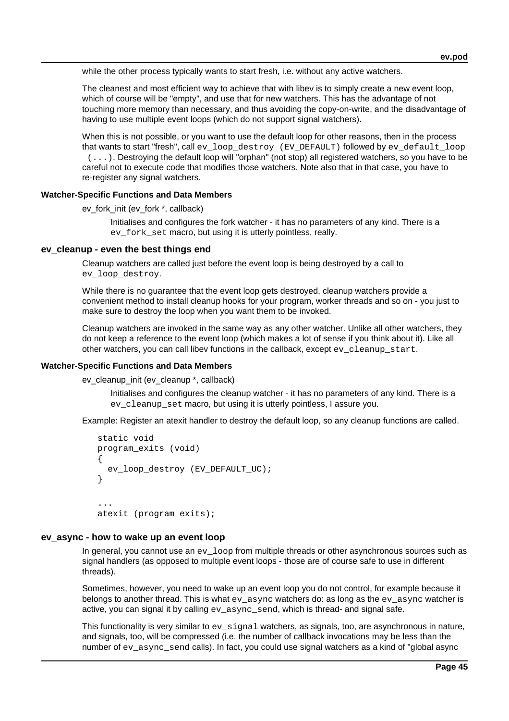while the other process typically wants to start fresh, i.e. without any active watchers.

The cleanest and most efficient way to achieve that with libev is to simply create a new event loop, which of course will be "empty", and use that for new watchers. This has the advantage of not touching more memory than necessary, and thus avoiding the copy-on-write, and the disadvantage of having to use multiple event loops (which do not support signal watchers).

When this is not possible, or you want to use the default loop for other reasons, then in the process that wants to start "fresh", call ev\_loop\_destroy (EV\_DEFAULT) followed by ev\_default\_loop (...). Destroying the default loop will "orphan" (not stop) all registered watchers, so you have to be careful not to execute code that modifies those watchers. Note also that in that case, you have to re-register any signal watchers.

### **Watcher-Specific Functions and Data Members**

ev\_fork\_init (ev\_fork \*, callback)

Initialises and configures the fork watcher - it has no parameters of any kind. There is a ev fork set macro, but using it is utterly pointless, really.

### **ev\_cleanup - even the best things end**

Cleanup watchers are called just before the event loop is being destroyed by a call to ev\_loop\_destroy.

While there is no guarantee that the event loop gets destroyed, cleanup watchers provide a convenient method to install cleanup hooks for your program, worker threads and so on - you just to make sure to destroy the loop when you want them to be invoked.

Cleanup watchers are invoked in the same way as any other watcher. Unlike all other watchers, they do not keep a reference to the event loop (which makes a lot of sense if you think about it). Like all other watchers, you can call libev functions in the callback, except ev\_cleanup\_start.

#### **Watcher-Specific Functions and Data Members**

ev cleanup init (ev cleanup \*, callback)

Initialises and configures the cleanup watcher - it has no parameters of any kind. There is a ev cleanup set macro, but using it is utterly pointless, I assure you.

Example: Register an atexit handler to destroy the default loop, so any cleanup functions are called.

```
 static void
    program_exits (void)
    {
      ev_loop_destroy (EV_DEFAULT_UC);
    }
 ...
    atexit (program_exits);
```
### **ev\_async - how to wake up an event loop**

In general, you cannot use an ev\_loop from multiple threads or other asynchronous sources such as signal handlers (as opposed to multiple event loops - those are of course safe to use in different threads).

Sometimes, however, you need to wake up an event loop you do not control, for example because it belongs to another thread. This is what ev\_async watchers do: as long as the ev\_async watcher is active, you can signal it by calling ev\_async\_send, which is thread- and signal safe.

This functionality is very similar to  $ev$  signal watchers, as signals, too, are asynchronous in nature, and signals, too, will be compressed (i.e. the number of callback invocations may be less than the number of ey\_async\_send calls). In fact, you could use signal watchers as a kind of "global async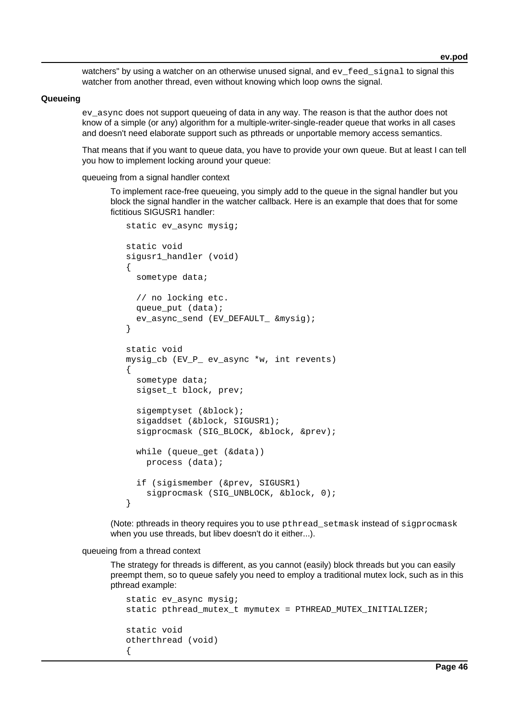watchers" by using a watcher on an otherwise unused signal, and ey feed signal to signal this watcher from another thread, even without knowing which loop owns the signal.

#### **Queueing**

ev async does not support queueing of data in any way. The reason is that the author does not know of a simple (or any) algorithm for a multiple-writer-single-reader queue that works in all cases and doesn't need elaborate support such as pthreads or unportable memory access semantics.

That means that if you want to queue data, you have to provide your own queue. But at least I can tell you how to implement locking around your queue:

queueing from a signal handler context

To implement race-free queueing, you simply add to the queue in the signal handler but you block the signal handler in the watcher callback. Here is an example that does that for some fictitious SIGUSR1 handler:

```
static ev async mysig;
 static void
 sigusr1_handler (void)
 {
   sometype data;
   // no locking etc.
   queue_put (data);
   ev_async_send (EV_DEFAULT_ &mysig);
 }
 static void
 mysig_cb (EV_P_ ev_async *w, int revents)
 {
   sometype data;
   sigset_t block, prev;
   sigemptyset (&block);
   sigaddset (&block, SIGUSR1);
   sigprocmask (SIG_BLOCK, &block, &prev);
   while (queue_get (&data))
     process (data);
   if (sigismember (&prev, SIGUSR1)
     sigprocmask (SIG_UNBLOCK, &block, 0);
 }
```
(Note: pthreads in theory requires you to use pthread\_setmask instead of sigprocmask when you use threads, but libev doesn't do it either...).

### queueing from a thread context

The strategy for threads is different, as you cannot (easily) block threads but you can easily preempt them, so to queue safely you need to employ a traditional mutex lock, such as in this pthread example:

```
 static ev_async mysig;
 static pthread_mutex_t mymutex = PTHREAD_MUTEX_INITIALIZER;
 static void
 otherthread (void)
 {
```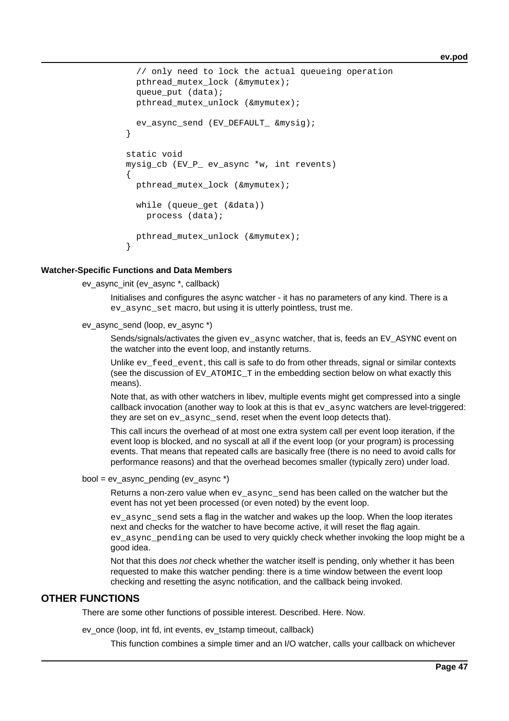```
 // only need to lock the actual queueing operation
   pthread_mutex_lock (&mymutex);
   queue_put (data);
   pthread_mutex_unlock (&mymutex);
   ev_async_send (EV_DEFAULT_ &mysig);
 }
 static void
 mysig_cb (EV_P_ ev_async *w, int revents)
\{ pthread_mutex_lock (&mymutex);
   while (queue_get (&data))
     process (data);
   pthread_mutex_unlock (&mymutex);
 }
```
#### **Watcher-Specific Functions and Data Members**

ev\_async\_init (ev\_async \*, callback)

Initialises and configures the async watcher - it has no parameters of any kind. There is a ev\_async\_set macro, but using it is utterly pointless, trust me.

ev\_async\_send (loop, ev\_async \*)

Sends/signals/activates the given evasync watcher, that is, feeds an EV ASYNC event on the watcher into the event loop, and instantly returns.

Unlike  $ev$  feed event, this call is safe to do from other threads, signal or similar contexts (see the discussion of EV\_ATOMIC\_T in the embedding section below on what exactly this means).

Note that, as with other watchers in libev, multiple events might get compressed into a single callback invocation (another way to look at this is that  $ev$ \_async watchers are level-triggered: they are set on ev async send, reset when the event loop detects that).

This call incurs the overhead of at most one extra system call per event loop iteration, if the event loop is blocked, and no syscall at all if the event loop (or your program) is processing events. That means that repeated calls are basically free (there is no need to avoid calls for performance reasons) and that the overhead becomes smaller (typically zero) under load.

bool = ev\_async\_pending (ev\_async \*)

Returns a non-zero value when  $ev$  async send has been called on the watcher but the event has not yet been processed (or even noted) by the event loop.

ev\_async\_send sets a flag in the watcher and wakes up the loop. When the loop iterates next and checks for the watcher to have become active, it will reset the flag again. ev\_async\_pending can be used to very quickly check whether invoking the loop might be a good idea.

Not that this does not check whether the watcher itself is pending, only whether it has been requested to make this watcher pending: there is a time window between the event loop checking and resetting the async notification, and the callback being invoked.

## **OTHER FUNCTIONS**

There are some other functions of possible interest. Described. Here. Now.

ev\_once (loop, int fd, int events, ev\_tstamp timeout, callback)

This function combines a simple timer and an I/O watcher, calls your callback on whichever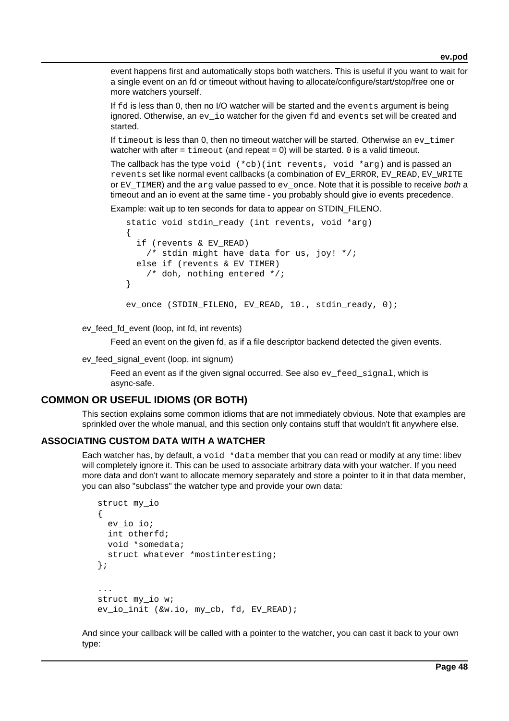event happens first and automatically stops both watchers. This is useful if you want to wait for a single event on an fd or timeout without having to allocate/configure/start/stop/free one or more watchers yourself.

If fd is less than 0, then no I/O watcher will be started and the events argument is being ignored. Otherwise, an ev $i$ o watcher for the given  $fd$  and events set will be created and started.

If timeout is less than 0, then no timeout watcher will be started. Otherwise an ev\_timer watcher with after = timeout (and repeat = 0) will be started. 0 is a valid timeout.

The callback has the type void  $(*cb)(int$  revents, void  $*arg)$  and is passed an revents set like normal event callbacks (a combination of EV\_ERROR, EV\_READ, EV\_WRITE or EV\_TIMER) and the arg value passed to  $ev$  once. Note that it is possible to receive both a timeout and an io event at the same time - you probably should give io events precedence.

Example: wait up to ten seconds for data to appear on STDIN\_FILENO.

```
 static void stdin_ready (int revents, void *arg)
 {
   if (revents & EV_READ)
     /* stdin might have data for us, joy! */;
   else if (revents & EV_TIMER)
     /* doh, nothing entered */;
 }
 ev_once (STDIN_FILENO, EV_READ, 10., stdin_ready, 0);
```
ev feed fd event (loop, int fd, int revents)

Feed an event on the given fd, as if a file descriptor backend detected the given events.

ev\_feed\_signal\_event (loop, int signum)

Feed an event as if the given signal occurred. See also ev\_feed\_signal, which is async-safe.

## **COMMON OR USEFUL IDIOMS (OR BOTH)**

This section explains some common idioms that are not immediately obvious. Note that examples are sprinkled over the whole manual, and this section only contains stuff that wouldn't fit anywhere else.

### **ASSOCIATING CUSTOM DATA WITH A WATCHER**

Each watcher has, by default, a  $\text{void}$  \*data member that you can read or modify at any time: libev will completely ignore it. This can be used to associate arbitrary data with your watcher. If you need more data and don't want to allocate memory separately and store a pointer to it in that data member, you can also "subclass" the watcher type and provide your own data:

```
 struct my_io
 {
   ev_io io;
   int otherfd;
   void *somedata;
   struct whatever *mostinteresting;
 };
 ...
 struct my_io w;
 ev_io_init (&w.io, my_cb, fd, EV_READ);
```
And since your callback will be called with a pointer to the watcher, you can cast it back to your own type: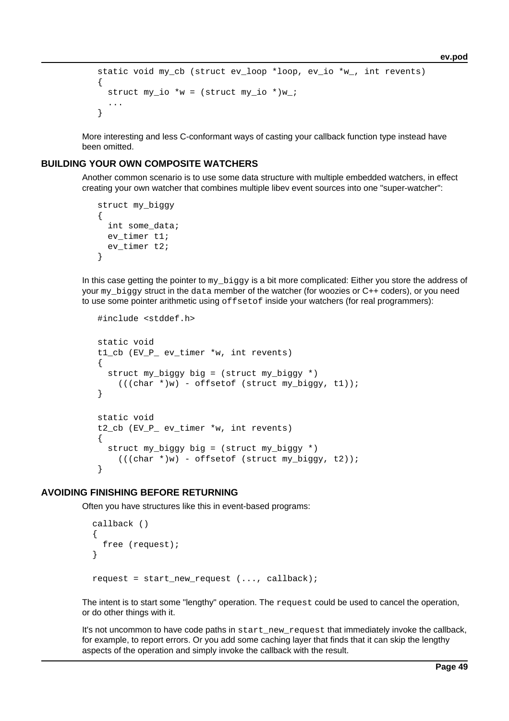```
static void my cb (struct ev loop *loop, ev io *w, int revents)
   {
    struct my_io *w = (struct my_io *)w;
 ...
   }
```
More interesting and less C-conformant ways of casting your callback function type instead have been omitted.

## **BUILDING YOUR OWN COMPOSITE WATCHERS**

Another common scenario is to use some data structure with multiple embedded watchers, in effect creating your own watcher that combines multiple libev event sources into one "super-watcher":

```
 struct my_biggy
 {
   int some_data;
   ev_timer t1;
   ev_timer t2;
 }
```
In this case getting the pointer to my\_biggy is a bit more complicated: Either you store the address of your my biggy struct in the data member of the watcher (for woozies or C++ coders), or you need to use some pointer arithmetic using offsetof inside your watchers (for real programmers):

```
 #include <stddef.h>
 static void
 t1_cb (EV_P_ ev_timer *w, int revents)
 {
   struct my_biggy big = (struct my_biggy *)
     (((char *)w) - offsetof (struct my_biggy, t1));
 }
 static void
 t2_cb (EV_P_ ev_timer *w, int revents)
 {
   struct my_biggy big = (struct my_biggy *)
    (((char *)w) - offsetof (struct my_biggy, t2)); }
```
## **AVOIDING FINISHING BEFORE RETURNING**

Often you have structures like this in event-based programs:

```
 callback ()
 {
   free (request);
 }
 request = start_new_request (..., callback);
```
The intent is to start some "lengthy" operation. The request could be used to cancel the operation, or do other things with it.

It's not uncommon to have code paths in start\_new\_request that immediately invoke the callback, for example, to report errors. Or you add some caching layer that finds that it can skip the lengthy aspects of the operation and simply invoke the callback with the result.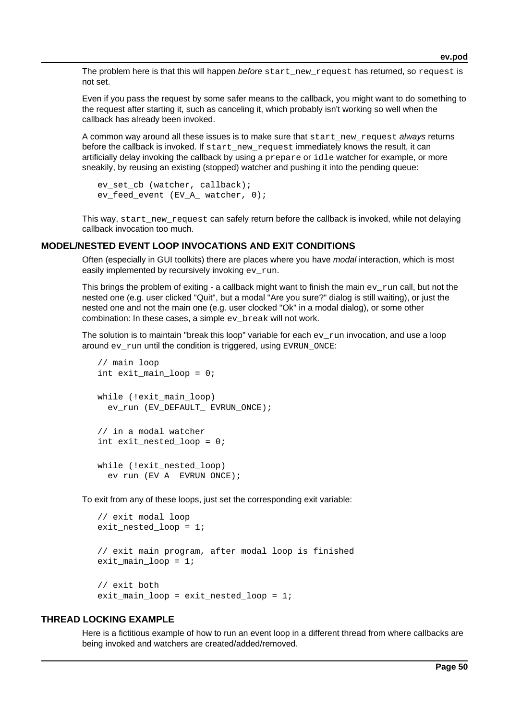The problem here is that this will happen before start new request has returned, so request is not set.

Even if you pass the request by some safer means to the callback, you might want to do something to the request after starting it, such as canceling it, which probably isn't working so well when the callback has already been invoked.

A common way around all these issues is to make sure that start new request always returns before the callback is invoked. If start new request immediately knows the result, it can artificially delay invoking the callback by using a prepare or idle watcher for example, or more sneakily, by reusing an existing (stopped) watcher and pushing it into the pending queue:

```
ev set cb (watcher, callback);
ev feed event (EV A watcher, 0);
```
This way, start new request can safely return before the callback is invoked, while not delaying callback invocation too much.

### **MODEL/NESTED EVENT LOOP INVOCATIONS AND EXIT CONDITIONS**

Often (especially in GUI toolkits) there are places where you have *modal* interaction, which is most easily implemented by recursively invoking ev\_run.

This brings the problem of exiting - a callback might want to finish the main  $ev_{run}$  call, but not the nested one (e.g. user clicked "Quit", but a modal "Are you sure?" dialog is still waiting), or just the nested one and not the main one (e.g. user clocked "Ok" in a modal dialog), or some other combination: In these cases, a simple ev\_break will not work.

The solution is to maintain "break this loop" variable for each  $ev_{run}$  invocation, and use a loop around ev\_run until the condition is triggered, using EVRUN\_ONCE:

```
 // main loop
 int exit_main_loop = 0;
 while (!exit_main_loop)
   ev_run (EV_DEFAULT_ EVRUN_ONCE);
 // in a modal watcher
 int exit_nested_loop = 0;
while (!exit nested loop)
   ev_run (EV_A_ EVRUN_ONCE);
```
To exit from any of these loops, just set the corresponding exit variable:

```
 // exit modal loop
 exit_nested_loop = 1;
 // exit main program, after modal loop is finished
exit main loop = 1;
 // exit both
exit main loop = exit nested loop = 1;
```
### **THREAD LOCKING EXAMPLE**

Here is a fictitious example of how to run an event loop in a different thread from where callbacks are being invoked and watchers are created/added/removed.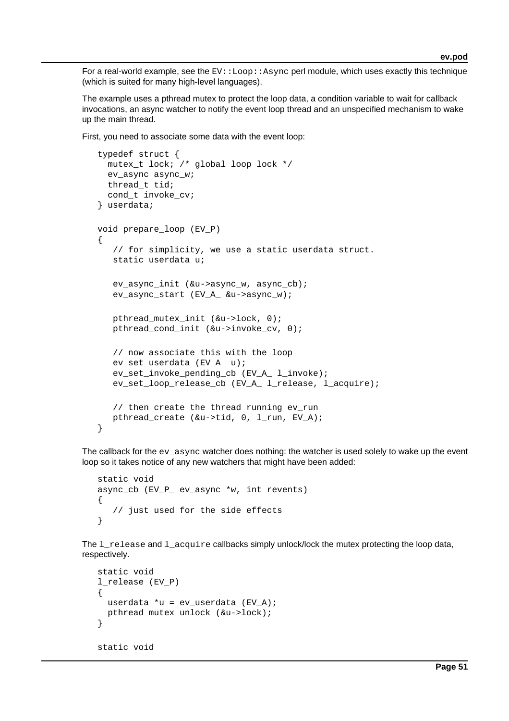For a real-world example, see the  $EV: Loop: Async$  perl module, which uses exactly this technique (which is suited for many high-level languages).

The example uses a pthread mutex to protect the loop data, a condition variable to wait for callback invocations, an async watcher to notify the event loop thread and an unspecified mechanism to wake up the main thread.

First, you need to associate some data with the event loop:

```
 typedef struct {
  mutex_t lock; /* global loop lock */
   ev_async async_w;
  thread t tid;
   cond_t invoke_cv;
 } userdata;
 void prepare_loop (EV_P)
 {
    // for simplicity, we use a static userdata struct.
    static userdata u;
    ev_async_init (&u->async_w, async_cb);
    ev_async_start (EV_A_ &u->async_w);
    pthread_mutex_init (&u->lock, 0);
    pthread_cond_init (&u->invoke_cv, 0);
    // now associate this with the loop
    ev_set_userdata (EV_A_ u);
    ev_set_invoke_pending_cb (EV_A_ l_invoke);
    ev_set_loop_release_cb (EV_A_ l_release, l_acquire);
    // then create the thread running ev_run
   pthread create (&u->tid, 0, 1 run, EV A);
 }
```
The callback for the ev\_async watcher does nothing: the watcher is used solely to wake up the event loop so it takes notice of any new watchers that might have been added:

```
 static void
 async_cb (EV_P_ ev_async *w, int revents)
 {
    // just used for the side effects
 }
```
The  $l$  release and  $l$  acquire callbacks simply unlock/lock the mutex protecting the loop data, respectively.

```
 static void
 l_release (EV_P)
 {
   userdata *u = ev_userdata (EV_A);
   pthread_mutex_unlock (&u->lock);
 }
 static void
```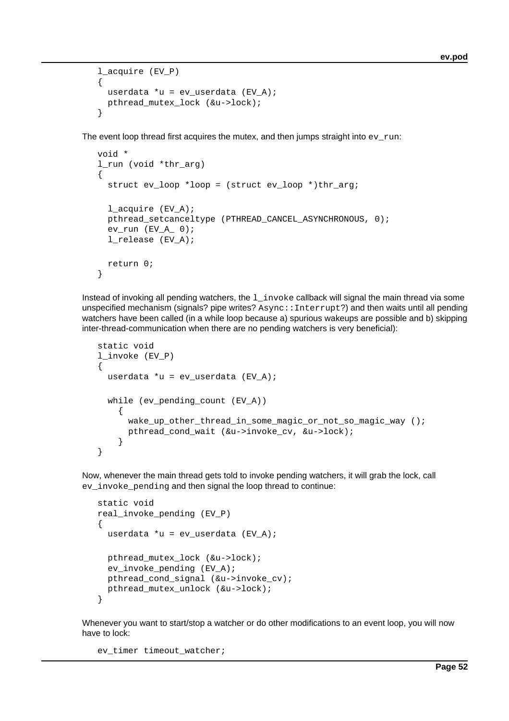```
 l_acquire (EV_P)
 {
   userdata *u = ev_userdata (EV_A);
   pthread_mutex_lock (&u->lock);
 }
```
The event loop thread first acquires the mutex, and then jumps straight into  $ev\$ run:

```
 void *
 l_run (void *thr_arg)
 {
  struct ev loop *loop = (struct ev loop *)thr arg;
   l_acquire (EV_A);
   pthread_setcanceltype (PTHREAD_CANCEL_ASYNCHRONOUS, 0);
  ev\_run (EV_A 0);
   l_release (EV_A);
   return 0;
 }
```
Instead of invoking all pending watchers, the  $1$  invoke callback will signal the main thread via some unspecified mechanism (signals? pipe writes? Async:: Interrupt?) and then waits until all pending watchers have been called (in a while loop because a) spurious wakeups are possible and b) skipping inter-thread-communication when there are no pending watchers is very beneficial):

```
 static void
 l_invoke (EV_P)
 {
   userdata *u = ev_userdata (EV_A);
   while (ev_pending_count (EV_A))
     {
       wake_up_other_thread_in_some_magic_or_not_so_magic_way ();
       pthread_cond_wait (&u->invoke_cv, &u->lock);
     }
 }
```
Now, whenever the main thread gets told to invoke pending watchers, it will grab the lock, call ev\_invoke\_pending and then signal the loop thread to continue:

```
 static void
 real_invoke_pending (EV_P)
 {
   userdata *u = ev_userdata (EV_A);
   pthread_mutex_lock (&u->lock);
   ev_invoke_pending (EV_A);
  pthread cond signal (&u->invoke cv);
   pthread_mutex_unlock (&u->lock);
 }
```
Whenever you want to start/stop a watcher or do other modifications to an event loop, you will now have to lock:

ev\_timer timeout\_watcher;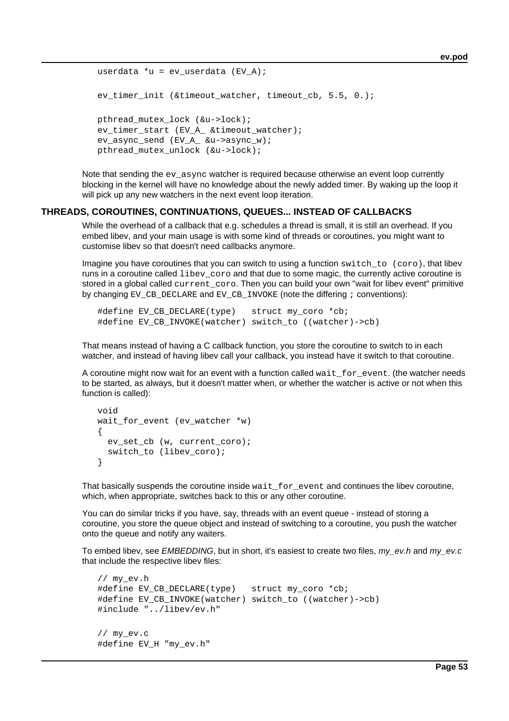```
userdata *u = ev userdata (EV A);
 ev_timer_init (&timeout_watcher, timeout_cb, 5.5, 0.);
 pthread_mutex_lock (&u->lock);
 ev_timer_start (EV_A_ &timeout_watcher);
 ev_async_send (EV_A_ &u->async_w);
 pthread_mutex_unlock (&u->lock);
```
Note that sending the  $ev$  async watcher is required because otherwise an event loop currently blocking in the kernel will have no knowledge about the newly added timer. By waking up the loop it will pick up any new watchers in the next event loop iteration.

### **THREADS, COROUTINES, CONTINUATIONS, QUEUES... INSTEAD OF CALLBACKS**

While the overhead of a callback that e.g. schedules a thread is small, it is still an overhead. If you embed libev, and your main usage is with some kind of threads or coroutines, you might want to customise libev so that doesn't need callbacks anymore.

Imagine you have coroutines that you can switch to using a function switch\_to (coro), that libev runs in a coroutine called  $l$  ibev  $\cos \theta$  and that due to some magic, the currently active coroutine is stored in a global called current\_coro. Then you can build your own "wait for libev event" primitive by changing EV\_CB\_DECLARE and EV\_CB\_INVOKE (note the differing ; conventions):

```
#define EV CB DECLARE(type) struct my coro *cb;
#define EV CB_INVOKE(watcher) switch to ((watcher)->cb)
```
That means instead of having a C callback function, you store the coroutine to switch to in each watcher, and instead of having libev call your callback, you instead have it switch to that coroutine.

A coroutine might now wait for an event with a function called wait\_for\_event. (the watcher needs to be started, as always, but it doesn't matter when, or whether the watcher is active or not when this function is called):

```
 void
 wait_for_event (ev_watcher *w)
 {
   ev_set_cb (w, current_coro);
   switch_to (libev_coro);
 }
```
That basically suspends the coroutine inside wait\_for\_event and continues the libev coroutine, which, when appropriate, switches back to this or any other coroutine.

You can do similar tricks if you have, say, threads with an event queue - instead of storing a coroutine, you store the queue object and instead of switching to a coroutine, you push the watcher onto the queue and notify any waiters.

To embed libev, see EMBEDDING, but in short, it's easiest to create two files,  $m y_{\perp} e v.h$  and  $m y_{\perp} e v.c$ that include the respective libev files:

```
 // my_ev.h
 #define EV_CB_DECLARE(type) struct my_coro *cb;
 #define EV_CB_INVOKE(watcher) switch_to ((watcher)->cb)
 #include "../libev/ev.h"
 // my_ev.c
 #define EV_H "my_ev.h"
```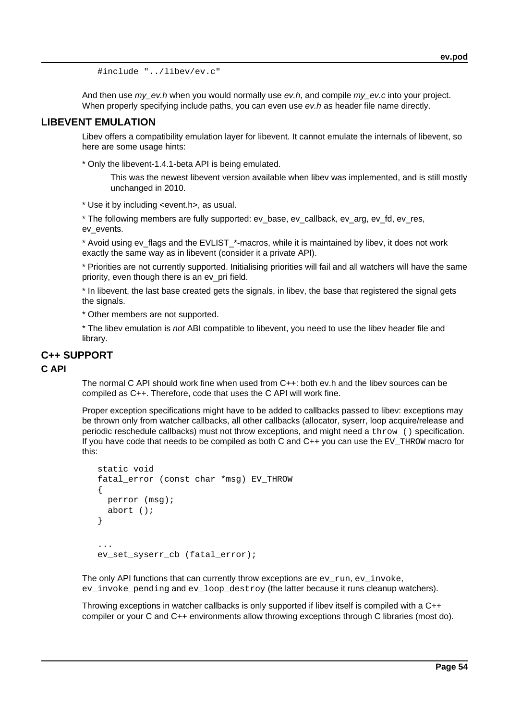#include "../libev/ev.c"

And then use  $my\_ev.h$  when you would normally use  $ev.h$ , and compile  $my\_ev.c$  into your project. When properly specifying include paths, you can even use ey.h as header file name directly.

## **LIBEVENT EMULATION**

Libev offers a compatibility emulation layer for libevent. It cannot emulate the internals of libevent, so here are some usage hints:

\* Only the libevent-1.4.1-beta API is being emulated.

This was the newest libevent version available when libev was implemented, and is still mostly unchanged in 2010.

\* Use it by including <event.h>, as usual.

\* The following members are fully supported: ev\_base, ev\_callback, ev\_arg, ev\_fd, ev\_res, ev\_events.

\* Avoid using ev\_flags and the EVLIST\_\*-macros, while it is maintained by libev, it does not work exactly the same way as in libevent (consider it a private API).

\* Priorities are not currently supported. Initialising priorities will fail and all watchers will have the same priority, even though there is an ev\_pri field.

\* In libevent, the last base created gets the signals, in libev, the base that registered the signal gets the signals.

\* Other members are not supported.

\* The libev emulation is not ABI compatible to libevent, you need to use the libev header file and library.

## **C++ SUPPORT**

## **C API**

The normal C API should work fine when used from C++: both ev.h and the libev sources can be compiled as C++. Therefore, code that uses the C API will work fine.

Proper exception specifications might have to be added to callbacks passed to libev: exceptions may be thrown only from watcher callbacks, all other callbacks (allocator, syserr, loop acquire/release and periodic reschedule callbacks) must not throw exceptions, and might need a throw () specification. If you have code that needs to be compiled as both C and C++ you can use the EV\_THROW macro for this:

```
 static void
   fatal_error (const char *msg) EV_THROW
    {
      perror (msg);
      abort ();
    }
 ...
  ev set syserr cb (fatal error);
```
The only API functions that can currently throw exceptions are  $ev\ run$ ,  $ev\ invoke$ , ev\_invoke\_pending and ev\_loop\_destroy (the latter because it runs cleanup watchers).

Throwing exceptions in watcher callbacks is only supported if libev itself is compiled with a C++ compiler or your C and C++ environments allow throwing exceptions through C libraries (most do).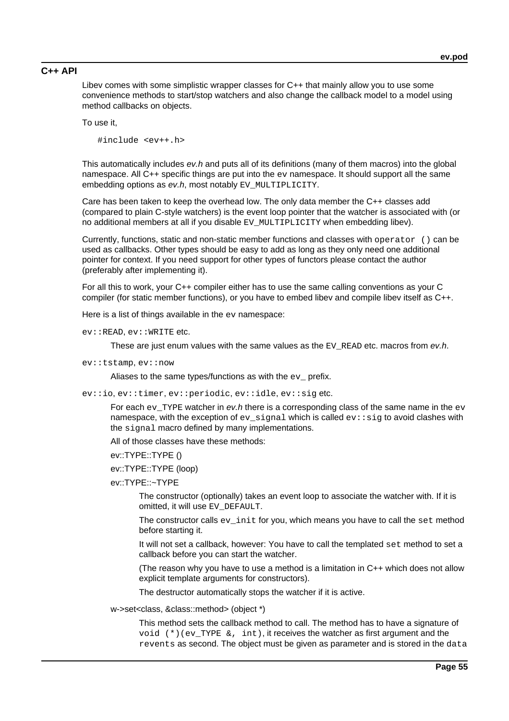## **C++ API**

Libev comes with some simplistic wrapper classes for C++ that mainly allow you to use some convenience methods to start/stop watchers and also change the callback model to a model using method callbacks on objects.

To use it,

#include <ev++.h>

This automatically includes ev.h and puts all of its definitions (many of them macros) into the global namespace. All C++ specific things are put into the ev namespace. It should support all the same embedding options as ev.h, most notably EV\_MULTIPLICITY.

Care has been taken to keep the overhead low. The only data member the C++ classes add (compared to plain C-style watchers) is the event loop pointer that the watcher is associated with (or no additional members at all if you disable EV MULTIPLICITY when embedding libev).

Currently, functions, static and non-static member functions and classes with operator () can be used as callbacks. Other types should be easy to add as long as they only need one additional pointer for context. If you need support for other types of functors please contact the author (preferably after implementing it).

For all this to work, your C++ compiler either has to use the same calling conventions as your C compiler (for static member functions), or you have to embed libev and compile libev itself as C++.

Here is a list of things available in the ev namespace:

ev::READ, ev::WRITE etc.

These are just enum values with the same values as the  $EV$  READ etc. macros from ev.h.

ev::tstamp, ev::now

Aliases to the same types/functions as with the  $ev$ <sub>-prefix</sub>.

ev::io, ev::timer, ev::periodic, ev::idle, ev::sig etc.

For each  $ev$ \_TYPE watcher in  $ev.h$  there is a corresponding class of the same name in the  $ev$ namespace, with the exception of  $ev$  signal which is called  $ev:$  sig to avoid clashes with the signal macro defined by many implementations.

All of those classes have these methods:

ev::TYPE::TYPE ()

ev::TYPE::TYPE (loop)

ev::TYPE::~TYPE

The constructor (optionally) takes an event loop to associate the watcher with. If it is omitted, it will use EV\_DEFAULT.

The constructor calls  $ev\$  init for you, which means you have to call the set method before starting it.

It will not set a callback, however: You have to call the templated set method to set a callback before you can start the watcher.

(The reason why you have to use a method is a limitation in C++ which does not allow explicit template arguments for constructors).

The destructor automatically stops the watcher if it is active.

w->set<class, &class::method> (object \*)

This method sets the callback method to call. The method has to have a signature of void  $(*)$  (ev TYPE  $\⊂> i$ , int), it receives the watcher as first argument and the revents as second. The object must be given as parameter and is stored in the data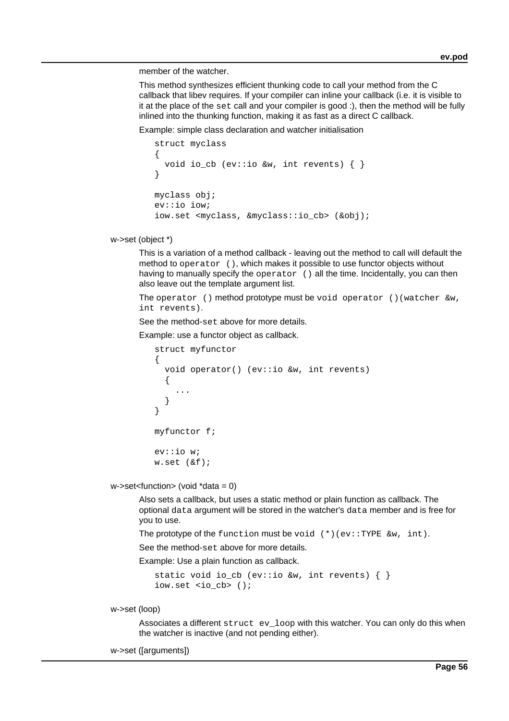member of the watcher.

This method synthesizes efficient thunking code to call your method from the C callback that libev requires. If your compiler can inline your callback (i.e. it is visible to it at the place of the set call and your compiler is good :), then the method will be fully inlined into the thunking function, making it as fast as a direct C callback.

Example: simple class declaration and watcher initialisation

```
 struct myclass
\left\{ \right. void io_cb (ev::io &w, int revents) { }
 }
 myclass obj;
 ev::io iow;
 iow.set <myclass, &myclass::io_cb> (&obj);
```
w->set (object \*)

This is a variation of a method callback - leaving out the method to call will default the method to operator (), which makes it possible to use functor objects without having to manually specify the operator () all the time. Incidentally, you can then also leave out the template argument list.

The operator () method prototype must be void operator () (watcher  $\&w$ , int revents).

See the method-set above for more details.

Example: use a functor object as callback.

```
 struct myfunctor
   \{ void operator() (ev::io &w, int revents)
      {
 ...
      }
    }
    myfunctor f;
    ev::io w;
    w.set (&f);
```
w->set<function> (void \*data = 0)

Also sets a callback, but uses a static method or plain function as callback. The optional data argument will be stored in the watcher's data member and is free for you to use.

The prototype of the function must be void  $(*)$  (ev::TYPE  $\&w$ , int).

See the method-set above for more details.

Example: Use a plain function as callback.

```
static void io_cb (ev::io &w, int revents) \{\ \} iow.set <io_cb> ();
```
w->set (loop)

Associates a different struct ev\_loop with this watcher. You can only do this when the watcher is inactive (and not pending either).

w->set ([arguments])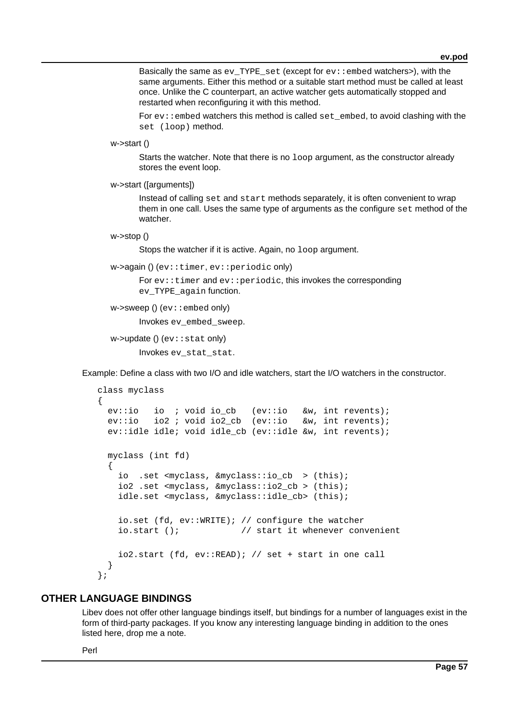Basically the same as  $ev$  TYPE set (except for  $ev:$  embed watchers>), with the same arguments. Either this method or a suitable start method must be called at least once. Unlike the C counterpart, an active watcher gets automatically stopped and restarted when reconfiguring it with this method.

For  $ev:$  : embed watchers this method is called set embed, to avoid clashing with the set (loop) method.

```
w->start ()
```
Starts the watcher. Note that there is no loop argument, as the constructor already stores the event loop.

```
w->start ([arguments])
```
Instead of calling set and start methods separately, it is often convenient to wrap them in one call. Uses the same type of arguments as the configure set method of the watcher.

```
w->stop ()
```
Stops the watcher if it is active. Again, no loop argument.

```
w->again () (ev::timer, ev::periodic only)
```
For  $ev:$  timer and  $ev:$  periodic, this invokes the corresponding ev TYPE again function.

```
w\rightarrowsweep () (ev:: embed only)
```
Invokes ev\_embed\_sweep.

```
w->update () (ev::stat only)
```
Invokes ev\_stat\_stat.

Example: Define a class with two I/O and idle watchers, start the I/O watchers in the constructor.

```
 class myclass
 {
  ev::io io ; void io cb (ev::io &w, int revents);
   ev::io io2 ; void io2_cb (ev::io &w, int revents);
   ev::idle idle; void idle_cb (ev::idle &w, int revents);
   myclass (int fd)
   {
    io .set <myclass, &myclass::io_cb > (this);
     io2 .set <myclass, &myclass::io2_cb > (this);
     idle.set <myclass, &myclass::idle_cb> (this);
     io.set (fd, ev::WRITE); // configure the watcher
     io.start (); // start it whenever convenient
     io2.start (fd, ev::READ); // set + start in one call
   }
 };
```
## **OTHER LANGUAGE BINDINGS**

Libev does not offer other language bindings itself, but bindings for a number of languages exist in the form of third-party packages. If you know any interesting language binding in addition to the ones listed here, drop me a note.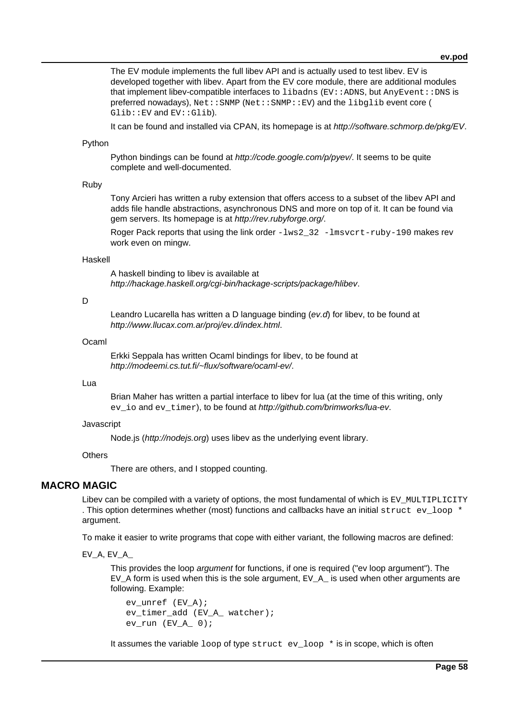The EV module implements the full libev API and is actually used to test libev. EV is developed together with libev. Apart from the EV core module, there are additional modules that implement libev-compatible interfaces to  $1$ ibadns (EV::ADNS, but AnyEvent::DNS is preferred nowadays), Net::SNMP (Net::SNMP::EV) and the libglib event core ( Glib::EV and EV::Glib).

It can be found and installed via CPAN, its homepage is at http://software.schmorp.de/pkg/EV.

#### Python

Python bindings can be found at *http://code.google.com/p/pyey*/. It seems to be quite complete and well-documented.

#### Ruby

Tony Arcieri has written a ruby extension that offers access to a subset of the libev API and adds file handle abstractions, asynchronous DNS and more on top of it. It can be found via gem servers. Its homepage is at http://rev.rubyforge.org/.

Roger Pack reports that using the link order  $-lws2-32$  -lmsvcrt-ruby-190 makes rev work even on mingw.

#### Haskell

A haskell binding to libev is available at http://hackage.haskell.org/cgi-bin/hackage-scripts/package/hlibev.

### D

Leandro Lucarella has written a D language binding ( $ev.d$ ) for libev, to be found at http://www.llucax.com.ar/proj/ev.d/index.html.

### Ocaml

Erkki Seppala has written Ocaml bindings for libev, to be found at http://modeemi.cs.tut.fi/~flux/software/ocaml-ev/.

### Lua

Brian Maher has written a partial interface to libev for lua (at the time of this writing, only ev\_io and ev\_timer), to be found at http://github.com/brimworks/lua-ev.

#### Javascript

Node.js (http://nodejs.org) uses libev as the underlying event library.

### **Others**

There are others, and I stopped counting.

## **MACRO MAGIC**

Libev can be compiled with a variety of options, the most fundamental of which is EV MULTIPLICITY . This option determines whether (most) functions and callbacks have an initial struct ev\_loop \* argument.

To make it easier to write programs that cope with either variant, the following macros are defined:

EV\_A, EV\_A\_

This provides the loop argument for functions, if one is required ("ev loop argument"). The EV A form is used when this is the sole argument, EV A is used when other arguments are following. Example:

```
 ev_unref (EV_A);
 ev_timer_add (EV_A_ watcher);
ev\_run (EVA_0);
```
It assumes the variable  $loop$  of type struct ev  $loop$   $*$  is in scope, which is often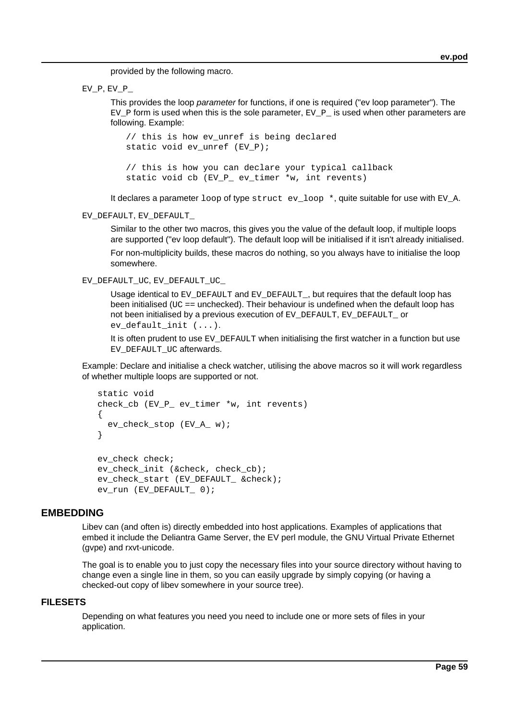provided by the following macro.

 $EV_P$ ,  $EV_P$ 

This provides the loop *parameter* for functions, if one is required ("ev loop parameter"). The EV P form is used when this is the sole parameter, EV P is used when other parameters are following. Example:

 // this is how ev\_unref is being declared static void ev unref  $(EV\ P)$ ; // this is how you can declare your typical callback static void cb (EV P ev timer \*w, int revents)

It declares a parameter  $loop$  of type struct ev  $loop$  \*, quite suitable for use with EV A.

EV\_DEFAULT, EV\_DEFAULT\_

Similar to the other two macros, this gives you the value of the default loop, if multiple loops are supported ("ev loop default"). The default loop will be initialised if it isn't already initialised.

For non-multiplicity builds, these macros do nothing, so you always have to initialise the loop somewhere.

EV\_DEFAULT\_UC, EV\_DEFAULT\_UC

Usage identical to EV\_DEFAULT and EV\_DEFAULT\_, but requires that the default loop has been initialised ( $UC ==$  unchecked). Their behaviour is undefined when the default loop has not been initialised by a previous execution of EV\_DEFAULT, EV\_DEFAULT\_ or ev default init (...).

It is often prudent to use  $E_V$  DEFAULT when initialising the first watcher in a function but use EV\_DEFAULT\_UC afterwards.

Example: Declare and initialise a check watcher, utilising the above macros so it will work regardless of whether multiple loops are supported or not.

```
 static void
 check_cb (EV_P_ ev_timer *w, int revents)
 {
   ev_check_stop (EV_A_ w);
 }
ev check check;
 ev_check_init (&check, check_cb);
 ev_check_start (EV_DEFAULT_ &check);
 ev_run (EV_DEFAULT_ 0);
```
## **EMBEDDING**

Libev can (and often is) directly embedded into host applications. Examples of applications that embed it include the Deliantra Game Server, the EV perl module, the GNU Virtual Private Ethernet (gvpe) and rxvt-unicode.

The goal is to enable you to just copy the necessary files into your source directory without having to change even a single line in them, so you can easily upgrade by simply copying (or having a checked-out copy of libev somewhere in your source tree).

## **FILESETS**

Depending on what features you need you need to include one or more sets of files in your application.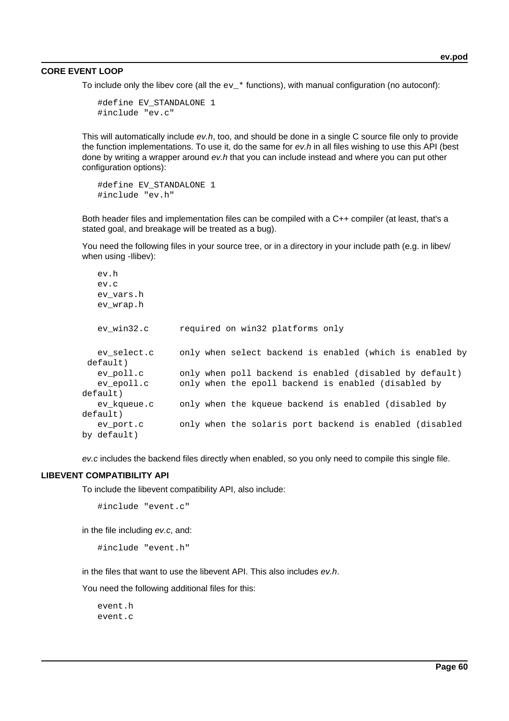#### **CORE EVENT LOOP**

To include only the libev core (all the  $ev$  \* functions), with manual configuration (no autoconf):

```
 #define EV_STANDALONE 1
 #include "ev.c"
```
This will automatically include ev.h, too, and should be done in a single C source file only to provide the function implementations. To use it, do the same for  $ev.h$  in all files wishing to use this API (best done by writing a wrapper around  $ev.h$  that you can include instead and where you can put other configuration options):

```
 #define EV_STANDALONE 1
 #include "ev.h"
```
Both header files and implementation files can be compiled with a C++ compiler (at least, that's a stated goal, and breakage will be treated as a bug).

You need the following files in your source tree, or in a directory in your include path (e.g. in libev/ when using -Ilibev):

```
 ev.h
   ev.c
   ev_vars.h
   ev_wrap.h
   ev_win32.c required on win32 platforms only
  ev select.c only when select backend is enabled (which is enabled by
default)
   ev_poll.c only when poll backend is enabled (disabled by default)
   ev_epoll.c only when the epoll backend is enabled (disabled by
default)
   ev_kqueue.c only when the kqueue backend is enabled (disabled by
default)
   ev_port.c only when the solaris port backend is enabled (disabled
by default)
```
ev.c includes the backend files directly when enabled, so you only need to compile this single file.

#### **LIBEVENT COMPATIBILITY API**

To include the libevent compatibility API, also include:

```
 #include "event.c"
```
in the file including ev.c, and:

#include "event.h"

in the files that want to use the libevent API. This also includes ev.h.

You need the following additional files for this:

 event.h event.c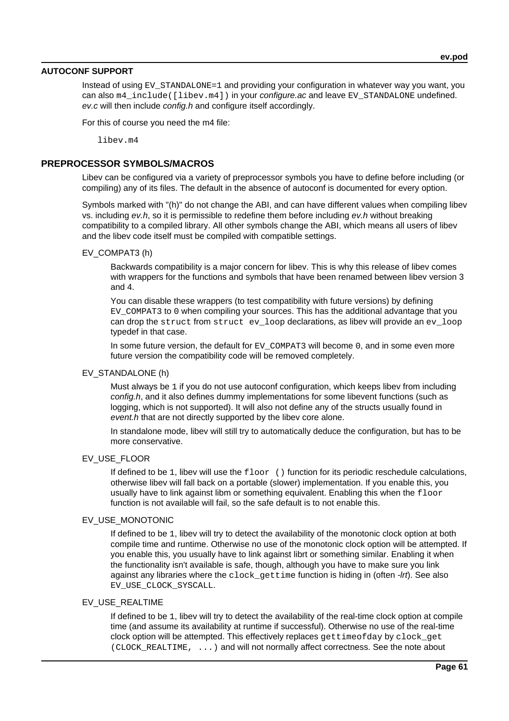### **AUTOCONF SUPPORT**

Instead of using  $EV$   $STANDALONE=1$  and providing your configuration in whatever way you want, you can also m4\_include([libev.m4]) in your configure.ac and leave EV\_STANDALONE undefined. ev.c will then include config.h and configure itself accordingly.

For this of course you need the m4 file:

libev m4

## **PREPROCESSOR SYMBOLS/MACROS**

Libev can be configured via a variety of preprocessor symbols you have to define before including (or compiling) any of its files. The default in the absence of autoconf is documented for every option.

Symbols marked with "(h)" do not change the ABI, and can have different values when compiling libev vs. including ev.h, so it is permissible to redefine them before including ev.h without breaking compatibility to a compiled library. All other symbols change the ABI, which means all users of libev and the libev code itself must be compiled with compatible settings.

### EV\_COMPAT3 (h)

Backwards compatibility is a major concern for libev. This is why this release of libev comes with wrappers for the functions and symbols that have been renamed between libev version 3 and 4.

You can disable these wrappers (to test compatibility with future versions) by defining EV COMPAT3 to 0 when compiling your sources. This has the additional advantage that you can drop the struct from struct ev\_loop declarations, as libev will provide an ev\_loop typedef in that case.

In some future version, the default for  $E_V$  COMPAT3 will become 0, and in some even more future version the compatibility code will be removed completely.

### EV\_STANDALONE (h)

Must always be 1 if you do not use autoconf configuration, which keeps libev from including config.h, and it also defines dummy implementations for some libevent functions (such as logging, which is not supported). It will also not define any of the structs usually found in event.h that are not directly supported by the libey core alone.

In standalone mode, libev will still try to automatically deduce the configuration, but has to be more conservative.

### EV\_USE\_FLOOR

If defined to be 1, libev will use the floor () function for its periodic reschedule calculations, otherwise libev will fall back on a portable (slower) implementation. If you enable this, you usually have to link against libm or something equivalent. Enabling this when the  $floor$ function is not available will fail, so the safe default is to not enable this.

#### EV\_USE\_MONOTONIC

If defined to be 1, libev will try to detect the availability of the monotonic clock option at both compile time and runtime. Otherwise no use of the monotonic clock option will be attempted. If you enable this, you usually have to link against librt or something similar. Enabling it when the functionality isn't available is safe, though, although you have to make sure you link against any libraries where the clock\_gettime function is hiding in (often -Irt). See also EV\_USE\_CLOCK\_SYSCALL.

### EV\_USE\_REALTIME

If defined to be 1, libev will try to detect the availability of the real-time clock option at compile time (and assume its availability at runtime if successful). Otherwise no use of the real-time clock option will be attempted. This effectively replaces gettimeofday by clock get (CLOCK\_REALTIME, ...) and will not normally affect correctness. See the note about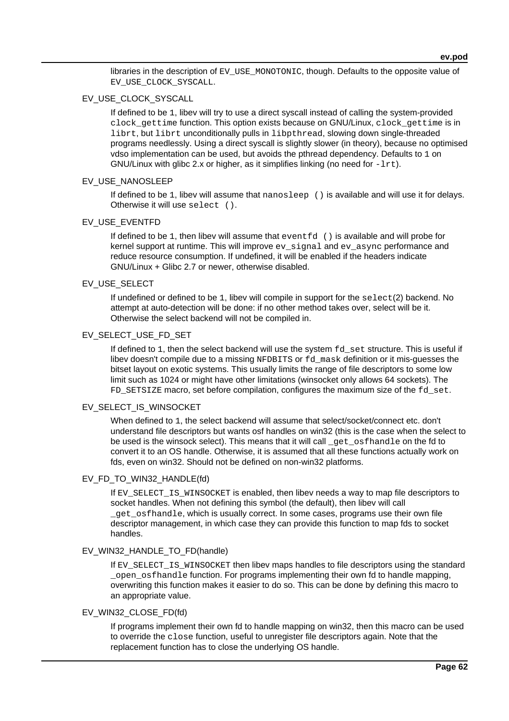libraries in the description of EV\_USE\_MONOTONIC, though. Defaults to the opposite value of EV\_USE\_CLOCK\_SYSCALL.

### EV\_USE\_CLOCK\_SYSCALL

If defined to be 1, libev will try to use a direct syscall instead of calling the system-provided clock gettime function. This option exists because on GNU/Linux, clock gettime is in librt, but librt unconditionally pulls in libpthread, slowing down single-threaded programs needlessly. Using a direct syscall is slightly slower (in theory), because no optimised vdso implementation can be used, but avoids the pthread dependency. Defaults to 1 on GNU/Linux with glibc 2.x or higher, as it simplifies linking (no need for  $-Irt$ ).

### EV\_USE\_NANOSLEEP

If defined to be 1, libev will assume that nanosleep () is available and will use it for delays. Otherwise it will use select ().

### EV\_USE\_EVENTFD

If defined to be 1, then libev will assume that  $eventfd$  () is available and will probe for kernel support at runtime. This will improve ev\_signal and ev\_async performance and reduce resource consumption. If undefined, it will be enabled if the headers indicate GNU/Linux + Glibc 2.7 or newer, otherwise disabled.

### EV\_USE\_SELECT

If undefined or defined to be 1, libev will compile in support for the select(2) backend. No attempt at auto-detection will be done: if no other method takes over, select will be it. Otherwise the select backend will not be compiled in.

### EV\_SELECT\_USE\_FD\_SET

If defined to 1, then the select backend will use the system  $fd$  set structure. This is useful if libev doesn't compile due to a missing NFDBITS or fd\_mask definition or it mis-guesses the bitset layout on exotic systems. This usually limits the range of file descriptors to some low limit such as 1024 or might have other limitations (winsocket only allows 64 sockets). The FD\_SETSIZE macro, set before compilation, configures the maximum size of the fd\_set.

### EV\_SELECT\_IS\_WINSOCKET

When defined to 1, the select backend will assume that select/socket/connect etc. don't understand file descriptors but wants osf handles on win32 (this is the case when the select to be used is the winsock select). This means that it will call \_get\_osfhandle on the fd to convert it to an OS handle. Otherwise, it is assumed that all these functions actually work on fds, even on win32. Should not be defined on non-win32 platforms.

### EV\_FD\_TO\_WIN32\_HANDLE(fd)

If EV\_SELECT\_IS\_WINSOCKET is enabled, then libev needs a way to map file descriptors to socket handles. When not defining this symbol (the default), then libev will call \_get\_osfhandle, which is usually correct. In some cases, programs use their own file descriptor management, in which case they can provide this function to map fds to socket handles.

### EV\_WIN32\_HANDLE\_TO\_FD(handle)

If EV\_SELECT\_IS\_WINSOCKET then libev maps handles to file descriptors using the standard open osfhandle function. For programs implementing their own fd to handle mapping, overwriting this function makes it easier to do so. This can be done by defining this macro to an appropriate value.

### EV\_WIN32\_CLOSE\_FD(fd)

If programs implement their own fd to handle mapping on win32, then this macro can be used to override the close function, useful to unregister file descriptors again. Note that the replacement function has to close the underlying OS handle.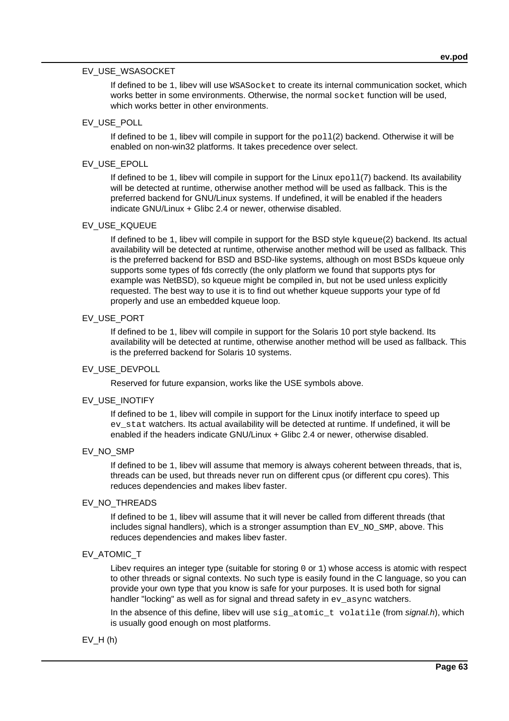### EV\_USE\_WSASOCKET

If defined to be 1, libev will use WSASocket to create its internal communication socket, which works better in some environments. Otherwise, the normal socket function will be used, which works better in other environments.

## EV\_USE\_POLL

If defined to be 1, libev will compile in support for the  $pol(2)$  backend. Otherwise it will be enabled on non-win32 platforms. It takes precedence over select.

## EV\_USE\_EPOLL

If defined to be 1, libey will compile in support for the Linux  $epol1(7)$  backend. Its availability will be detected at runtime, otherwise another method will be used as fallback. This is the preferred backend for GNU/Linux systems. If undefined, it will be enabled if the headers indicate GNU/Linux + Glibc 2.4 or newer, otherwise disabled.

### EV\_USE\_KQUEUE

If defined to be 1, libev will compile in support for the BSD style kqueue(2) backend. Its actual availability will be detected at runtime, otherwise another method will be used as fallback. This is the preferred backend for BSD and BSD-like systems, although on most BSDs kqueue only supports some types of fds correctly (the only platform we found that supports ptys for example was NetBSD), so kqueue might be compiled in, but not be used unless explicitly requested. The best way to use it is to find out whether kqueue supports your type of fd properly and use an embedded kqueue loop.

### EV\_USE\_PORT

If defined to be 1, libev will compile in support for the Solaris 10 port style backend. Its availability will be detected at runtime, otherwise another method will be used as fallback. This is the preferred backend for Solaris 10 systems.

### EV\_USE\_DEVPOLL

Reserved for future expansion, works like the USE symbols above.

#### EV\_USE\_INOTIFY

If defined to be 1, libev will compile in support for the Linux inotify interface to speed up ev\_stat watchers. Its actual availability will be detected at runtime. If undefined, it will be enabled if the headers indicate GNU/Linux + Glibc 2.4 or newer, otherwise disabled.

### EV\_NO\_SMP

If defined to be 1, libev will assume that memory is always coherent between threads, that is, threads can be used, but threads never run on different cpus (or different cpu cores). This reduces dependencies and makes libev faster.

### EV\_NO\_THREADS

If defined to be 1, libev will assume that it will never be called from different threads (that includes signal handlers), which is a stronger assumption than  $EV\_NO$ \_SMP, above. This reduces dependencies and makes libev faster.

### EV\_ATOMIC\_T

Libev requires an integer type (suitable for storing 0 or 1) whose access is atomic with respect to other threads or signal contexts. No such type is easily found in the C language, so you can provide your own type that you know is safe for your purposes. It is used both for signal handler "locking" as well as for signal and thread safety in ev\_async watchers.

In the absence of this define, libev will use sig\_atomic\_t volatile (from signal.h), which is usually good enough on most platforms.

### $EV_H(h)$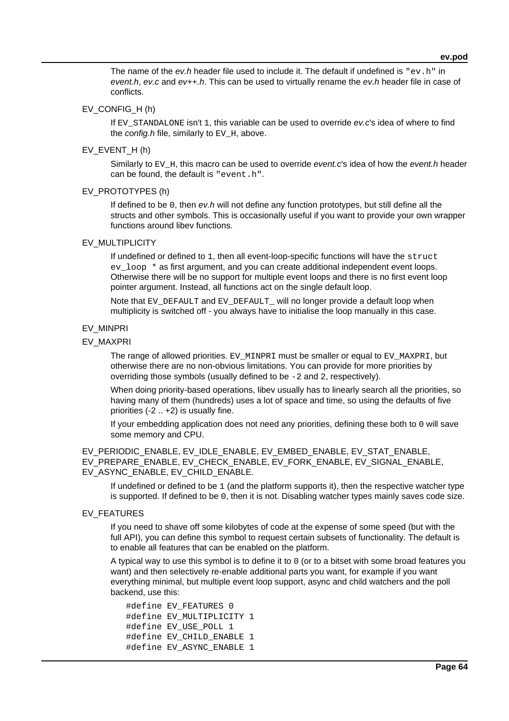The name of the  $ev.h$  header file used to include it. The default if undefined is  $"ev.h"$  in event.h, ev.c and  $ev_{++}$ .h. This can be used to virtually rename the ev.h header file in case of conflicts.

## EV\_CONFIG\_H (h)

If EV\_STANDALONE isn't 1, this variable can be used to override ev.c's idea of where to find the config.h file, similarly to  $EV_H$ , above.

### EV EVENT  $H(h)$

Similarly to EV\_H, this macro can be used to override event.c's idea of how the event.h header can be found, the default is "event.h".

#### EV\_PROTOTYPES (h)

If defined to be 0, then  $ev.h$  will not define any function prototypes, but still define all the structs and other symbols. This is occasionally useful if you want to provide your own wrapper functions around libev functions.

### EV\_MULTIPLICITY

If undefined or defined to 1, then all event-loop-specific functions will have the struct ev loop \* as first argument, and you can create additional independent event loops. Otherwise there will be no support for multiple event loops and there is no first event loop pointer argument. Instead, all functions act on the single default loop.

Note that EV\_DEFAULT and EV\_DEFAULT\_ will no longer provide a default loop when multiplicity is switched off - you always have to initialise the loop manually in this case.

#### EV\_MINPRI

### EV\_MAXPRI

The range of allowed priorities. EV\_MINPRI must be smaller or equal to EV\_MAXPRI, but otherwise there are no non-obvious limitations. You can provide for more priorities by overriding those symbols (usually defined to be -2 and 2, respectively).

When doing priority-based operations, libev usually has to linearly search all the priorities, so having many of them (hundreds) uses a lot of space and time, so using the defaults of five priorities (-2 .. +2) is usually fine.

If your embedding application does not need any priorities, defining these both to 0 will save some memory and CPU.

EV\_PERIODIC\_ENABLE, EV\_IDLE\_ENABLE, EV\_EMBED\_ENABLE, EV\_STAT\_ENABLE, EV\_PREPARE\_ENABLE, EV\_CHECK\_ENABLE, EV\_FORK\_ENABLE, EV\_SIGNAL\_ENABLE, EV\_ASYNC\_ENABLE, EV\_CHILD\_ENABLE.

If undefined or defined to be  $1$  (and the platform supports it), then the respective watcher type is supported. If defined to be 0, then it is not. Disabling watcher types mainly saves code size.

### EV\_FEATURES

If you need to shave off some kilobytes of code at the expense of some speed (but with the full API), you can define this symbol to request certain subsets of functionality. The default is to enable all features that can be enabled on the platform.

A typical way to use this symbol is to define it to 0 (or to a bitset with some broad features you want) and then selectively re-enable additional parts you want, for example if you want everything minimal, but multiple event loop support, async and child watchers and the poll backend, use this:

```
 #define EV_FEATURES 0
 #define EV_MULTIPLICITY 1
#define EV USE POLL 1
#define EV CHILD ENABLE 1
 #define EV_ASYNC_ENABLE 1
```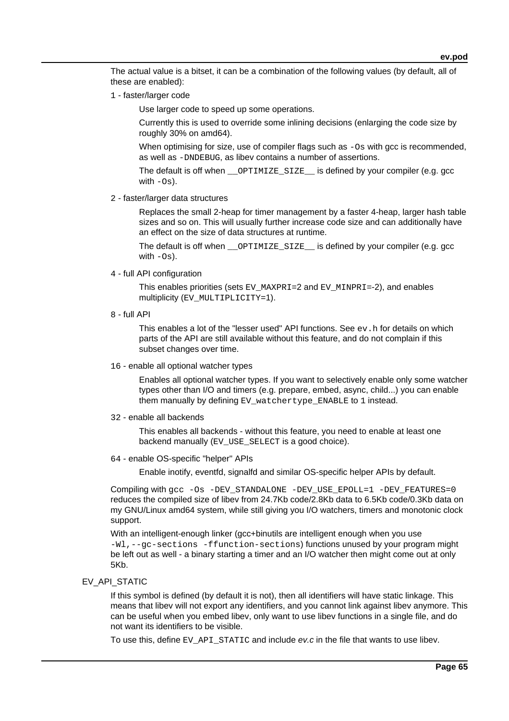The actual value is a bitset, it can be a combination of the following values (by default, all of these are enabled):

1 - faster/larger code

Use larger code to speed up some operations.

Currently this is used to override some inlining decisions (enlarging the code size by roughly 30% on amd64).

When optimising for size, use of compiler flags such as  $-\circ$ s with gcc is recommended. as well as -DNDEBUG, as libev contains a number of assertions.

The default is off when \_\_OPTIMIZE\_SIZE\_\_ is defined by your compiler (e.g. gcc with  $-\text{Os}$ ).

2 - faster/larger data structures

Replaces the small 2-heap for timer management by a faster 4-heap, larger hash table sizes and so on. This will usually further increase code size and can additionally have an effect on the size of data structures at runtime.

The default is off when \_\_OPTIMIZE\_SIZE\_\_ is defined by your compiler (e.g. gcc with  $-\text{Os}$ ).

4 - full API configuration

This enables priorities (sets EV\_MAXPRI=2 and EV\_MINPRI=-2), and enables multiplicity (EV\_MULTIPLICITY=1).

8 - full API

This enables a lot of the "lesser used" API functions. See  $ev$ . h for details on which parts of the API are still available without this feature, and do not complain if this subset changes over time.

16 - enable all optional watcher types

Enables all optional watcher types. If you want to selectively enable only some watcher types other than I/O and timers (e.g. prepare, embed, async, child...) you can enable them manually by defining EV\_watchertype\_ENABLE to 1 instead.

32 - enable all backends

This enables all backends - without this feature, you need to enable at least one backend manually (EV\_USE\_SELECT is a good choice).

64 - enable OS-specific "helper" APIs

Enable inotify, eventfd, signalfd and similar OS-specific helper APIs by default.

Compiling with gcc -Os -DEV\_STANDALONE -DEV\_USE\_EPOLL=1 -DEV\_FEATURES=0 reduces the compiled size of libev from 24.7Kb code/2.8Kb data to 6.5Kb code/0.3Kb data on my GNU/Linux amd64 system, while still giving you I/O watchers, timers and monotonic clock support.

With an intelligent-enough linker (gcc+binutils are intelligent enough when you use -Wl,--gc-sections -ffunction-sections) functions unused by your program might be left out as well - a binary starting a timer and an I/O watcher then might come out at only 5Kb.

### EV\_API\_STATIC

If this symbol is defined (by default it is not), then all identifiers will have static linkage. This means that libev will not export any identifiers, and you cannot link against libev anymore. This can be useful when you embed libev, only want to use libev functions in a single file, and do not want its identifiers to be visible.

To use this, define EV\_API\_STATIC and include ev.c in the file that wants to use libev.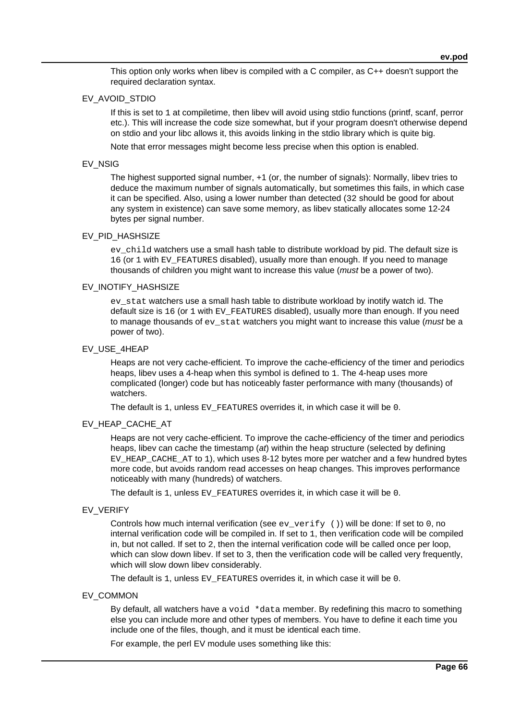This option only works when libev is compiled with a C compiler, as C++ doesn't support the required declaration syntax.

### EV\_AVOID\_STDIO

If this is set to 1 at compiletime, then libev will avoid using stdio functions (printf, scanf, perror etc.). This will increase the code size somewhat, but if your program doesn't otherwise depend on stdio and your libc allows it, this avoids linking in the stdio library which is quite big.

Note that error messages might become less precise when this option is enabled.

### EV\_NSIG

The highest supported signal number, +1 (or, the number of signals): Normally, libev tries to deduce the maximum number of signals automatically, but sometimes this fails, in which case it can be specified. Also, using a lower number than detected (32 should be good for about any system in existence) can save some memory, as libev statically allocates some 12-24 bytes per signal number.

#### EV\_PID\_HASHSIZE

ev child watchers use a small hash table to distribute workload by pid. The default size is 16 (or 1 with EV\_FEATURES disabled), usually more than enough. If you need to manage thousands of children you might want to increase this value (*must* be a power of two).

### EV\_INOTIFY\_HASHSIZE

ev\_stat watchers use a small hash table to distribute workload by inotify watch id. The default size is 16 (or 1 with EV\_FEATURES disabled), usually more than enough. If you need to manage thousands of  $ev$  stat watchers you might want to increase this value (must be a power of two).

#### EV\_USE\_4HEAP

Heaps are not very cache-efficient. To improve the cache-efficiency of the timer and periodics heaps, libev uses a 4-heap when this symbol is defined to 1. The 4-heap uses more complicated (longer) code but has noticeably faster performance with many (thousands) of watchers.

The default is 1, unless EV\_FEATURES overrides it, in which case it will be 0.

### EV\_HEAP\_CACHE\_AT

Heaps are not very cache-efficient. To improve the cache-efficiency of the timer and periodics heaps, libev can cache the timestamp (at) within the heap structure (selected by defining EV HEAP CACHE AT to 1), which uses 8-12 bytes more per watcher and a few hundred bytes more code, but avoids random read accesses on heap changes. This improves performance noticeably with many (hundreds) of watchers.

The default is 1, unless EV\_FEATURES overrides it, in which case it will be 0.

#### EV\_VERIFY

Controls how much internal verification (see  $ev\_verify$  ()) will be done: If set to 0, no internal verification code will be compiled in. If set to 1, then verification code will be compiled in, but not called. If set to 2, then the internal verification code will be called once per loop, which can slow down libev. If set to 3, then the verification code will be called very frequently, which will slow down libev considerably.

The default is 1, unless EV\_FEATURES overrides it, in which case it will be 0.

### EV\_COMMON

By default, all watchers have a void \*data member. By redefining this macro to something else you can include more and other types of members. You have to define it each time you include one of the files, though, and it must be identical each time.

For example, the perl EV module uses something like this: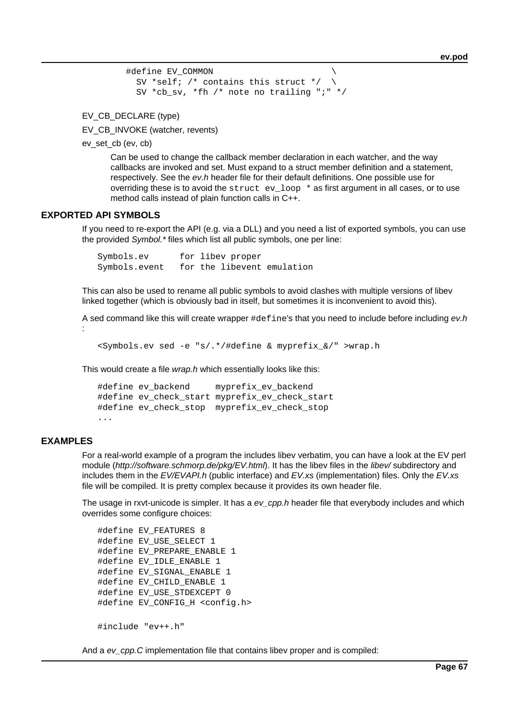```
 #define EV_COMMON \
  SV *self; /* contains this struct */ \setminus SV *cb_sv, *fh /* note no trailing ";" */
```
EV\_CB\_DECLARE (type)

EV\_CB\_INVOKE (watcher, revents)

ev\_set\_cb (ev, cb)

Can be used to change the callback member declaration in each watcher, and the way callbacks are invoked and set. Must expand to a struct member definition and a statement, respectively. See the ev.h header file for their default definitions. One possible use for overriding these is to avoid the struct evalue  $\ast$  as first argument in all cases, or to use method calls instead of plain function calls in C++.

### **EXPORTED API SYMBOLS**

If you need to re-export the API (e.g. via a DLL) and you need a list of exported symbols, you can use the provided Symbol.\* files which list all public symbols, one per line:

Symbols.ev for libev proper Symbols.event for the libevent emulation

This can also be used to rename all public symbols to avoid clashes with multiple versions of libev linked together (which is obviously bad in itself, but sometimes it is inconvenient to avoid this).

A sed command like this will create wrapper #define's that you need to include before including ev.h :

```
 <Symbols.ev sed -e "s/.*/#define & myprefix_&/" >wrap.h
```
This would create a file wrap.h which essentially looks like this:

```
 #define ev_backend myprefix_ev_backend
 #define ev_check_start myprefix_ev_check_start
 #define ev_check_stop myprefix_ev_check_stop
```
## ...

### **EXAMPLES**

For a real-world example of a program the includes libev verbatim, you can have a look at the EV perl module (http://software.schmorp.de/pkg/EV.html). It has the libev files in the libev/ subdirectory and includes them in the EV/EVAPI.h (public interface) and EV.xs (implementation) files. Only the EV.xs file will be compiled. It is pretty complex because it provides its own header file.

The usage in rxvt-unicode is simpler. It has a ev\_cpp.h header file that everybody includes and which overrides some configure choices:

```
 #define EV_FEATURES 8
#define EV USE SELECT 1
 #define EV_PREPARE_ENABLE 1
 #define EV_IDLE_ENABLE 1
 #define EV_SIGNAL_ENABLE 1
 #define EV_CHILD_ENABLE 1
 #define EV_USE_STDEXCEPT 0
 #define EV_CONFIG_H <config.h>
 #include "ev++.h"
```
And a ev\_cpp.C implementation file that contains libev proper and is compiled: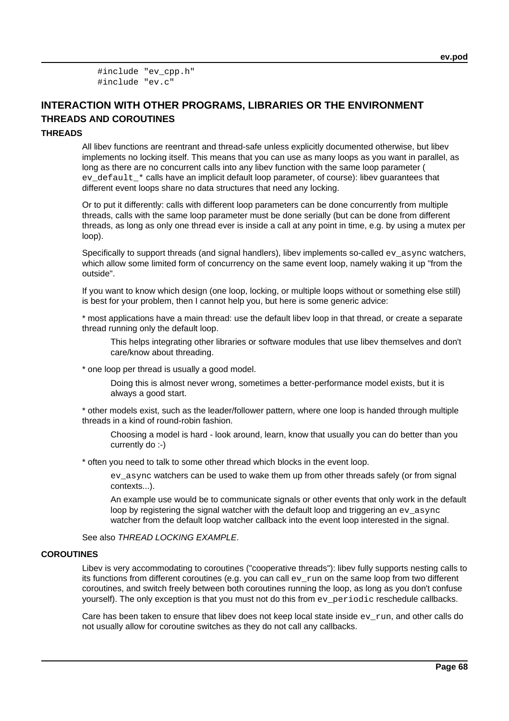#include "ev\_cpp.h" #include "ev.c"

# **INTERACTION WITH OTHER PROGRAMS, LIBRARIES OR THE ENVIRONMENT THREADS AND COROUTINES**

### **THREADS**

All libev functions are reentrant and thread-safe unless explicitly documented otherwise, but libev implements no locking itself. This means that you can use as many loops as you want in parallel, as long as there are no concurrent calls into any libev function with the same loop parameter ( ev\_default\_\* calls have an implicit default loop parameter, of course): libev quarantees that different event loops share no data structures that need any locking.

Or to put it differently: calls with different loop parameters can be done concurrently from multiple threads, calls with the same loop parameter must be done serially (but can be done from different threads, as long as only one thread ever is inside a call at any point in time, e.g. by using a mutex per loop).

Specifically to support threads (and signal handlers), libev implements so-called ev\_async watchers, which allow some limited form of concurrency on the same event loop, namely waking it up "from the outside".

If you want to know which design (one loop, locking, or multiple loops without or something else still) is best for your problem, then I cannot help you, but here is some generic advice:

\* most applications have a main thread: use the default libev loop in that thread, or create a separate thread running only the default loop.

This helps integrating other libraries or software modules that use libev themselves and don't care/know about threading.

\* one loop per thread is usually a good model.

Doing this is almost never wrong, sometimes a better-performance model exists, but it is always a good start.

\* other models exist, such as the leader/follower pattern, where one loop is handed through multiple threads in a kind of round-robin fashion.

Choosing a model is hard - look around, learn, know that usually you can do better than you currently do :-)

\* often you need to talk to some other thread which blocks in the event loop.

ev\_async watchers can be used to wake them up from other threads safely (or from signal contexts...).

An example use would be to communicate signals or other events that only work in the default loop by registering the signal watcher with the default loop and triggering an ev\_async watcher from the default loop watcher callback into the event loop interested in the signal.

See also THREAD LOCKING EXAMPLE.

#### **COROUTINES**

Libev is very accommodating to coroutines ("cooperative threads"): libev fully supports nesting calls to its functions from different coroutines (e.g. you can call  $ev_{run}$  on the same loop from two different coroutines, and switch freely between both coroutines running the loop, as long as you don't confuse yourself). The only exception is that you must not do this from ev\_periodic reschedule callbacks.

Care has been taken to ensure that libev does not keep local state inside ev run, and other calls do not usually allow for coroutine switches as they do not call any callbacks.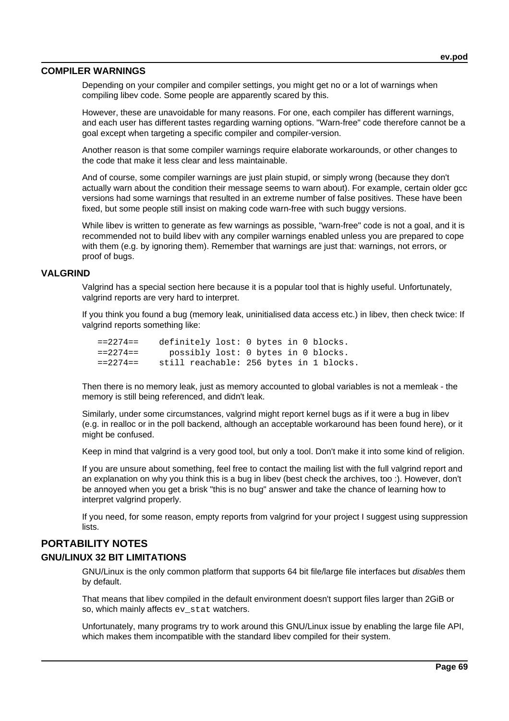### **COMPILER WARNINGS**

Depending on your compiler and compiler settings, you might get no or a lot of warnings when compiling libev code. Some people are apparently scared by this.

However, these are unavoidable for many reasons. For one, each compiler has different warnings, and each user has different tastes regarding warning options. "Warn-free" code therefore cannot be a goal except when targeting a specific compiler and compiler-version.

Another reason is that some compiler warnings require elaborate workarounds, or other changes to the code that make it less clear and less maintainable.

And of course, some compiler warnings are just plain stupid, or simply wrong (because they don't actually warn about the condition their message seems to warn about). For example, certain older gcc versions had some warnings that resulted in an extreme number of false positives. These have been fixed, but some people still insist on making code warn-free with such buggy versions.

While libev is written to generate as few warnings as possible, "warn-free" code is not a goal, and it is recommended not to build libev with any compiler warnings enabled unless you are prepared to cope with them (e.g. by ignoring them). Remember that warnings are just that: warnings, not errors, or proof of bugs.

### **VALGRIND**

Valgrind has a special section here because it is a popular tool that is highly useful. Unfortunately, valgrind reports are very hard to interpret.

If you think you found a bug (memory leak, uninitialised data access etc.) in libev, then check twice: If valgrind reports something like:

 ==2274== definitely lost: 0 bytes in 0 blocks. ==2274== possibly lost: 0 bytes in 0 blocks. ==2274== still reachable: 256 bytes in 1 blocks.

Then there is no memory leak, just as memory accounted to global variables is not a memleak - the memory is still being referenced, and didn't leak.

Similarly, under some circumstances, valgrind might report kernel bugs as if it were a bug in libev (e.g. in realloc or in the poll backend, although an acceptable workaround has been found here), or it might be confused.

Keep in mind that valgrind is a very good tool, but only a tool. Don't make it into some kind of religion.

If you are unsure about something, feel free to contact the mailing list with the full valgrind report and an explanation on why you think this is a bug in libev (best check the archives, too :). However, don't be annoyed when you get a brisk "this is no bug" answer and take the chance of learning how to interpret valgrind properly.

If you need, for some reason, empty reports from valgrind for your project I suggest using suppression lists.

## **PORTABILITY NOTES**

### **GNU/LINUX 32 BIT LIMITATIONS**

GNU/Linux is the only common platform that supports 64 bit file/large file interfaces but disables them by default.

That means that libev compiled in the default environment doesn't support files larger than 2GiB or so, which mainly affects ev\_stat watchers.

Unfortunately, many programs try to work around this GNU/Linux issue by enabling the large file API, which makes them incompatible with the standard libev compiled for their system.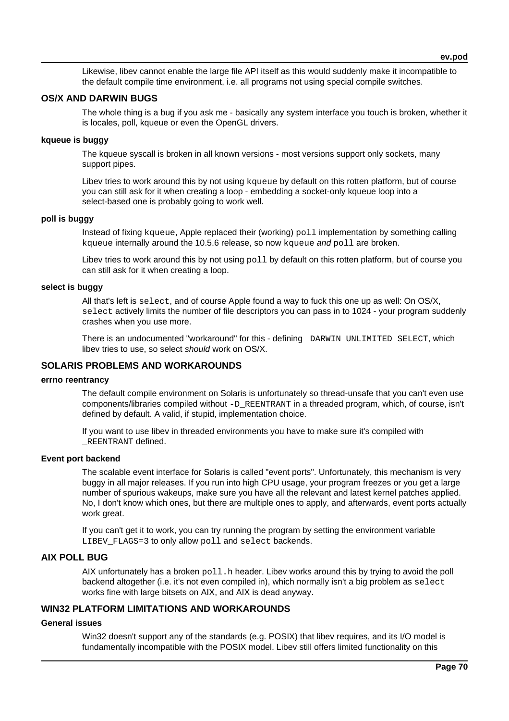**ev.pod**

Likewise, libev cannot enable the large file API itself as this would suddenly make it incompatible to the default compile time environment, i.e. all programs not using special compile switches.

### **OS/X AND DARWIN BUGS**

The whole thing is a bug if you ask me - basically any system interface you touch is broken, whether it is locales, poll, kqueue or even the OpenGL drivers.

### **kqueue is buggy**

The kqueue syscall is broken in all known versions - most versions support only sockets, many support pipes.

Libev tries to work around this by not using kqueue by default on this rotten platform, but of course you can still ask for it when creating a loop - embedding a socket-only kqueue loop into a select-based one is probably going to work well.

#### **poll is buggy**

Instead of fixing kqueue, Apple replaced their (working) poll implementation by something calling kqueue internally around the 10.5.6 release, so now kqueue and  $pol1$  are broken.

Libev tries to work around this by not using  $pol1$  by default on this rotten platform, but of course you can still ask for it when creating a loop.

### **select is buggy**

All that's left is select, and of course Apple found a way to fuck this one up as well: On OS/X, select actively limits the number of file descriptors you can pass in to 1024 - your program suddenly crashes when you use more.

There is an undocumented "workaround" for this - defining \_DARWIN\_UNLIMITED\_SELECT, which libev tries to use, so select should work on OS/X.

### **SOLARIS PROBLEMS AND WORKAROUNDS**

#### **errno reentrancy**

The default compile environment on Solaris is unfortunately so thread-unsafe that you can't even use components/libraries compiled without -D\_REENTRANT in a threaded program, which, of course, isn't defined by default. A valid, if stupid, implementation choice.

If you want to use libev in threaded environments you have to make sure it's compiled with \_REENTRANT defined.

#### **Event port backend**

The scalable event interface for Solaris is called "event ports". Unfortunately, this mechanism is very buggy in all major releases. If you run into high CPU usage, your program freezes or you get a large number of spurious wakeups, make sure you have all the relevant and latest kernel patches applied. No, I don't know which ones, but there are multiple ones to apply, and afterwards, event ports actually work great.

If you can't get it to work, you can try running the program by setting the environment variable LIBEV FLAGS=3 to only allow poll and select backends.

### **AIX POLL BUG**

AIX unfortunately has a broken  $pol1$ . h header. Libev works around this by trying to avoid the poll backend altogether (i.e. it's not even compiled in), which normally isn't a big problem as select works fine with large bitsets on AIX, and AIX is dead anyway.

### **WIN32 PLATFORM LIMITATIONS AND WORKAROUNDS**

### **General issues**

Win32 doesn't support any of the standards (e.g. POSIX) that libev requires, and its I/O model is fundamentally incompatible with the POSIX model. Libev still offers limited functionality on this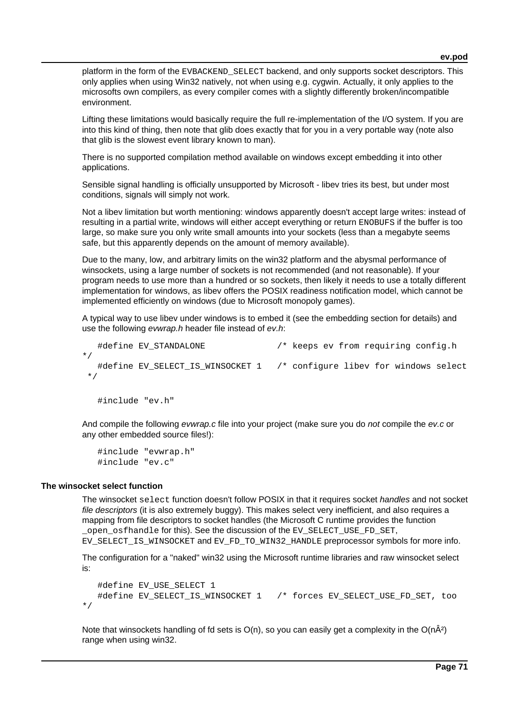platform in the form of the EVBACKEND\_SELECT backend, and only supports socket descriptors. This only applies when using Win32 natively, not when using e.g. cygwin. Actually, it only applies to the microsofts own compilers, as every compiler comes with a slightly differently broken/incompatible environment.

Lifting these limitations would basically require the full re-implementation of the I/O system. If you are into this kind of thing, then note that glib does exactly that for you in a very portable way (note also that glib is the slowest event library known to man).

There is no supported compilation method available on windows except embedding it into other applications.

Sensible signal handling is officially unsupported by Microsoft - libev tries its best, but under most conditions, signals will simply not work.

Not a libev limitation but worth mentioning: windows apparently doesn't accept large writes: instead of resulting in a partial write, windows will either accept everything or return ENOBUFS if the buffer is too large, so make sure you only write small amounts into your sockets (less than a megabyte seems safe, but this apparently depends on the amount of memory available).

Due to the many, low, and arbitrary limits on the win32 platform and the abysmal performance of winsockets, using a large number of sockets is not recommended (and not reasonable). If your program needs to use more than a hundred or so sockets, then likely it needs to use a totally different implementation for windows, as libev offers the POSIX readiness notification model, which cannot be implemented efficiently on windows (due to Microsoft monopoly games).

A typical way to use libev under windows is to embed it (see the embedding section for details) and use the following evwrap.h header file instead of ev.h:

```
#define EV STANDALONE /* keeps ev from requiring config.h
*/
   #define EV_SELECT_IS_WINSOCKET 1 /* configure libev for windows select
*/
   #include "ev.h"
```
And compile the following evwrap.c file into your project (make sure you do not compile the ev.c or any other embedded source files!):

```
 #include "evwrap.h"
 #include "ev.c"
```
#### **The winsocket select function**

The winsocket select function doesn't follow POSIX in that it requires socket handles and not socket file descriptors (it is also extremely buggy). This makes select very inefficient, and also requires a mapping from file descriptors to socket handles (the Microsoft C runtime provides the function open osfhandle for this). See the discussion of the EV SELECT USE FD SET,

EV\_SELECT\_IS\_WINSOCKET and EV\_FD\_TO\_WIN32\_HANDLE preprocessor symbols for more info.

The configuration for a "naked" win32 using the Microsoft runtime libraries and raw winsocket select is:

```
 #define EV_USE_SELECT 1
  #define EV_SELECT_IS_WINSOCKET 1 /* forces EV_SELECT_USE_FD_SET, too
*/
```
Note that winsockets handling of fd sets is  $O(n)$ , so you can easily get a complexity in the  $O(n\hat{A}^2)$ range when using win32.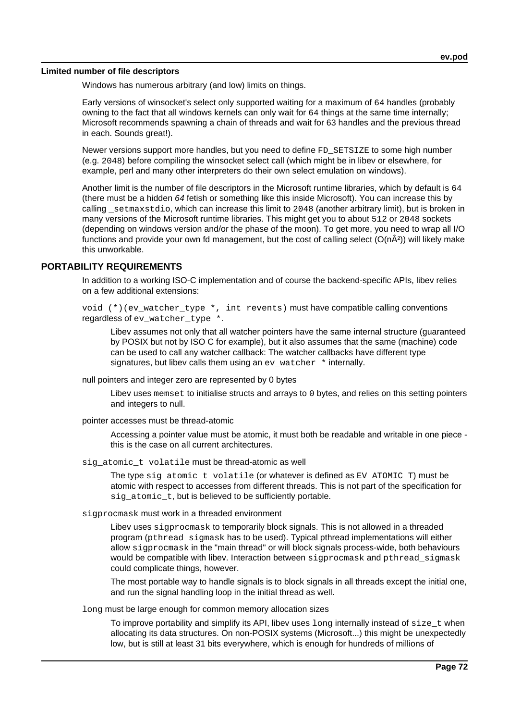#### **Limited number of file descriptors**

Windows has numerous arbitrary (and low) limits on things.

Early versions of winsocket's select only supported waiting for a maximum of 64 handles (probably owning to the fact that all windows kernels can only wait for 64 things at the same time internally; Microsoft recommends spawning a chain of threads and wait for 63 handles and the previous thread in each. Sounds great!).

Newer versions support more handles, but you need to define FD\_SETSIZE to some high number (e.g. 2048) before compiling the winsocket select call (which might be in libev or elsewhere, for example, perl and many other interpreters do their own select emulation on windows).

Another limit is the number of file descriptors in the Microsoft runtime libraries, which by default is 64 (there must be a hidden 64 fetish or something like this inside Microsoft). You can increase this by calling \_setmaxstdio, which can increase this limit to 2048 (another arbitrary limit), but is broken in many versions of the Microsoft runtime libraries. This might get you to about 512 or 2048 sockets (depending on windows version and/or the phase of the moon). To get more, you need to wrap all I/O functions and provide your own fd management, but the cost of calling select  $(O(n\hat{A}^2))$  will likely make this unworkable.

### **PORTABILITY REQUIREMENTS**

In addition to a working ISO-C implementation and of course the backend-specific APIs, libev relies on a few additional extensions:

void (\*)(ev\_watcher\_type \*, int revents) must have compatible calling conventions regardless of ev\_watcher\_type \*.

Libev assumes not only that all watcher pointers have the same internal structure (guaranteed by POSIX but not by ISO C for example), but it also assumes that the same (machine) code can be used to call any watcher callback: The watcher callbacks have different type signatures, but libev calls them using an ev\_watcher  $*$  internally.

null pointers and integer zero are represented by 0 bytes

Libev uses memset to initialise structs and arrays to 0 bytes, and relies on this setting pointers and integers to null.

pointer accesses must be thread-atomic

Accessing a pointer value must be atomic, it must both be readable and writable in one piece this is the case on all current architectures.

sig\_atomic\_t volatile must be thread-atomic as well

The type sig\_atomic\_t volatile (or whatever is defined as EV\_ATOMIC\_T) must be atomic with respect to accesses from different threads. This is not part of the specification for sig\_atomic\_t, but is believed to be sufficiently portable.

sigprocmask must work in a threaded environment

Libev uses sigprocmask to temporarily block signals. This is not allowed in a threaded program (pthread\_sigmask has to be used). Typical pthread implementations will either allow sigprocmask in the "main thread" or will block signals process-wide, both behaviours would be compatible with libev. Interaction between sigprocmask and pthread sigmask could complicate things, however.

The most portable way to handle signals is to block signals in all threads except the initial one, and run the signal handling loop in the initial thread as well.

long must be large enough for common memory allocation sizes

To improve portability and simplify its API, libev uses  $\log$  internally instead of  $size_t$  when allocating its data structures. On non-POSIX systems (Microsoft...) this might be unexpectedly low, but is still at least 31 bits everywhere, which is enough for hundreds of millions of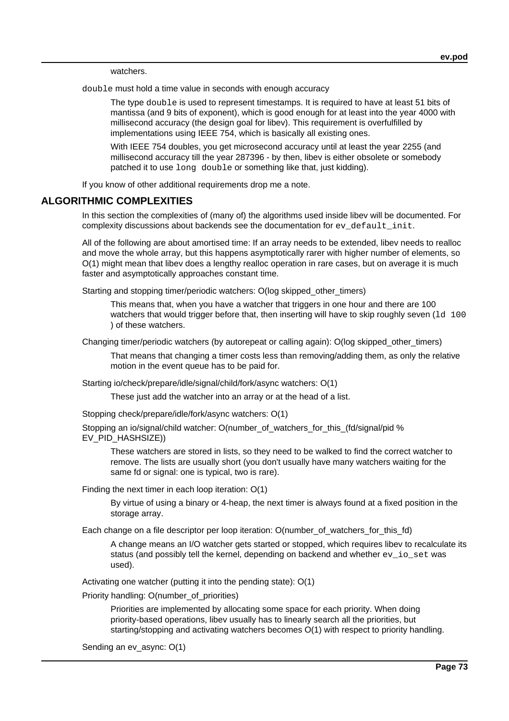watchers.

double must hold a time value in seconds with enough accuracy

The type double is used to represent timestamps. It is required to have at least 51 bits of mantissa (and 9 bits of exponent), which is good enough for at least into the year 4000 with millisecond accuracy (the design goal for libev). This requirement is overfulfilled by implementations using IEEE 754, which is basically all existing ones.

With IEEE 754 doubles, you get microsecond accuracy until at least the year 2255 (and millisecond accuracy till the year 287396 - by then, libev is either obsolete or somebody patched it to use long double or something like that, just kidding).

If you know of other additional requirements drop me a note.

## **ALGORITHMIC COMPLEXITIES**

In this section the complexities of (many of) the algorithms used inside libev will be documented. For complexity discussions about backends see the documentation for  $ev$  default init.

All of the following are about amortised time: If an array needs to be extended, libev needs to realloc and move the whole array, but this happens asymptotically rarer with higher number of elements, so O(1) might mean that libev does a lengthy realloc operation in rare cases, but on average it is much faster and asymptotically approaches constant time.

Starting and stopping timer/periodic watchers: O(log skipped other timers)

This means that, when you have a watcher that triggers in one hour and there are 100 watchers that would trigger before that, then inserting will have to skip roughly seven  $(1d, 100)$ ) of these watchers.

Changing timer/periodic watchers (by autorepeat or calling again): O(log skipped\_other\_timers)

That means that changing a timer costs less than removing/adding them, as only the relative motion in the event queue has to be paid for.

Starting io/check/prepare/idle/signal/child/fork/async watchers: O(1)

These just add the watcher into an array or at the head of a list.

Stopping check/prepare/idle/fork/async watchers: O(1)

Stopping an io/signal/child watcher: O(number\_of\_watchers\_for\_this\_(fd/signal/pid % EV\_PID\_HASHSIZE))

These watchers are stored in lists, so they need to be walked to find the correct watcher to remove. The lists are usually short (you don't usually have many watchers waiting for the same fd or signal: one is typical, two is rare).

Finding the next timer in each loop iteration: O(1)

By virtue of using a binary or 4-heap, the next timer is always found at a fixed position in the storage array.

Each change on a file descriptor per loop iteration: O(number\_of\_watchers\_for\_this\_fd)

A change means an I/O watcher gets started or stopped, which requires libev to recalculate its status (and possibly tell the kernel, depending on backend and whether  $ev$  io set was used).

Activating one watcher (putting it into the pending state): O(1)

Priority handling: O(number\_of\_priorities)

Priorities are implemented by allocating some space for each priority. When doing priority-based operations, libev usually has to linearly search all the priorities, but starting/stopping and activating watchers becomes O(1) with respect to priority handling.

Sending an ev\_async: O(1)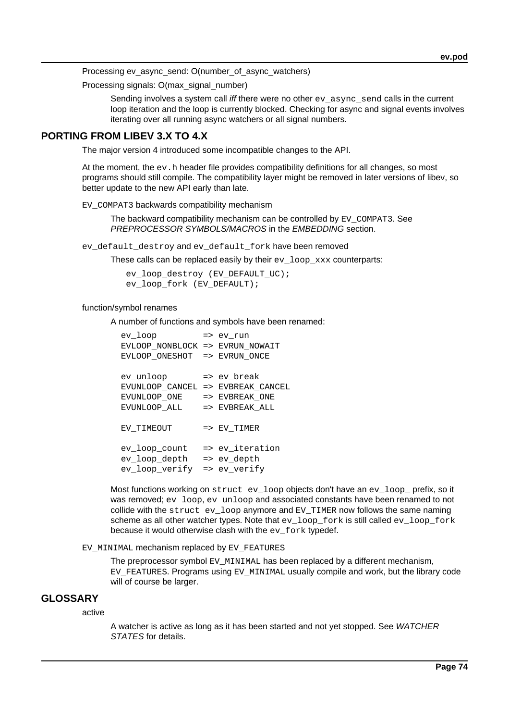Processing ev\_async\_send: O(number\_of\_async\_watchers)

Processing signals: O(max\_signal\_number)

Sending involves a system call iff there were no other  $ev\_async\_send$  calls in the current loop iteration and the loop is currently blocked. Checking for async and signal events involves iterating over all running async watchers or all signal numbers.

# **PORTING FROM LIBEV 3.X TO 4.X**

The major version 4 introduced some incompatible changes to the API.

At the moment, the  $ev$ . h header file provides compatibility definitions for all changes, so most programs should still compile. The compatibility layer might be removed in later versions of libev, so better update to the new API early than late.

EV COMPAT3 backwards compatibility mechanism

The backward compatibility mechanism can be controlled by EV\_COMPAT3. See PREPROCESSOR SYMBOLS/MACROS in the EMBEDDING section.

ev\_default\_destroy and ev\_default\_fork have been removed

These calls can be replaced easily by their  $ev$   $loop$   $xxx$  counterparts:

 ev\_loop\_destroy (EV\_DEFAULT\_UC); ev\_loop\_fork (EV\_DEFAULT);

## function/symbol renames

A number of functions and symbols have been renamed:

| ev loop                         |               | => ev run                 |
|---------------------------------|---------------|---------------------------|
| EVLOOP NONBLOCK => EVRUN NOWAIT |               |                           |
| EVLOOP ONESHOT                  |               | => EVRUN ONCE             |
|                                 |               |                           |
| ev unloop                       |               | => ev break               |
| EVUNLOOP CANCEL                 |               | => EVBREAK CANCEL         |
| EVUNLOOP ONE                    |               | $\Rightarrow$ EVBREAK ONE |
| EVUNLOOP ALL                    | $\Rightarrow$ | EVBREAK ALL               |
| EV TIMEOUT                      |               | => EV TIMER               |
|                                 |               |                           |
| ev loop count                   |               | => ev iteration           |
| ev loop depth                   |               | => ev depth               |
| ev_loop_verify                  |               | => ev verify              |

Most functions working on struct ev\_loop objects don't have an ev\_loop\_ prefix, so it was removed; ev\_loop, ev\_unloop and associated constants have been renamed to not collide with the struct ev\_loop anymore and EV\_TIMER now follows the same naming scheme as all other watcher types. Note that ev\_loop\_fork is still called ev\_loop\_fork because it would otherwise clash with the ev fork typedef.

#### EV\_MINIMAL mechanism replaced by EV\_FEATURES

The preprocessor symbol EV\_MINIMAL has been replaced by a different mechanism, EV\_FEATURES. Programs using EV\_MINIMAL usually compile and work, but the library code will of course be larger.

## **GLOSSARY**

active

A watcher is active as long as it has been started and not yet stopped. See WATCHER STATES for details.